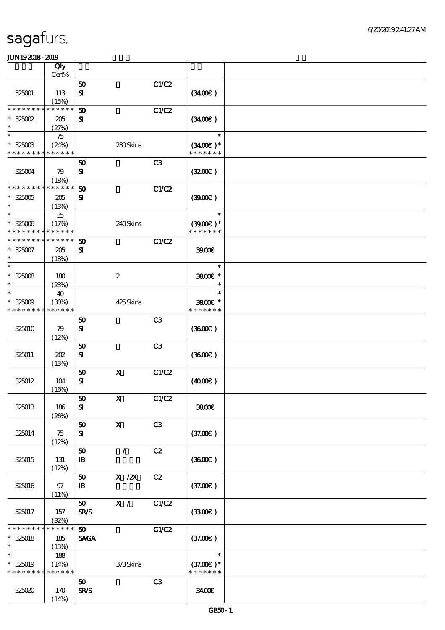|                                          | Qty                  |                             |                                                                                |                |                          |  |
|------------------------------------------|----------------------|-----------------------------|--------------------------------------------------------------------------------|----------------|--------------------------|--|
|                                          | $Cert\%$             |                             |                                                                                |                |                          |  |
|                                          |                      | $\pmb{\mathfrak{D}}$        |                                                                                | C1/C2          |                          |  |
| 325001                                   | 113<br>(15%)         | $\mathbf{S}$                |                                                                                |                | (340)                    |  |
| * * * * * * * *                          | * * * * * *          | 50                          |                                                                                | C1/C2          |                          |  |
| $*325002$<br>$\ast$                      | 205                  | ${\bf s}$                   |                                                                                |                | (340)                    |  |
| $\ast$                                   | (27%)                |                             |                                                                                |                |                          |  |
| $* 325003$                               | 75<br>(24%)          |                             | 280Skins                                                                       |                | $\ast$<br>$(3400)$ *     |  |
| * * * * * * * *                          | * * * * * *          |                             |                                                                                |                | * * * * * * *            |  |
| 325004                                   | 79                   | 50<br>$\mathbf{S}$          |                                                                                | C <sub>3</sub> | (320)                    |  |
| * * * * * * * *                          | (18%)<br>* * * * * * |                             |                                                                                |                |                          |  |
|                                          |                      | 50                          |                                                                                | <b>C1/C2</b>   |                          |  |
| $* 325005$<br>$\ast$                     | 205<br>(13%)         | ${\bf s}$                   |                                                                                |                | (300)                    |  |
| $\ast$                                   | ${\bf 35}$           |                             |                                                                                |                | $\ast$                   |  |
| $* 325006$                               | (17%)                |                             | 240Skins                                                                       |                | $(3900)$ *               |  |
| * * * * * * * * * * * * * *              |                      |                             |                                                                                |                | * * * * * * *            |  |
| * * * * * * * *                          | * * * * * *          | 50                          |                                                                                | <b>C1/C2</b>   |                          |  |
| $* 325007$                               | 205                  | ${\bf s}$                   |                                                                                |                | 3900                     |  |
| $\ast$                                   | (18%)                |                             |                                                                                |                |                          |  |
| $\ast$                                   |                      |                             |                                                                                |                | $\ast$                   |  |
| $* 325008$                               | 180                  |                             | $\boldsymbol{2}$                                                               |                | 3800€ *                  |  |
| $\ast$                                   | (23%)                |                             |                                                                                |                | $\ast$                   |  |
| $\ast$                                   | 40                   |                             |                                                                                |                | $\ast$                   |  |
| $* 325009$<br>* * * * * * * *            | (30%)<br>* * * * * * |                             | 425Skins                                                                       |                | 3800€ *<br>* * * * * * * |  |
|                                          |                      | 50                          |                                                                                | C <sub>3</sub> |                          |  |
| 325010                                   | 79                   | ${\bf s}$                   |                                                                                |                | (360)                    |  |
|                                          | (12%)                |                             |                                                                                |                |                          |  |
|                                          |                      | 50                          |                                                                                | C3             |                          |  |
| 325011                                   | 202                  | ${\bf s}$                   |                                                                                |                | (3600)                   |  |
|                                          | (13%)                |                             |                                                                                |                |                          |  |
|                                          |                      | $\boldsymbol{\mathfrak{D}}$ | $\mathbf X$                                                                    | C1/C2          |                          |  |
| 325012                                   | 104                  | $\mathbf{S}$                |                                                                                |                | (400E)                   |  |
|                                          | (16%)                |                             |                                                                                |                |                          |  |
|                                          |                      | ${\bf 50}$                  | $\mathbf X$                                                                    | C1/C2          |                          |  |
| 325013                                   | 186                  | ${\bf s}$                   |                                                                                |                | 3800€                    |  |
|                                          | (20%)                | 50                          | $\mathbf{X}$                                                                   | C3             |                          |  |
| 325014                                   | 75                   | ${\bf s}$                   |                                                                                |                | (37.00)                  |  |
|                                          | (12%)                |                             |                                                                                |                |                          |  |
|                                          |                      | 50                          | $\sqrt{2}$                                                                     | C2             |                          |  |
| 325015                                   | 131                  | $\, {\bf I} \! {\bf B} \,$  |                                                                                |                | (3600)                   |  |
|                                          | (12%)                |                             |                                                                                |                |                          |  |
|                                          |                      | 50                          | $\boldsymbol{\mathrm{X}}$ / $\boldsymbol{\mathrm{Z}}\!\boldsymbol{\mathrm{X}}$ | C2             |                          |  |
| 325016                                   | 97                   | $\, {\bf I} \! {\bf B} \,$  |                                                                                |                | (37.00)                  |  |
|                                          | (11%)                |                             |                                                                                |                |                          |  |
|                                          |                      | 50 <sub>o</sub>             | X /                                                                            | C1/C2          |                          |  |
| 325017                                   | 157                  | <b>SR/S</b>                 |                                                                                |                | (3300)                   |  |
| * * * * * * * *                          | (32%)<br>* * * * * * | 50 <sub>o</sub>             |                                                                                | C1/C2          |                          |  |
| $*$ 325018                               | 185                  | <b>SAGA</b>                 |                                                                                |                | (37.00)                  |  |
| $\ast$                                   | (15%)                |                             |                                                                                |                |                          |  |
| $\ast$                                   | 188                  |                             |                                                                                |                | $\ast$                   |  |
| $* 325019$                               | (14%)                |                             | 373Skins                                                                       |                | $(37.00)$ *              |  |
| * * * * * * * * <mark>* * * * * *</mark> |                      |                             |                                                                                |                | * * * * * * *            |  |
|                                          |                      | 50                          |                                                                                | C3             |                          |  |
| 325020                                   | 170                  | <b>SR/S</b>                 |                                                                                |                | 3400                     |  |
|                                          | (14%)                |                             |                                                                                |                |                          |  |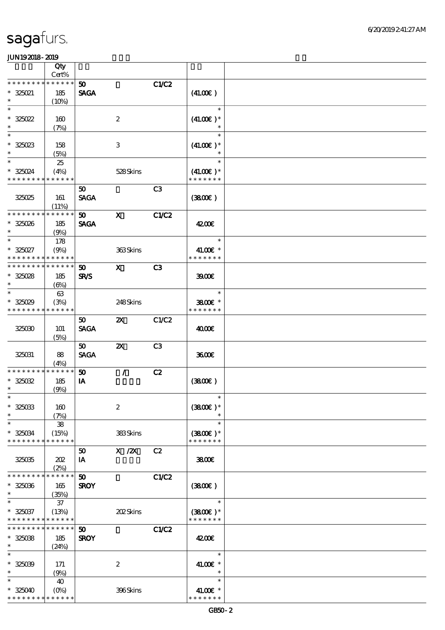|                                                                           | Qty                    |                             |                                       |                |                  |  |
|---------------------------------------------------------------------------|------------------------|-----------------------------|---------------------------------------|----------------|------------------|--|
| * * * * * * * *                                                           | Cert%<br>* * * * * *   |                             |                                       |                |                  |  |
| $* 325021$                                                                | 185                    | 50<br><b>SAGA</b>           |                                       | C1/C2          | (41.00)          |  |
| $\ast$                                                                    | (10%)                  |                             |                                       |                |                  |  |
| $\ast$                                                                    |                        |                             |                                       |                | $\ast$           |  |
| $*325022$                                                                 | 160                    |                             | $\boldsymbol{2}$                      |                | $(41.00)$ *      |  |
| $\ast$                                                                    | (7%)                   |                             |                                       |                | $\ast$           |  |
| $\ast$                                                                    |                        |                             |                                       |                | $\ast$           |  |
| $* 325023$<br>$\ast$                                                      | 158                    |                             | $\,3$                                 |                | $(41.00)$ *      |  |
| $\ast$                                                                    | (5%)                   |                             |                                       |                | $\ast$           |  |
|                                                                           | 25                     |                             | 528Skins                              |                | $(41.00)$ *      |  |
| * 325024<br>* * * * * * * * * * * * * *                                   | (4%)                   |                             |                                       |                | * * * * * * *    |  |
|                                                                           |                        | 50                          |                                       | C <sub>3</sub> |                  |  |
| 325025                                                                    | 161                    | <b>SAGA</b>                 |                                       |                | (380)            |  |
|                                                                           | (11%)                  |                             |                                       |                |                  |  |
| * * * * * * * *                                                           | * * * * * *            | 50                          | $\mathbf{x}$                          | <b>C1/C2</b>   |                  |  |
| $* 325026$                                                                | 185                    | <b>SAGA</b>                 |                                       |                | 4200E            |  |
| $\ast$                                                                    | (9%)                   |                             |                                       |                |                  |  |
| $\ast$                                                                    | 178                    |                             |                                       |                | $\ast$           |  |
| $* 325027$                                                                | (9%)                   |                             | 363Skins                              |                | 41.00€ *         |  |
| * * * * * * * * <mark>* * * * * * *</mark><br>* * * * * * * * * * * * * * |                        |                             |                                       |                | * * * * * * *    |  |
|                                                                           |                        | 50 <sub>o</sub>             | $\mathbf{X}$                          | C <sub>3</sub> |                  |  |
| $* 325028$<br>$\ast$                                                      | 185<br>$(\Theta)$      | <b>SR/S</b>                 |                                       |                | 3900             |  |
| $\ast$                                                                    | 63                     |                             |                                       |                | $\ast$           |  |
| $* 325029$                                                                | (3%)                   |                             | 248Skins                              |                | 3800€ *          |  |
| * * * * * * * *                                                           | * * * * * *            |                             |                                       |                | * * * * * * *    |  |
|                                                                           |                        | 50                          | $\boldsymbol{\mathsf{Z}}$             | C1/C2          |                  |  |
| 325030                                                                    | 101                    | <b>SAGA</b>                 |                                       |                | 4000€            |  |
|                                                                           | (5%)                   |                             |                                       |                |                  |  |
|                                                                           |                        | $50^{\circ}$                | $\boldsymbol{\mathsf{X}}$             | C <sub>3</sub> |                  |  |
| 325031                                                                    | 88                     | <b>SAGA</b>                 |                                       |                | 3600E            |  |
| * * * * * * * * <mark>* * * * * *</mark>                                  | (4%)                   | 50                          | $\mathcal{L}$                         |                |                  |  |
| $* 325032$                                                                | 185                    | IA                          |                                       | C2             | (380)            |  |
| $\ast$                                                                    | (9%)                   |                             |                                       |                |                  |  |
| $\ast$                                                                    |                        |                             |                                       |                | $\ast$           |  |
| $* 325033$                                                                | 160                    |                             | $\boldsymbol{2}$                      |                | $(3800)$ *       |  |
| $\ast$                                                                    | (7%)                   |                             |                                       |                | $\ast$           |  |
| $\ast$                                                                    | ${\bf 38}$             |                             |                                       |                | $\ast$           |  |
| $* 325034$                                                                | (15%)                  |                             | 383Skins                              |                | $(3800)$ *       |  |
| * * * * * * * *                                                           | * * * * * *            |                             |                                       |                | * * * * * * *    |  |
|                                                                           |                        | 50                          | $\boldsymbol{\mathrm{X}}$ / <b>ZX</b> | C2             |                  |  |
| 325035                                                                    | 202                    | IA                          |                                       |                | 3800E            |  |
| * * * * * * * *                                                           | (2%)<br>* * * * * *    | $\boldsymbol{\mathfrak{D}}$ |                                       | <b>C1/C2</b>   |                  |  |
| $* 325036$                                                                | 165                    | <b>SROY</b>                 |                                       |                | (3800)           |  |
| $\ast$                                                                    | (35%)                  |                             |                                       |                |                  |  |
| $\ast$                                                                    | 37                     |                             |                                       |                | $\ast$           |  |
| $* 325037$                                                                | (13%)                  |                             | 202Skins                              |                | $(3800)$ *       |  |
| * * * * * * * *                                                           | * * * * * *            |                             |                                       |                | * * * * * * *    |  |
| * * * * * * * *                                                           | * * * * * *            | 50                          |                                       | <b>C1/C2</b>   |                  |  |
| $* 32508$                                                                 | 185                    | <b>SROY</b>                 |                                       |                | 4200E            |  |
| $\ast$                                                                    | (24%)                  |                             |                                       |                |                  |  |
| $\ast$                                                                    |                        |                             |                                       |                | $\ast$           |  |
| $* 325039$                                                                | 171                    |                             | $\boldsymbol{2}$                      |                | 41.00€ *         |  |
| $\ast$<br>$\ast$                                                          | (9%)                   |                             |                                       |                | $\ast$<br>$\ast$ |  |
|                                                                           | 40                     |                             |                                       |                | 41.00€ *         |  |
| $* 325040$<br>* * * * * * * *                                             | $(O\%)$<br>* * * * * * |                             | 396Skins                              |                | * * * * * * *    |  |
|                                                                           |                        |                             |                                       |                |                  |  |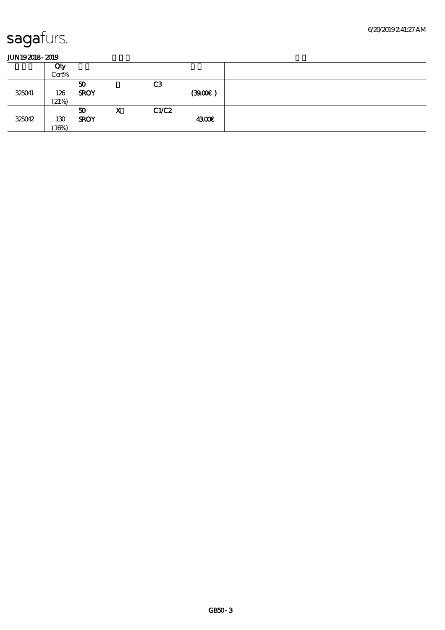|        | Qty<br>Cert% |                   |   |                |       |  |
|--------|--------------|-------------------|---|----------------|-------|--|
| 325041 | 126<br>(21%) | 50<br><b>SROY</b> |   | C <sub>3</sub> | (390) |  |
| 325042 | 130<br>(16%) | 50<br><b>SROY</b> | X | C1/C2          | 4300€ |  |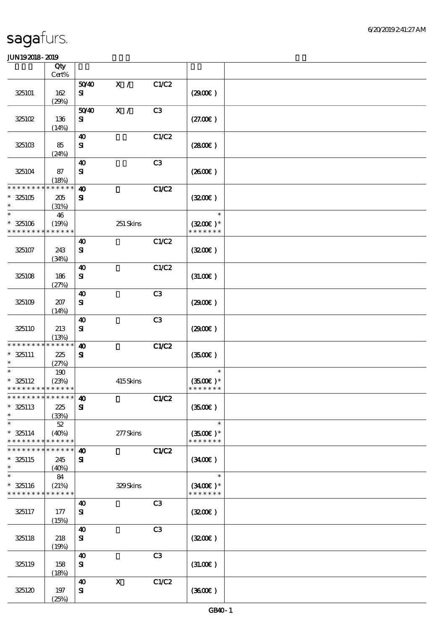|                                                     | Qty<br>Cert%                   |                                        |                           |                |                                              |  |
|-----------------------------------------------------|--------------------------------|----------------------------------------|---------------------------|----------------|----------------------------------------------|--|
|                                                     |                                | 5040                                   | X /                       | C1/C2          |                                              |  |
| 325101                                              | 162<br>(29%)                   | ${\bf s}$                              |                           |                | (290E)                                       |  |
| 325102                                              | 136                            | 5040<br>${\bf s}$                      | X /                       | C3             | (27.00)                                      |  |
| 325103                                              | (14%)<br>85                    | 40<br>${\bf s}$                        |                           | C1/C2          | (2800)                                       |  |
| 325104                                              | (24%)<br>87                    | $\boldsymbol{\Lambda}$<br>$\mathbf{S}$ |                           | C3             | (260E)                                       |  |
|                                                     | (18%)                          |                                        |                           |                |                                              |  |
| * * * * * * * *<br>$*325105$<br>$\ast$              | * * * * * *<br>205<br>(31%)    | $\boldsymbol{\omega}$<br>${\bf s}$     |                           | C1/C2          | (320)                                        |  |
| $\ast$<br>$* 325106$<br>* * * * * * * *             | 46<br>(19%)<br>* * * * * *     |                                        | 251 Skins                 |                | $\ast$<br>$(3200)$ *<br>* * * * * * *        |  |
| 325107                                              | 243<br>(34%)                   | $\boldsymbol{\omega}$<br>${\bf s}$     |                           | C1/C2          | (320)                                        |  |
| 325108                                              | 186<br>(27%)                   | 40<br>${\bf s}$                        |                           | C1/C2          | (3L00E)                                      |  |
| 325109                                              | 207<br>(14%)                   | 40<br>${\bf s}$                        |                           | C <sub>3</sub> | (2900)                                       |  |
| 325110                                              | 213<br>(13%)                   | $\boldsymbol{\omega}$<br>${\bf s}$     |                           | C3             | (2900)                                       |  |
| * * * * * * * *<br>$*$ 325111<br>$\ast$             | $***$ * * * *<br>225<br>(27%)  | $\boldsymbol{\omega}$<br>${\bf s}$     |                           | C1/C2          | (3500)                                       |  |
| $\ast$<br>$* 325112$<br>* * * * * * * * * * * * * * | 190<br>(23%)                   |                                        | 415Skins                  |                | $\ast$<br>$(3500\text{E})*$<br>* * * * * * * |  |
| *************** 40<br>$*325113$<br>$\ast$           | 225<br>(33%)                   | ${\bf s}$                              |                           | C1/C2          | (3500)                                       |  |
| $\ast$<br>$* 325114$<br>* * * * * * * *             | $52\,$<br>(40%)<br>* * * * * * |                                        | 277Skins                  |                | $\ast$<br>$(3500\text{E})*$<br>* * * * * * * |  |
| * * * * * * *<br>$*325115$<br>$\ast$                | * * * * * *<br>245<br>(40%)    | $\boldsymbol{\omega}$<br>${\bf s}$     |                           | C1/C2          | (3400)                                       |  |
| $\ast$<br>$* 325116$<br>* * * * * * * *             | 84<br>(21%)<br>* * * * * *     |                                        | 329Skins                  |                | $\ast$<br>$(3400)$ *<br>* * * * * * *        |  |
| 325117                                              | 177<br>(15%)                   | 40<br>${\bf s}$                        |                           | C3             | (320)                                        |  |
| 325118                                              | 218<br>(19%)                   | 40<br>$\mathbf{S}$                     |                           | C3             | (320)                                        |  |
| 325119                                              | 158<br>(18%)                   | 40<br>${\bf s}$                        |                           | C3             | (3L0E)                                       |  |
| 325120                                              | 197<br>(25%)                   | 40<br>${\bf s}$                        | $\boldsymbol{\mathrm{X}}$ | C1/C2          | (360)                                        |  |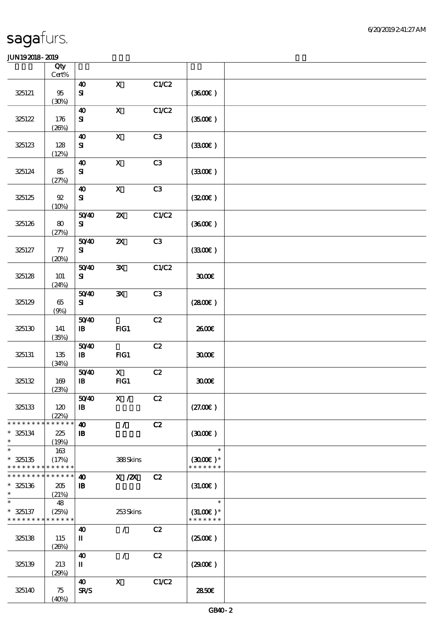|                                                                  | Qty<br>Cert%                |                                       |                           |               |                                        |  |
|------------------------------------------------------------------|-----------------------------|---------------------------------------|---------------------------|---------------|----------------------------------------|--|
|                                                                  |                             | $\boldsymbol{\omega}$                 | $\mathbf x$               | C1/C2         |                                        |  |
| 325121                                                           | $95\,$<br>(30%)             | $\mathbf{S}$                          |                           |               | (360)                                  |  |
| 325122                                                           | 176<br>(20%)                | $\boldsymbol{\omega}$<br>${\bf s}$    | $\mathbf x$               | C1/C2         | (3500)                                 |  |
| 325123                                                           | 128<br>(12%)                | $\boldsymbol{\omega}$<br>${\bf s}$    | $\boldsymbol{\mathsf{X}}$ | C3            | (330)                                  |  |
| 325124                                                           | 85<br>(27%)                 | $\boldsymbol{\omega}$<br>${\bf s}$    | $\mathbf X$               | C3            | (330)                                  |  |
| 325125                                                           | $9\!2$<br>(10%)             | $\boldsymbol{\omega}$<br>${\bf s}$    | $\boldsymbol{\mathrm{X}}$ | C3            | (320)                                  |  |
| 325126                                                           | 80<br>(27%)                 | 5040<br>${\bf s}$                     | $\boldsymbol{\mathsf{z}}$ | C1/C2         | (3600)                                 |  |
| 325127                                                           | $77\,$<br>(20%)             | 5040<br>${\bf s}$                     | $\boldsymbol{\mathsf{z}}$ | C3            | (330)                                  |  |
| 325128                                                           | 101<br>(24%)                | 5040<br>${\bf s}$                     | $\mathbf{x}$              | C1/C2         | 3000                                   |  |
| 325129                                                           | $65\,$<br>(9%)              | 5040<br>${\bf s}$                     | $\mathbf{x}$              | C3            | (2800)                                 |  |
| 325130                                                           | 141<br>(35%)                | 5040<br>$\mathbf{B}$                  | FG1                       | $\mathbf{C2}$ | 2600E                                  |  |
| 325131                                                           | 135<br>(34%)                | 5040<br>$\mathbf{B}$                  | $HG1$                     | C2            | 3000                                   |  |
| 325132                                                           | 169<br>(23%)                | 5040<br>$\, {\bf I} \! {\bf B} \,$    | $\mathbf{x}$<br>FG1       | C2            | 3000                                   |  |
| 325133                                                           | 120<br>(22%)                | 5040<br>$\mathbf{B}$                  | $\mathbf{X}$ /            | C2            | (27.00)                                |  |
| * * * * * * * *<br>$* 325134$<br>$\ast$                          | * * * * * *<br>225<br>(19%) | $\boldsymbol{\omega}$<br>$\mathbf{B}$ | $\mathcal{L}$             | C2            | (300)                                  |  |
| $\ast$<br>$* 325135$<br>* * * * * * * *                          | 163<br>(17%)<br>* * * * * * |                                       | 388Skins                  |               | $\ast$<br>$(3000)$ *<br>* * * * * * *  |  |
| * * * * * * * * <mark>* * * * * *</mark><br>$* 325136$<br>$\ast$ | 205<br>(21%)                | $\boldsymbol{\omega}$<br>${\bf I\!B}$ | $X$ / $ZX$                | C2            | (3L0E)                                 |  |
| $\ast$<br>$* 325137$<br>* * * * * * * * <mark>* * * * * *</mark> | 48<br>(25%)                 |                                       | 253Skins                  |               | $\ast$<br>$(31.00)$ *<br>* * * * * * * |  |
| 325138                                                           | 115<br>(20%)                | 40<br>П                               | $\mathcal{L}$             | C2            | $(2500\varepsilon)$                    |  |
| 325139                                                           | 213<br>(29%)                | $\boldsymbol{\omega}$<br>П            | $\mathcal{L}$             | C2            | (2900)                                 |  |
| 325140                                                           | 75<br>(40%)                 | $\boldsymbol{\omega}$<br>SR/S         | $\mathbf x$               | C1/C2         | 2850E                                  |  |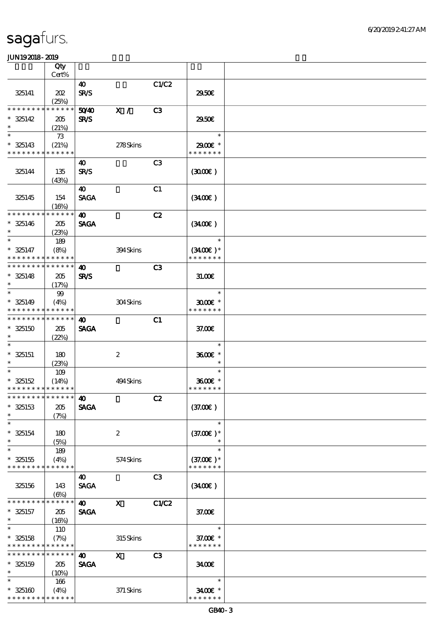|                                           | Qty                  |                       |                  |                |                             |  |
|-------------------------------------------|----------------------|-----------------------|------------------|----------------|-----------------------------|--|
|                                           | Cert%                |                       |                  |                |                             |  |
|                                           |                      | $\boldsymbol{\omega}$ |                  | C1/C2          |                             |  |
| 325141                                    | 202                  | <b>SR/S</b>           |                  |                | 2950E                       |  |
|                                           | (25%)                |                       |                  |                |                             |  |
| * * * * * * * *                           | * * * * * *          | 5040                  | X /              | C3             |                             |  |
| $* 325142$                                | 205                  | <b>SR/S</b>           |                  |                | 2950E                       |  |
| $\ast$                                    | (21%)                |                       |                  |                |                             |  |
| $\ast$                                    | 73                   |                       |                  |                | $\ast$                      |  |
| $* 325143$                                | (21%)                |                       | 278Skins         |                | 2900E *                     |  |
| * * * * * * * *                           | * * * * * *          |                       |                  |                | * * * * * * *               |  |
|                                           |                      | 40                    |                  | C <sub>3</sub> |                             |  |
| 325144                                    | 135                  | <b>SR/S</b>           |                  |                | (300)                       |  |
|                                           | (43%)                |                       |                  |                |                             |  |
|                                           |                      | 40                    |                  | C1             |                             |  |
| 325145                                    | 154                  | <b>SAGA</b>           |                  |                | (340)                       |  |
| * * * * * * * *                           | (16%)<br>* * * * * * |                       |                  |                |                             |  |
|                                           |                      | $\boldsymbol{\omega}$ |                  | C2             |                             |  |
| $* 325146$<br>$\ast$                      | 205                  | <b>SAGA</b>           |                  |                | (340)                       |  |
| $\ast$                                    | (23%)                |                       |                  |                | $\ast$                      |  |
|                                           | 189                  |                       |                  |                |                             |  |
| $* 325147$<br>* * * * * * * * * * * * * * | (8%)                 |                       | 394Skins         |                | $(3400)$ *<br>* * * * * * * |  |
| * * * * * * * * * * * * * *               |                      |                       |                  | C3             |                             |  |
| $* 325148$                                |                      | 40<br><b>SR/S</b>     |                  |                |                             |  |
| $\ast$                                    | 205                  |                       |                  |                | 31.006                      |  |
| $\ast$                                    | (17%)<br>99          |                       |                  |                | $\ast$                      |  |
| $* 325149$                                | (4%)                 |                       | 304Skins         |                | $3000$ $*$                  |  |
| * * * * * * * *                           | * * * * * *          |                       |                  |                | * * * * * * *               |  |
| * * * * * * * * * * * * * *               |                      | $\boldsymbol{\omega}$ |                  | C1             |                             |  |
| $*325150$                                 | 205                  | <b>SAGA</b>           |                  |                | 37.00E                      |  |
| $\ast$                                    | (22%)                |                       |                  |                |                             |  |
| $\ast$                                    |                      |                       |                  |                | $\ast$                      |  |
| $* 325151$                                | 180                  |                       | $\boldsymbol{2}$ |                | 3600E *                     |  |
| $\ast$                                    | (23%)                |                       |                  |                | $\ast$                      |  |
| $\ast$                                    | 109                  |                       |                  |                | $\ast$                      |  |
| $* 325152$                                | (14%)                |                       | 494Skins         |                | 3600E *                     |  |
| * * * * * * * * * * * * * *               |                      |                       |                  |                | * * * * * * *               |  |
| *************** <b>40</b>                 |                      |                       |                  | C2             |                             |  |
| $* 325153$                                | 205                  | <b>SAGA</b>           |                  |                | (37.00)                     |  |
| $\ast$                                    | (7%)                 |                       |                  |                |                             |  |
| $\ast$                                    |                      |                       |                  |                | $\ast$                      |  |
| $* 325154$                                | 180                  |                       | $\boldsymbol{2}$ |                | $(37.00)$ *                 |  |
| $\ast$                                    | (5%)                 |                       |                  |                | $\ast$                      |  |
| $\ast$                                    | 189                  |                       |                  |                | $\ast$                      |  |
| $* 325155$                                | (4%)                 |                       | 574Skins         |                | $(37.00)$ *                 |  |
| * * * * * * * *                           | * * * * * *          |                       |                  |                | * * * * * * *               |  |
|                                           |                      | 40                    |                  | C3             |                             |  |
| 325156                                    | 143                  | <b>SAGA</b>           |                  |                | (3400)                      |  |
|                                           | (6%)                 |                       |                  |                |                             |  |
| * * * * * * * *                           | * * * * * *          | $\boldsymbol{\omega}$ | $\mathbf{X}$     | C1/C2          |                             |  |
| $* 325157$                                | 205                  | <b>SAGA</b>           |                  |                | 37.00E                      |  |
| $\ast$                                    | (16%)                |                       |                  |                |                             |  |
| $\ast$                                    | 110                  |                       |                  |                | $\ast$                      |  |
| $* 325158$<br>* * * * * * * * * * * * * * | (7%)                 |                       | 315Skins         |                | 37.00 £*<br>* * * * * * *   |  |
| * * * * * * * *                           | * * * * * *          |                       |                  |                |                             |  |
|                                           |                      | $\boldsymbol{\omega}$ | $\mathbf{x}$     | C <sub>3</sub> |                             |  |
| $* 325159$<br>$\ast$                      | 205                  | <b>SAGA</b>           |                  |                | 3400E                       |  |
| $\ast$                                    | (10%)                |                       |                  |                | $\ast$                      |  |
| $* 325160$                                | 166<br>(4%)          |                       | 371 Skins        |                | 3400€ *                     |  |
| * * * * * * * * * * * * * *               |                      |                       |                  |                | * * * * * * *               |  |
|                                           |                      |                       |                  |                |                             |  |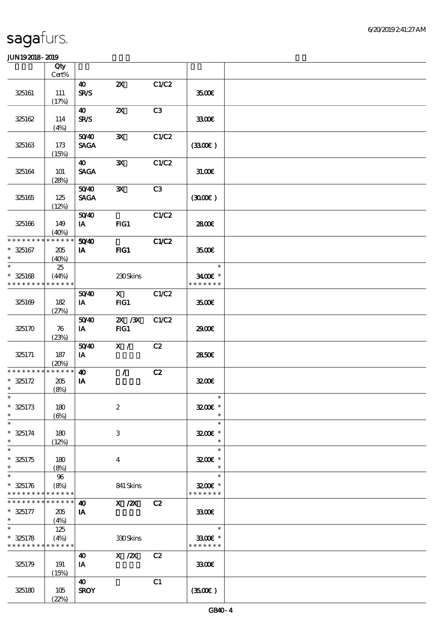|                                           | Qty<br>Cert%         |                                      |                                                                                                                                                                                                                                                                                                                                        |                |                             |  |
|-------------------------------------------|----------------------|--------------------------------------|----------------------------------------------------------------------------------------------------------------------------------------------------------------------------------------------------------------------------------------------------------------------------------------------------------------------------------------|----------------|-----------------------------|--|
|                                           |                      | $\boldsymbol{\omega}$                | $\boldsymbol{\mathsf{Z}}$                                                                                                                                                                                                                                                                                                              | C1/C2          |                             |  |
| 325161                                    | 111<br>(17%)         | <b>SR/S</b>                          |                                                                                                                                                                                                                                                                                                                                        |                | 3500€                       |  |
| 325162                                    | 114                  | $\boldsymbol{\omega}$<br><b>SR/S</b> | $\boldsymbol{\mathsf{X}}$                                                                                                                                                                                                                                                                                                              | C3             | 3300                        |  |
|                                           | (4%)                 |                                      |                                                                                                                                                                                                                                                                                                                                        |                |                             |  |
| 325163                                    | 173                  | 5040<br><b>SAGA</b>                  | $\mathbf{x}$                                                                                                                                                                                                                                                                                                                           | C1/C2          | (330)                       |  |
|                                           | (15%)                | $\boldsymbol{\omega}$                | $\mathbf{x}$                                                                                                                                                                                                                                                                                                                           | C1/C2          |                             |  |
| 325164                                    | 101<br>(28%)         | <b>SAGA</b>                          |                                                                                                                                                                                                                                                                                                                                        |                | 31.00E                      |  |
| 325165                                    | 125<br>(12%)         | 5040<br><b>SAGA</b>                  | $\mathbf{x}$                                                                                                                                                                                                                                                                                                                           | C <sub>3</sub> | (300)                       |  |
|                                           |                      | 5040                                 |                                                                                                                                                                                                                                                                                                                                        | C1/C2          |                             |  |
| 325166                                    | 149<br>(40%)         | $I$ A                                | FG1                                                                                                                                                                                                                                                                                                                                    |                | 2800€                       |  |
| * * * * * * * *                           | * * * * * *          | 50 <sup>/40</sup>                    |                                                                                                                                                                                                                                                                                                                                        | C1/C2          |                             |  |
| $* 325167$<br>$\ast$<br>$\ast$            | 205<br>(40%)         | IA                                   | FIG1                                                                                                                                                                                                                                                                                                                                   |                | 3500€                       |  |
|                                           | 25                   |                                      |                                                                                                                                                                                                                                                                                                                                        |                | $\ast$                      |  |
| $* 325168$<br>* * * * * * * *             | (44%)<br>* * * * * * |                                      | 230Skins                                                                                                                                                                                                                                                                                                                               |                | 3400€ *<br>* * * * * * *    |  |
| 325169                                    | 182                  | 5040<br>$I$ A                        | $\mathbf X$ and $\mathbf X$ and $\mathbf X$ and $\mathbf X$ and $\mathbf X$ and $\mathbf X$ and $\mathbf X$ and $\mathbf X$ and $\mathbf X$ and $\mathbf X$ and $\mathbf X$ and $\mathbf X$ and $\mathbf X$ and $\mathbf X$ and $\mathbf X$ and $\mathbf X$ and $\mathbf X$ and $\mathbf X$ and $\mathbf X$ and $\mathbf X$ and<br>FG1 | C1/C2          | 3500E                       |  |
|                                           | (27%)                |                                      |                                                                                                                                                                                                                                                                                                                                        |                |                             |  |
| 325170                                    | 76<br>(23%)          | 5040<br>$I$ A                        | $X \, X$<br>FG1                                                                                                                                                                                                                                                                                                                        | C1/C2          | 2900€                       |  |
| 325171                                    | 187                  | 5040<br>IA                           | X /                                                                                                                                                                                                                                                                                                                                    | C2             | 2850E                       |  |
| * * * * * * * * * * * * * *               | (20%)                | $\boldsymbol{\omega}$                | $\mathcal{L}$                                                                                                                                                                                                                                                                                                                          | C2             |                             |  |
| $* 325172$<br>$\ast$                      | 205<br>(8%)          | IA                                   |                                                                                                                                                                                                                                                                                                                                        |                | 3200E                       |  |
| $\ast$                                    |                      |                                      |                                                                                                                                                                                                                                                                                                                                        |                | $\ast$                      |  |
| $* 325173$<br>$\ast$                      | 180<br>$(\Theta)$    |                                      | $\boldsymbol{2}$                                                                                                                                                                                                                                                                                                                       |                | 3200E *<br>$\ast$           |  |
| $\ast$                                    |                      |                                      |                                                                                                                                                                                                                                                                                                                                        |                | $\ast$                      |  |
| $* 325174$<br>$\ast$<br>$\ast$            | 180<br>(12%)         |                                      | 3                                                                                                                                                                                                                                                                                                                                      |                | 3200E *<br>$\ast$<br>$\ast$ |  |
| $* 325175$<br>$\ast$                      | 180<br>(8%)          |                                      | $\overline{4}$                                                                                                                                                                                                                                                                                                                         |                | 3200E *<br>$\ast$           |  |
| $\ast$                                    | 96                   |                                      |                                                                                                                                                                                                                                                                                                                                        |                | $\ast$                      |  |
| $* 325176$<br>* * * * * * * * * * * * * * | (8%)                 |                                      | 841 Skins                                                                                                                                                                                                                                                                                                                              |                | 3200E *<br>* * * * * * *    |  |
| * * * * * * * *                           | * * * * * *          | $\boldsymbol{\omega}$                | $X \, /ZX$                                                                                                                                                                                                                                                                                                                             | C2             |                             |  |
| $* 325177$<br>$\ast$                      | 205<br>(4%)          | IA                                   |                                                                                                                                                                                                                                                                                                                                        |                | 3300                        |  |
| $\ast$                                    | 125                  |                                      |                                                                                                                                                                                                                                                                                                                                        |                | $\ast$                      |  |
| $* 325178$<br>* * * * * * * * * * * * * * | (4%)                 |                                      | 330Skins                                                                                                                                                                                                                                                                                                                               |                | 3300€ *<br>* * * * * * *    |  |
|                                           |                      | 40                                   | $X$ / $ZX$                                                                                                                                                                                                                                                                                                                             | C2             |                             |  |
| 325179                                    | 191<br>(15%)         | IA                                   |                                                                                                                                                                                                                                                                                                                                        |                | 3300€                       |  |
| 325180                                    | 105<br>(22%)         | 40<br><b>SROY</b>                    |                                                                                                                                                                                                                                                                                                                                        | C1             | (350)                       |  |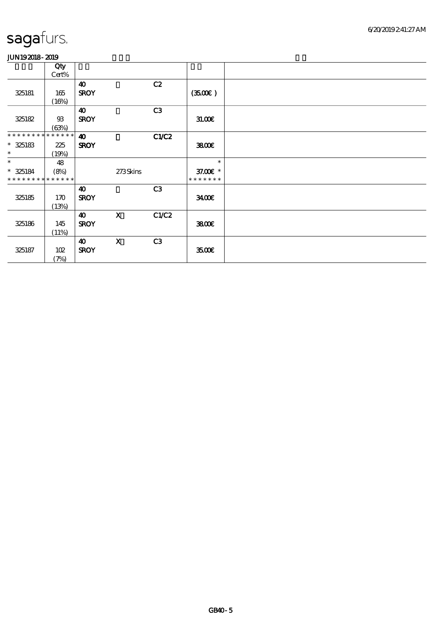|                             | Qty    |                       |                           |                |               |  |
|-----------------------------|--------|-----------------------|---------------------------|----------------|---------------|--|
|                             | Cert%  |                       |                           |                |               |  |
|                             |        | $\boldsymbol{\omega}$ |                           | C2             |               |  |
| 325181                      | 165    | <b>SROY</b>           |                           |                | (3500)        |  |
|                             | (16%)  |                       |                           |                |               |  |
|                             |        | $\boldsymbol{40}$     |                           | C <sub>3</sub> |               |  |
| 325182                      | $93\,$ | <b>SROY</b>           |                           |                | 31.00E        |  |
|                             | (63%)  |                       |                           |                |               |  |
| * * * * * * * * * * * * * * |        | $\boldsymbol{\omega}$ |                           | C1/C2          |               |  |
| $* 325183$                  | 225    | <b>SROY</b>           |                           |                | 3800€         |  |
| $\ast$                      | (19%)  |                       |                           |                |               |  |
| $\ast$                      | 48     |                       |                           |                | $\ast$        |  |
| $*$ 325184                  | (8%)   |                       | 273Skins                  |                | 37.00 £*      |  |
| * * * * * * * * * * * * * * |        |                       |                           |                | * * * * * * * |  |
|                             |        | 40                    |                           | C3             |               |  |
| 325185                      | 170    | <b>SROY</b>           |                           |                | 3400€         |  |
|                             | (13%)  |                       |                           |                |               |  |
|                             |        | $\boldsymbol{\omega}$ | $\boldsymbol{\mathrm{X}}$ | C1/C2          |               |  |
| 325186                      | 145    | <b>SROY</b>           |                           |                | 3800€         |  |
|                             | (11%)  |                       |                           |                |               |  |
|                             |        | $\boldsymbol{\omega}$ | $\mathbf X$               | C3             |               |  |
| 325187                      | 102    | <b>SROY</b>           |                           |                | 3500€         |  |
|                             | (7%)   |                       |                           |                |               |  |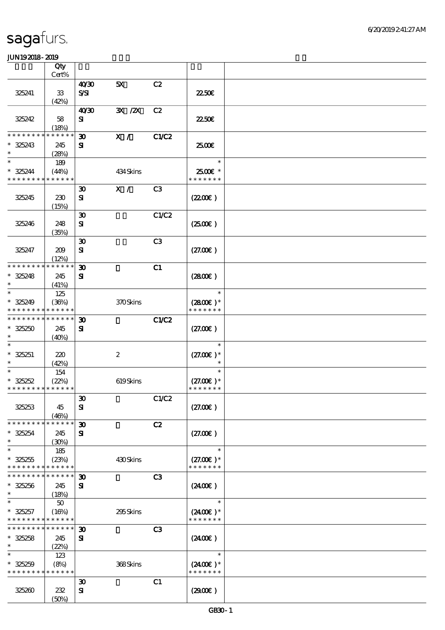|                             | Qty         |                               |                  |                |               |  |
|-----------------------------|-------------|-------------------------------|------------------|----------------|---------------|--|
|                             | Cert%       |                               |                  |                |               |  |
| 325241                      | ${\bf 33}$  | 40 <sup>30</sup><br>$S\!S\!I$ | 5X               | C2             | 2250E         |  |
|                             | (42%)       |                               |                  |                |               |  |
|                             |             | 40'30                         | 3X / 2X          | C2             |               |  |
| 325242                      | 58          | ${\bf s}$                     |                  |                | 2250E         |  |
|                             | (18%)       |                               |                  |                |               |  |
| * * * * * * *               | * * * * * * | $\boldsymbol{\mathfrak{D}}$   | X /              | C1/C2          |               |  |
| $* 325243$                  | 245         | ${\bf s}$                     |                  |                | 2500€         |  |
| $\ast$                      | (28%)       |                               |                  |                |               |  |
| $\ast$                      | 189         |                               |                  |                | $\ast$        |  |
| $* 325244$                  | (44%)       |                               | 434 Skins        |                | 2500€ *       |  |
| * * * * * * * *             | * * * * * * |                               |                  |                | * * * * * * * |  |
|                             |             | $\boldsymbol{\mathfrak{D}}$   | X /              | C3             |               |  |
| 325245                      | 230         | ${\bf s}$                     |                  |                | (220E)        |  |
|                             | (15%)       |                               |                  |                |               |  |
|                             |             | $\boldsymbol{\mathfrak{D}}$   |                  | C1/C2          |               |  |
| 325246                      | 248         | ${\bf S}$                     |                  |                | (250E)        |  |
|                             | (35%)       |                               |                  |                |               |  |
|                             |             | $\boldsymbol{\mathfrak{D}}$   |                  | C3             |               |  |
| 325247                      | 209         | ${\bf s}$                     |                  |                | (27.00)       |  |
|                             | (12%)       |                               |                  |                |               |  |
| * * * * * * * *             | * * * * * * | $\boldsymbol{\mathfrak{D}}$   |                  | C1             |               |  |
| $* 325248$                  | 245         | ${\bf s}$                     |                  |                | (280)         |  |
| $\ast$                      | (41%)       |                               |                  |                |               |  |
| $\ast$                      | 125         |                               |                  |                | $\ast$        |  |
| $* 325249$                  | (36%)       |                               | 370Skins         |                | $(2800)$ *    |  |
| * * * * * * * *             | * * * * * * |                               |                  |                | * * * * * * * |  |
| * * * * * * * *             | * * * * * * | $\boldsymbol{\mathfrak{D}}$   |                  | C1/C2          |               |  |
| $* 325250$                  | 245         | ${\bf s}$                     |                  |                | (27.00)       |  |
| $\ast$                      | (40%)       |                               |                  |                |               |  |
| $\ast$                      |             |                               |                  |                | $\ast$        |  |
| $* 325251$                  | 220         |                               | $\boldsymbol{2}$ |                | $(27.00)$ *   |  |
| $\ast$                      | (42%)       |                               |                  |                | $\ast$        |  |
| $\ast$                      | 154         |                               |                  |                | $\ast$        |  |
| $* 325252$                  | (22%)       |                               | 619Skins         |                | $(27.00)$ *   |  |
| * * * * * * * * * * * * * * |             |                               |                  |                | * * * * * * * |  |
|                             |             | $\boldsymbol{\mathfrak{D}}$   |                  | C1/C2          |               |  |
| 325253                      | 45          | ${\bf s}$                     |                  |                | (27.00)       |  |
|                             | (46%)       |                               |                  |                |               |  |
| * * * * * * * *             | * * * * * * | $\boldsymbol{\mathfrak{D}}$   |                  | C2             |               |  |
| $* 325254$                  | 245         | ${\bf s}$                     |                  |                | (27.00)       |  |
| $\ast$                      | (30%)       |                               |                  |                |               |  |
| $\ast$                      | 185         |                               |                  |                | $\ast$        |  |
| $* 325255$                  | (23%)       |                               | 430Skins         |                | $(27.00)$ *   |  |
| * * * * * * * *             | * * * * * * |                               |                  |                | * * * * * * * |  |
| * * * * * * * *             | * * * * * * | $\boldsymbol{\mathfrak{D}}$   |                  | C <sub>3</sub> |               |  |
| $* 325256$                  | 245         | ${\bf s}$                     |                  |                | (240E)        |  |
| $\ast$                      | (18%)       |                               |                  |                |               |  |
| $\ast$                      | $50\,$      |                               |                  |                | $\ast$        |  |
| $* 325257$                  | (16%)       |                               | 295Skins         |                | $(2400)$ *    |  |
| * * * * * * * *             | * * * * * * |                               |                  |                | * * * * * * * |  |
| * * * * * * * *             | * * * * * * | $\boldsymbol{\mathfrak{D}}$   |                  | C <sub>3</sub> |               |  |
| $* 325258$                  | 245         | ${\bf s}$                     |                  |                | (2400)        |  |
| $\ast$                      | (22%)       |                               |                  |                |               |  |
| $\ast$                      | 123         |                               |                  |                | $\ast$        |  |
| $* 325259$                  | (8%)        |                               | 368Skins         |                | $(2400)$ *    |  |
| * * * * * * * *             | * * * * * * |                               |                  |                | * * * * * * * |  |
|                             |             | $\boldsymbol{\mathfrak{D}}$   |                  | C1             |               |  |
| 325260                      | 232         | ${\bf s}$                     |                  |                | (290)         |  |
|                             | (50%)       |                               |                  |                |               |  |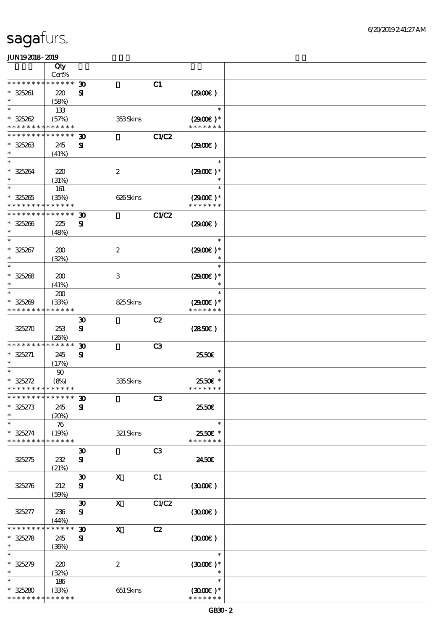|                                            | Qty                |                             |                           |                |                             |  |
|--------------------------------------------|--------------------|-----------------------------|---------------------------|----------------|-----------------------------|--|
| * * * * * * * *                            | Cert%<br>$******$  |                             |                           |                |                             |  |
|                                            |                    | $\boldsymbol{\mathfrak{D}}$ |                           | C1             |                             |  |
| $* 325261$<br>$\ast$                       | 220<br>(58%)       | ${\bf s}$                   |                           |                | (290)                       |  |
| $\ast$                                     | 133                |                             |                           |                | $\ast$                      |  |
| $* 325262$                                 | (57%)              |                             | 353Skins                  |                | $(2900)$ *                  |  |
| * * * * * * * * * * * * * *                |                    |                             |                           |                | * * * * * * *               |  |
| * * * * * * * * * * * * * *                |                    | $\boldsymbol{\mathfrak{D}}$ |                           | <b>C1/C2</b>   |                             |  |
| $* 325263$                                 | 245                | ${\bf s}$                   |                           |                | (2900)                      |  |
| $\ast$                                     | (41%)              |                             |                           |                |                             |  |
| $\ast$                                     |                    |                             |                           |                | $\ast$                      |  |
| $* 325264$                                 | 220                |                             | $\boldsymbol{2}$          |                | $(2900)$ *                  |  |
| $\ast$<br>$\ast$                           | (31%)              |                             |                           |                |                             |  |
|                                            | 161                |                             |                           |                | $\ast$                      |  |
| $* 325265$<br>* * * * * * * * * * * * * *  | (35%)              |                             | 626Skins                  |                | $(2900)$ *<br>* * * * * * * |  |
| * * * * * * * * * * * * * *                |                    | $\boldsymbol{\mathfrak{D}}$ |                           |                |                             |  |
| $* 325266$                                 | 225                | ${\bf s}$                   |                           | C1/C2          | (290E)                      |  |
| $\ast$                                     | (48%)              |                             |                           |                |                             |  |
| $\ast$                                     |                    |                             |                           |                | $\ast$                      |  |
| $* 325267$                                 | 200                |                             | $\boldsymbol{2}$          |                | $(2900)$ *                  |  |
| $\ast$                                     | (32%)              |                             |                           |                | $\ast$                      |  |
| $\ast$                                     |                    |                             |                           |                | $\ast$                      |  |
| $* 325268$                                 | 200                |                             | $\,3$                     |                | $(2900)$ *                  |  |
| $\ast$                                     | (41%)              |                             |                           |                | $\ast$                      |  |
| $\ast$                                     | 200                |                             |                           |                | $\ast$                      |  |
| $* 325209$                                 | (33%)              |                             | 825Skins                  |                | $(2900)$ *                  |  |
| * * * * * * * *                            | * * * * * *        |                             |                           |                | * * * * * * *               |  |
|                                            |                    | $\boldsymbol{\mathfrak{D}}$ |                           | C2             |                             |  |
| 325270                                     | 253                | ${\bf s}$                   |                           |                | (2850)                      |  |
|                                            | (20%)              |                             |                           |                |                             |  |
| * * * * * * * *                            | * * * * * *        | $\boldsymbol{\mathfrak{D}}$ |                           | C <sub>3</sub> |                             |  |
| $* 325271$<br>$\ast$                       | 245                | ${\bf s}$                   |                           |                | 2550€                       |  |
| $\ast$                                     | (17%)<br>90        |                             |                           |                | $\ast$                      |  |
| $* 325272$                                 | (8%)               |                             | 335Skins                  |                | 25.50€ *                    |  |
| * * * * * * * * <mark>* * * * * * *</mark> |                    |                             |                           |                | * * * * * * *               |  |
| ******** <sup>******</sup> 30              |                    |                             |                           | C <sub>3</sub> |                             |  |
| $* 325273$                                 | 245                | ${\bf s}$                   |                           |                | 25.50E                      |  |
| $\ast$                                     | (20%)              |                             |                           |                |                             |  |
| $\ast$                                     | $\boldsymbol{\pi}$ |                             |                           |                | $\ast$                      |  |
| $* 325274$                                 | (19%)              |                             | 321 Skins                 |                | 2550€ *                     |  |
| * * * * * * * *                            | * * * * * *        |                             |                           |                | * * * * * * *               |  |
|                                            |                    | $\boldsymbol{\mathfrak{D}}$ |                           | C <sub>3</sub> |                             |  |
| 325275                                     | 232                | ${\bf s}$                   |                           |                | 2450E                       |  |
|                                            | (21%)              | $\boldsymbol{\mathfrak{D}}$ | $\boldsymbol{\mathsf{X}}$ | C1             |                             |  |
| 325276                                     | 212                | ${\bf s}$                   |                           |                | (300)                       |  |
|                                            | (50%)              |                             |                           |                |                             |  |
|                                            |                    | $\boldsymbol{\mathfrak{D}}$ | $\mathbf{x}$              | C1/C2          |                             |  |
| 325277                                     | 236                | ${\bf s}$                   |                           |                | (300)                       |  |
|                                            | (44%)              |                             |                           |                |                             |  |
| * * * * * * *                              | * * * * * *        | $\boldsymbol{\mathfrak{D}}$ | $\mathbf x$               | C2             |                             |  |
| $* 325278$                                 | 245                | ${\bf s}$                   |                           |                | (300)                       |  |
| $\ast$                                     | (36%)              |                             |                           |                |                             |  |
| $\ast$                                     |                    |                             |                           |                | $\ast$                      |  |
| $* 325279$                                 | 220                |                             | $\boldsymbol{2}$          |                | $(3000\varepsilon)*$        |  |
| $\ast$                                     | (32%)              |                             |                           |                | $\ast$                      |  |
| $\ast$                                     | 186                |                             |                           |                | $\ast$                      |  |
| $* 325280$                                 | (33%)              |                             | 651 Skins                 |                | $(300E)*$                   |  |
| * * * * * * * *                            | * * * * * *        |                             |                           |                | * * * * * * *               |  |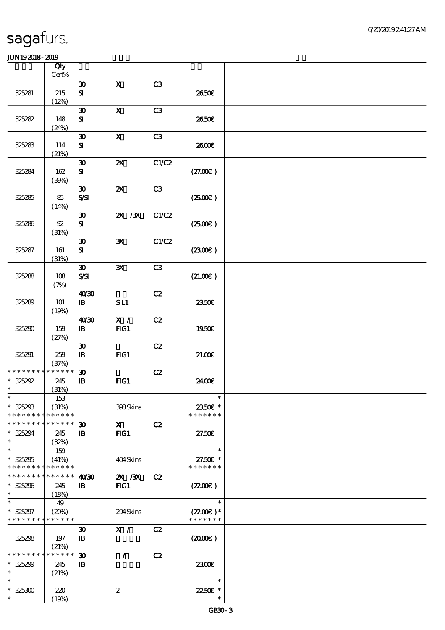|                                                                    | Qty<br>Cert%                    |                                                           |                           |                |                                                 |  |
|--------------------------------------------------------------------|---------------------------------|-----------------------------------------------------------|---------------------------|----------------|-------------------------------------------------|--|
|                                                                    |                                 | $\boldsymbol{\mathfrak{D}}$                               | $\mathbf x$               | C3             |                                                 |  |
| 325281                                                             | 215<br>(12%)                    | ${\bf S}$                                                 |                           |                | 2650E                                           |  |
| 325282                                                             | 148<br>(24%)                    | $\boldsymbol{\mathfrak{D}}$<br>${\bf s}$                  | $\mathbf X$               | C <sub>3</sub> | 2650E                                           |  |
| 325283                                                             | 114<br>(21%)                    | $\boldsymbol{\mathfrak{D}}$<br>${\bf s}$                  | $\mathbf{x}$              | C3             | 2600E                                           |  |
| 325284                                                             | 162<br>(30%)                    | $\boldsymbol{\mathfrak{D}}$<br>$\mathbf{S}$               | $\boldsymbol{\mathsf{z}}$ | C1/C2          | (27.00)                                         |  |
| 325285                                                             | 85<br>(14%)                     | $\boldsymbol{\mathfrak{D}}$<br>S/SI                       | $\boldsymbol{\mathsf{X}}$ | C3             | (250)                                           |  |
| 325286                                                             | ${\mathfrak A}$<br>(31%)        | $\boldsymbol{\mathfrak{D}}$<br>${\bf s}$                  | $\chi$ / $\chi$           | C1/C2          | (250)                                           |  |
| 325287                                                             | 161<br>(31%)                    | $\boldsymbol{\mathfrak{D}}$<br>${\bf s}$                  | $\mathbf{x}$              | C1/C2          | (230E)                                          |  |
| 325288                                                             | 108<br>(7%)                     | $\boldsymbol{\mathfrak{D}}$<br>S/SI                       | $\mathbf{x}$              | C3             | (21.00)                                         |  |
| 325289                                                             | 101<br>(19%)                    | 40'30<br>$\mathbf{B}$                                     | SL1                       | C2             | 2350E                                           |  |
| 325290                                                             | 159<br>(27%)                    | 40'30<br>$\mathbf{B}$                                     | X /<br>FG1                | C2             | 1950€                                           |  |
| 325291                                                             | 259<br>(37%)                    | $\boldsymbol{\mathfrak{D}}$<br>$\, {\bf I} \! {\bf B} \,$ | FG1                       | C2             | 21.00E                                          |  |
| * * * * * * * * <mark>* * * * * * *</mark><br>$* 325292$<br>$\ast$ | 245<br>(31%)                    | $\boldsymbol{\mathfrak{D}}$<br>$\, {\bf B}$               | FG1                       | C2             | 24.00E                                          |  |
| $\ast$<br>$* 325293$<br>* * * * * * * *                            | $153\,$<br>(31%)<br>* * * * * * |                                                           | 398Skins                  |                | $\ast$<br>2350€ *<br>* * * * * * *              |  |
| * * * * * * * * * * * * * *<br>$* 325294$<br>$\ast$                | 245<br>(32%)                    | $\boldsymbol{\mathfrak{D}}$<br>$\mathbf{B}$               | $\mathbf X$<br>FIG1       | C2             | 27.50E                                          |  |
| $\ast$<br>$* 325295$<br>* * * * * * * * * * * * * *                | 159<br>(41%)                    |                                                           | 404Skins                  |                | $\ast$<br>27.50€ *<br>* * * * * * *             |  |
| * * * * * * * * <mark>* * * * * *</mark><br>$* 325296$<br>$\ast$   | 245<br>(18%)                    | 40 <sup>30</sup><br>${\bf I\!B}$                          | $X \, X$<br>$HG1$         | C2             | (220E)                                          |  |
| $\ast$<br>$* 325297$<br>* * * * * * * * <mark>* * * * * *</mark>   | 49<br>(20%)                     |                                                           | 294Skins                  |                | $\ast$<br>$(2200\varepsilon)*$<br>* * * * * * * |  |
| 325298                                                             | 197<br>(21%)                    | $\boldsymbol{\mathfrak{D}}$<br>$\mathbf{B}$               | X /                       | C2             | (200)                                           |  |
| * * * * * * * *<br>$* 325299$<br>$\ast$                            | * * * * * *<br>245<br>(21%)     | $\boldsymbol{\mathfrak{D}}$<br>$\mathbf{B}$               | $\mathcal{L}$             | C2             | 2300E                                           |  |
| $\ast$<br>$* 325300$<br>$\ast$                                     | 220<br>(19%)                    |                                                           | $\boldsymbol{2}$          |                | $\ast$<br>22.50€ *                              |  |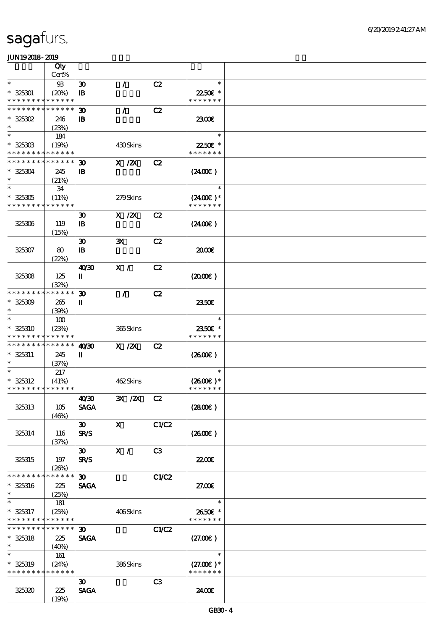|                                            | Qty             |                             |                                                                              |                |                      |  |
|--------------------------------------------|-----------------|-----------------------------|------------------------------------------------------------------------------|----------------|----------------------|--|
|                                            | Cert%           |                             |                                                                              |                |                      |  |
| $\ast$                                     | $93$            | $\boldsymbol{\mathfrak{D}}$ | $\mathcal{L}$                                                                | C2             | $\ast$               |  |
| $* 325301$                                 | (20%)           | $\mathbf{B}$                |                                                                              |                | 22.50€ *             |  |
| * * * * * * * * <mark>* * * * * *</mark>   |                 |                             |                                                                              |                | * * * * * * *        |  |
| * * * * * * * * * * * * * *                |                 | $\boldsymbol{\mathfrak{D}}$ | $\mathcal{L}$                                                                | C2             |                      |  |
| $*$ 325302                                 | 246             | $\mathbf{B}$                |                                                                              |                | 2300€                |  |
| $\ast$                                     | (23%)           |                             |                                                                              |                |                      |  |
| $\ast$                                     | 184             |                             |                                                                              |                | $\ast$               |  |
| $* 32530B$                                 | (19%)           |                             | 430Skins                                                                     |                | 22.50€ *             |  |
| * * * * * * * * * * * * * *                |                 |                             |                                                                              |                | * * * * * * *        |  |
| * * * * * * * * <mark>* * * * * * *</mark> |                 | $\boldsymbol{\mathfrak{D}}$ | $X$ / $ZX$                                                                   | C2             |                      |  |
| $* 325304$                                 | 245             | $\mathbf{B}$                |                                                                              |                | $(2400\varepsilon)$  |  |
| $\ast$                                     | (21%)           |                             |                                                                              |                |                      |  |
| $\ast$                                     | 34              |                             |                                                                              |                | $\ast$               |  |
| $* 325305$                                 | (11%)           |                             | 279Skins                                                                     |                | $(2400\varepsilon)*$ |  |
| * * * * * * * * * * * * * *                |                 |                             |                                                                              |                | * * * * * * *        |  |
|                                            |                 | $\boldsymbol{\mathfrak{D}}$ | $\boldsymbol{\mathrm{X}}$ / $\boldsymbol{\mathrm{Z}}\boldsymbol{\mathrm{X}}$ | C2             |                      |  |
| 325306                                     | 119             | $\mathbf{B}$                |                                                                              |                | (2400)               |  |
|                                            | (15%)           |                             |                                                                              |                |                      |  |
|                                            |                 | $\boldsymbol{\mathfrak{D}}$ | ${\bf X}$                                                                    | C2             |                      |  |
| 325307                                     | 80              | $\mathbf{B}$                |                                                                              |                | 2000E                |  |
|                                            | (22%)           |                             |                                                                              |                |                      |  |
|                                            |                 | 40'30                       | X /                                                                          | C2             |                      |  |
| 325308                                     | 125             | П                           |                                                                              |                | $(2000\varepsilon)$  |  |
|                                            | (32%)           |                             |                                                                              |                |                      |  |
| * * * * * * * *                            | * * * * * *     | $\boldsymbol{\mathfrak{D}}$ | $\mathcal{L}$                                                                | C2             |                      |  |
| $* 325309$                                 | 265             | П                           |                                                                              |                | 2350E                |  |
| $\ast$                                     | (39%)           |                             |                                                                              |                |                      |  |
| $\ast$                                     | 100             |                             |                                                                              |                | $\ast$               |  |
| $* 325310$                                 | (23%)           |                             | 365Skins                                                                     |                | 2350€ *              |  |
| * * * * * * * * <mark>* * * * * *</mark> * |                 |                             |                                                                              |                | * * * * * * *        |  |
| * * * * * * * * <mark>* * * * * * *</mark> |                 | 40'30                       | $X$ / $ZX$                                                                   | C2             |                      |  |
| $* 325311$                                 | 245             | П                           |                                                                              |                | $(2600\varepsilon)$  |  |
| $\ast$                                     | (37%)           |                             |                                                                              |                |                      |  |
| $\ast$                                     | 217             |                             |                                                                              |                | $\ast$               |  |
| $* 325312$                                 | (41%)           |                             | 462Skins                                                                     |                | $(2600)$ *           |  |
| * * * * * * * * * * * * * *                |                 |                             |                                                                              |                | * * * * * * *        |  |
|                                            |                 | 40/30                       | 3X /2X C2                                                                    |                |                      |  |
| 325313                                     | 105             | <b>SAGA</b>                 |                                                                              |                | (2800)               |  |
|                                            | (46%)           |                             |                                                                              |                |                      |  |
|                                            |                 | $\infty$                    | $\mathbf{X}$                                                                 | C1/C2          |                      |  |
| 325314                                     | 116             | <b>SR/S</b>                 |                                                                              |                | (260)                |  |
|                                            | (37%)           |                             |                                                                              |                |                      |  |
|                                            |                 | $\boldsymbol{\mathfrak{D}}$ | X /                                                                          | C3             |                      |  |
| 325315                                     | 197             | <b>SR/S</b>                 |                                                                              |                | 2200                 |  |
|                                            | (20%)           |                             |                                                                              |                |                      |  |
| * * * * * * * *                            | $* * * * * * *$ | 30 <sub>o</sub>             |                                                                              | C1/C2          |                      |  |
| $* 325316$                                 | 225             | <b>SAGA</b>                 |                                                                              |                | 27.00E               |  |
| $\ast$                                     | (25%)           |                             |                                                                              |                |                      |  |
| $\ast$                                     | 181             |                             |                                                                              |                | $\ast$               |  |
| $* 325317$                                 | (25%)           |                             | 406Skins                                                                     |                | 2650€ *              |  |
| * * * * * * * * * * * * * *                |                 |                             |                                                                              |                | * * * * * * *        |  |
| * * * * * * * * * * * * * * *              |                 | 30 <sub>o</sub>             |                                                                              | <b>C1/C2</b>   |                      |  |
| $* 325318$                                 | 225             | <b>SAGA</b>                 |                                                                              |                | (27.00)              |  |
| $\ast$                                     | (40%)           |                             |                                                                              |                |                      |  |
| $\ast$                                     | 161             |                             |                                                                              |                | $\ast$               |  |
| * 325319                                   | (24%)           |                             | 386Skins                                                                     |                | $(27.00)$ *          |  |
| * * * * * * * * * * * * * *                |                 |                             |                                                                              |                | * * * * * * *        |  |
|                                            |                 | $\boldsymbol{\mathfrak{D}}$ |                                                                              | C <sub>3</sub> |                      |  |
| 325320                                     | 225             | <b>SAGA</b>                 |                                                                              |                | 2400€                |  |
|                                            | (19%)           |                             |                                                                              |                |                      |  |
|                                            |                 |                             |                                                                              |                |                      |  |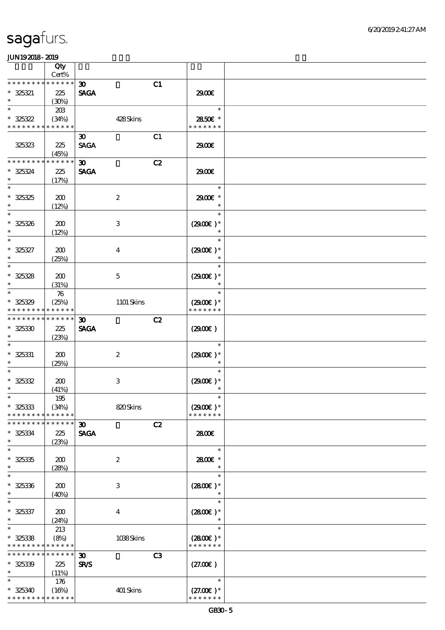|                                            | Qty                  |                             |    |                             |  |
|--------------------------------------------|----------------------|-----------------------------|----|-----------------------------|--|
| * * * * * * * *                            | Cert%<br>* * * * * * |                             |    |                             |  |
|                                            |                      | $\boldsymbol{\mathfrak{D}}$ | C1 |                             |  |
| $* 325321$<br>$\ast$                       | 225<br>(30%)         | <b>SAGA</b>                 |    | 2900€                       |  |
| $\ast$                                     | 20B                  |                             |    | $\ast$                      |  |
| $* 325322$                                 | (34%)                | 428Skins                    |    | 2850E *                     |  |
| * * * * * * * * * * * * * *                |                      |                             |    | * * * * * * *               |  |
|                                            |                      | $\boldsymbol{\mathfrak{D}}$ | C1 |                             |  |
| 325323                                     | 225                  | <b>SAGA</b>                 |    | 2900€                       |  |
|                                            | (45%)                |                             |    |                             |  |
| * * * * * * * *                            | * * * * * *          | $\boldsymbol{\mathfrak{D}}$ | C2 |                             |  |
| * 325324                                   | 225                  | <b>SAGA</b>                 |    | 2900€                       |  |
| $\ast$<br>$\ast$                           | (17%)                |                             |    | $\ast$                      |  |
|                                            |                      |                             |    |                             |  |
| $* 325325$<br>$\ast$                       | 200<br>(12%)         | $\boldsymbol{2}$            |    | 2900€ *<br>$\ast$           |  |
| $\ast$                                     |                      |                             |    | $\ast$                      |  |
| $* 325326$                                 | 200                  | $\,3$                       |    | $(2900)$ *                  |  |
| $\ast$                                     | (12%)                |                             |    | $\ast$                      |  |
| $\ast$                                     |                      |                             |    | $\ast$                      |  |
| $* 325327$                                 | 200                  | $\boldsymbol{4}$            |    | $(2900)$ *                  |  |
| $\ast$                                     | (25%)                |                             |    | $\ast$                      |  |
| $\ast$                                     |                      |                             |    | $\ast$                      |  |
| $* 325328$                                 | 200                  | $\mathbf 5$                 |    | $(2900)$ *                  |  |
| $\ast$<br>$\ast$                           | (31%)                |                             |    | $\ast$                      |  |
|                                            | 76                   |                             |    | $\ast$                      |  |
| $* 325329$<br>* * * *                      | (25%)<br>* * * * * * | 1101 Skins                  |    | $(2900)$ *<br>* * * * * * * |  |
| * * * * * * * *                            | * * * * * *          | $\boldsymbol{\mathfrak{D}}$ | C2 |                             |  |
| $* 32530$                                  | 225                  | <b>SAGA</b>                 |    | (2900)                      |  |
| $\ast$                                     | (23%)                |                             |    |                             |  |
| $\ast$                                     |                      |                             |    | $\ast$                      |  |
| $* 325331$                                 | 200                  | $\boldsymbol{2}$            |    | $(2900)$ *                  |  |
| $\ast$                                     | (25%)                |                             |    | $\ast$                      |  |
| $\ast$                                     |                      |                             |    | $\ast$                      |  |
| $* 325332$                                 | 200                  | $\,3$                       |    | $(2900)$ *                  |  |
| $\ast$<br>$*$                              | (41%)                |                             |    | $\ast$<br>$\ast$            |  |
| $* 325333$                                 | $195\,$<br>(34%)     | 820Skins                    |    | $(2900)$ *                  |  |
| * * * * * * * *                            | * * * * * *          |                             |    | * * * * * * *               |  |
| * * * * * * * *                            | * * * * * *          | $\boldsymbol{\mathfrak{D}}$ | C2 |                             |  |
| $* 325334$                                 | 225                  | <b>SAGA</b>                 |    | 2800€                       |  |
| $\ast$                                     | (23%)                |                             |    |                             |  |
| $\ast$                                     |                      |                             |    | $\ast$                      |  |
| $* 325335$                                 | 200                  | $\boldsymbol{2}$            |    | 2800E *                     |  |
| $\ast$                                     | (28%)                |                             |    | $\ast$                      |  |
| $\ast$                                     |                      |                             |    | $\ast$                      |  |
| $* 325336$<br>$\ast$                       | 200                  | $\,3$                       |    | $(2800)$ *                  |  |
| $\ast$                                     | (40%)                |                             |    | $\ast$                      |  |
| $* 325337$                                 | 200                  | $\boldsymbol{4}$            |    | $(2800)$ *                  |  |
| $\ast$                                     | (24%)                |                             |    | $\ast$                      |  |
| $\ast$                                     | 213                  |                             |    | $\ast$                      |  |
| $* 325338$                                 | (8%)                 | 1038Skins                   |    | $(2800)$ *                  |  |
| * * * * * * * * <mark>* * * * * *</mark> * |                      |                             |    | * * * * * * *               |  |
| * * * * * * * *                            | * * * * * *          | $\boldsymbol{\mathfrak{D}}$ | C3 |                             |  |
| $* 325339$                                 | 225                  | <b>SR/S</b>                 |    | (27.00)                     |  |
| $\ast$                                     | (11%)                |                             |    |                             |  |
| $\ast$                                     | 176                  |                             |    | $\ast$                      |  |
| $* 325340$                                 | (16%)                | 401 Skins                   |    | $(27.00)$ *                 |  |
| * * * * * * * * <mark>* * * * * *</mark> * |                      |                             |    | * * * * * * *               |  |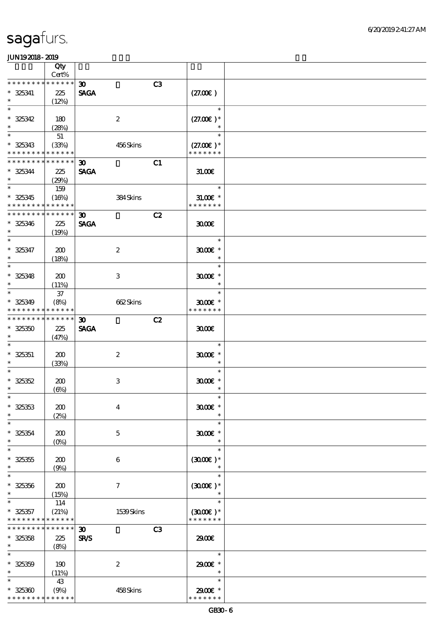|                                                            | Qty<br>Cert%         |                                            |           |                                       |  |
|------------------------------------------------------------|----------------------|--------------------------------------------|-----------|---------------------------------------|--|
| * * * * * * * * * * * * * *                                |                      | $\boldsymbol{\mathfrak{D}}$                | C3        |                                       |  |
| $* 325341$<br>$\ast$                                       | 225<br>(12%)         | <b>SAGA</b>                                |           | (27.00)                               |  |
| $\ast$                                                     |                      |                                            |           | $\ast$                                |  |
| $* 325342$<br>$\ast$                                       | 180<br>(28%)         | $\boldsymbol{2}$                           |           | $(27.00)$ *<br>$\ast$                 |  |
| $\ast$                                                     | 51                   |                                            |           | $\ast$                                |  |
| $* 325343$<br>* * * * * * * *                              | (33%)<br>* * * * * * |                                            | 456Skins  | $(27.00)$ *<br>* * * * * * *          |  |
| * * * * * * * *                                            | * * * * * *          | $\boldsymbol{\mathfrak{D}}$                | C1        |                                       |  |
| $* 325344$<br>$\ast$                                       | 225<br>(29%)         | <b>SAGA</b>                                |           | 31.006                                |  |
| $\ast$                                                     | 159                  |                                            |           | $\ast$                                |  |
| $* 325345$                                                 | (16%)                |                                            | 384Skins  | $31.00E$ *                            |  |
| * * * * * * * * * * * * * *<br>* * * * * * * * * * * * * * |                      |                                            |           | * * * * * * *                         |  |
| $* 325346$<br>$\ast$                                       | 225<br>(19%)         | $\boldsymbol{\mathfrak{D}}$<br><b>SAGA</b> | C2        | 3000                                  |  |
| $\overline{\ast}$                                          |                      |                                            |           | $\ast$                                |  |
| $* 325347$<br>$\ast$                                       | 200<br>(18%)         | $\boldsymbol{2}$                           |           | $3000$ $*$<br>$\ast$                  |  |
| $\ast$                                                     |                      |                                            |           | $\ast$                                |  |
| $* 325348$<br>$\ast$                                       | 200<br>(11%)         | $\,3$                                      |           | $3000$ $*$<br>$\ast$                  |  |
| $\ast$                                                     | $37\,$               |                                            |           | $\ast$                                |  |
| $* 325349$<br>* * * * * * * *                              | (8%)<br>* * * * * *  |                                            | 662Skins  | $3000$ $*$<br>* * * * * * *           |  |
| * * * * * * * *                                            | * * * * * *          | $\boldsymbol{\mathfrak{D}}$                | C2        |                                       |  |
| $* 325350$<br>$\ast$                                       | 225<br>(47%)         | <b>SAGA</b>                                |           | 3000                                  |  |
| $\ast$                                                     |                      |                                            |           | $\ast$                                |  |
| $* 325351$<br>$\ast$                                       | 200<br>(33%)         | $\boldsymbol{2}$                           |           | $3000$ $*$<br>$\ast$                  |  |
| $\ast$                                                     |                      |                                            |           | $\ast$                                |  |
| $* 325352$                                                 | 200                  | $\,3$                                      |           | $3000$ $*$                            |  |
| $\ast$                                                     | $(\Theta)$           |                                            |           | $\ast$                                |  |
| $*$<br>$* 325353$<br>$\ast$                                | 200                  | $\boldsymbol{4}$                           |           | $\ast$<br>$3000$ $*$<br>$\ast$        |  |
| $\ast$                                                     | (2%)                 |                                            |           | $\ast$                                |  |
| $* 325354$<br>$\ast$                                       | 200<br>$(0\%)$       | $\mathbf 5$                                |           | $3000$ $*$<br>$\ast$                  |  |
| $\ast$                                                     |                      |                                            |           | $\ast$                                |  |
| $^\ast$ 325355<br>$\ast$                                   | 200<br>(9%)          | $\boldsymbol{6}$                           |           | $(3000)$ *<br>$\ast$                  |  |
| $\ast$                                                     |                      |                                            |           | $\ast$                                |  |
| $* 325356$<br>$\ast$                                       | 200<br>(15%)         | $\boldsymbol{\tau}$                        |           | $(3000\varepsilon)*$                  |  |
| $\ast$                                                     | 114                  |                                            |           | $\ast$                                |  |
| $* 325357$<br>* * * * * * * * <mark>* * * * * *</mark> *   | (21%)                |                                            | 1539Skins | $(3000\varepsilon)*$<br>* * * * * * * |  |
| * * * * * * * *                                            | * * * * * *          | $\boldsymbol{\mathfrak{D}}$                | C3        |                                       |  |
| $* 325358$                                                 | 225                  | SR/S                                       |           | 2900                                  |  |
| $\ast$                                                     | (8%)                 |                                            |           |                                       |  |
| $\ast$                                                     |                      |                                            |           | $\ast$                                |  |
| $* 325359$                                                 | 190                  | $\boldsymbol{2}$                           |           | 2900€ *                               |  |
| $\ast$                                                     | (11%)                |                                            |           | $\ast$                                |  |
| $\ast$                                                     | 43                   |                                            |           | $\ast$                                |  |
| $* 325300$<br>* * * * * * * * <mark>* * * * * *</mark> *   | (9%)                 |                                            | 458Skins  | 2900€ *<br>* * * * * * *              |  |
|                                                            |                      |                                            |           |                                       |  |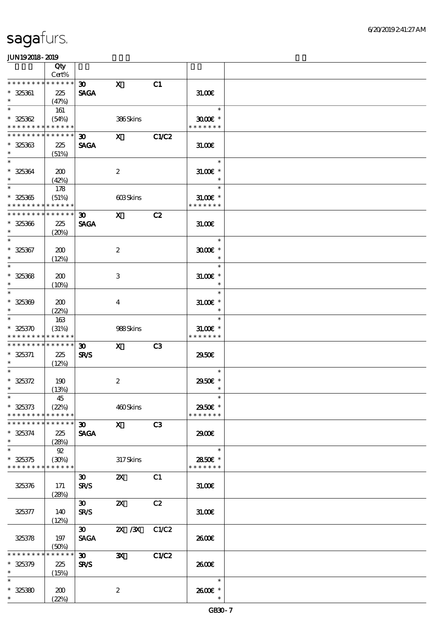|                                                           | Qty<br>Cert%                |                                            |                           |                |                                       |  |
|-----------------------------------------------------------|-----------------------------|--------------------------------------------|---------------------------|----------------|---------------------------------------|--|
| * * * * * * * *                                           | * * * * * *                 |                                            |                           |                |                                       |  |
| $* 325361$<br>$\ast$                                      | 225<br>(47%)                | $\infty$<br><b>SAGA</b>                    | $\mathbf{x}$              | C1             | 31.00E                                |  |
| $\ast$                                                    | 161                         |                                            |                           |                | $\ast$                                |  |
| $* 325362$<br>* * * * * * * * <mark>* * * * * *</mark>    | (54%)                       |                                            | 386Skins                  |                | $3000$ $\epsilon$ *<br>* * * * * * *  |  |
| * * * * * * * * * * * * * *                               |                             | 30                                         | $\mathbf{X}$              | C1/C2          |                                       |  |
| $* 325363$<br>$\ast$                                      | 225<br>(51%)                | <b>SAGA</b>                                |                           |                | 31.00                                 |  |
| $\ast$<br>$* 325364$<br>$\ast$                            | 200<br>(42%)                |                                            | $\boldsymbol{2}$          |                | $\ast$<br>$31.005*$<br>$\ast$         |  |
| $\overline{\phantom{1}}$<br>$* 325365$<br>* * * * * * * * | 178<br>(51%)<br>* * * * * * |                                            | 603Skins                  |                | $\ast$<br>$31.00E$ *<br>* * * * * * * |  |
| * * * * * * * * * * * * * *                               |                             | 30 <sub>o</sub>                            | $\mathbf{X}$              | C2             |                                       |  |
| $* 325366$<br>$\ast$                                      | 225<br>(20%)                | <b>SAGA</b>                                |                           |                | 31.00                                 |  |
| $\ast$                                                    |                             |                                            |                           |                | $\ast$                                |  |
| $* 325367$<br>$\ast$                                      | 200<br>(12%)                |                                            | $\boldsymbol{2}$          |                | $3000$ $*$<br>$\ast$                  |  |
| $\overline{\ast}$                                         |                             |                                            |                           |                | $\ast$                                |  |
| $* 325368$<br>$\ast$                                      | 200<br>$(10\%)$             |                                            | 3                         |                | $31.00E$ *<br>$\ast$                  |  |
| $\ast$<br>$* 325309$<br>$\ast$                            | 200<br>(22%)                |                                            | $\overline{4}$            |                | $\ast$<br>$31.005*$<br>$\ast$         |  |
| $\ast$                                                    | 163                         |                                            |                           |                | $\ast$                                |  |
| $* 325370$<br>* * * * * * * *                             | (31%)<br>* * * * * *        |                                            | 988Skins                  |                | $31.005*$<br>* * * * * * *            |  |
| * * * * * * * *                                           | ******                      | $\boldsymbol{\mathfrak{D}}$                | $\mathbf{X}$              | C <sub>3</sub> |                                       |  |
| $* 325371$<br>$\ast$                                      | 225<br>(12%)                | <b>SR/S</b>                                |                           |                | 2950E                                 |  |
| $\ast$                                                    |                             |                                            |                           |                | $\ast$                                |  |
| $* 325372$<br>$\ast$                                      | 190<br>(13%)                |                                            | $\boldsymbol{2}$          |                | 2950€ *<br>$\ast$                     |  |
| $*$                                                       | 45                          |                                            |                           |                | $\ast$                                |  |
| $* 325373$<br>* * * * * * * *                             | (22%)<br>* * * * * *        |                                            | 460Skins                  |                | 2950€ *<br>* * * * * * *              |  |
| * * * * * * * *                                           | * * * * * *                 | $\boldsymbol{\mathfrak{D}}$                | $\mathbf X$               | C3             |                                       |  |
| $* 325374$<br>$\ast$                                      | 225<br>(28%)                | <b>SAGA</b>                                |                           |                | 29.00E                                |  |
| $\ast$                                                    | 92                          |                                            |                           |                | $\ast$                                |  |
| $* 325375$<br>* * * * * * * * * * * * * *                 | (30%)                       |                                            | 317Skins                  |                | 2850€ *<br>* * * * * * *              |  |
|                                                           |                             | $\boldsymbol{\mathfrak{D}}$                | $\boldsymbol{\mathsf{Z}}$ | C1             |                                       |  |
| 325376                                                    | 171<br>(28%)                | <b>SR/S</b>                                |                           |                | 31.00E                                |  |
| 325377                                                    | 140<br>(12%)                | $\mathbf{E}$<br><b>SR/S</b>                | $\boldsymbol{\mathsf{X}}$ | C2             | 31.00E                                |  |
| 325378                                                    | 197<br>(50%)                | $\boldsymbol{\mathfrak{D}}$<br><b>SAGA</b> | 2X / 3X                   | C1/C2          | 2600E                                 |  |
| * * * * * * *                                             | * * * * * *                 | $30-1$                                     | $\mathbf{x}$              | C1/C2          |                                       |  |
| $* 325379$<br>$\ast$                                      | 225<br>(15%)                | <b>SR/S</b>                                |                           |                | 2600E                                 |  |
| $\ast$                                                    |                             |                                            |                           |                | $\ast$                                |  |
| $* 325380$<br>$\ast$                                      | 200<br>(22%)                |                                            | $\boldsymbol{z}$          |                | 2600E *                               |  |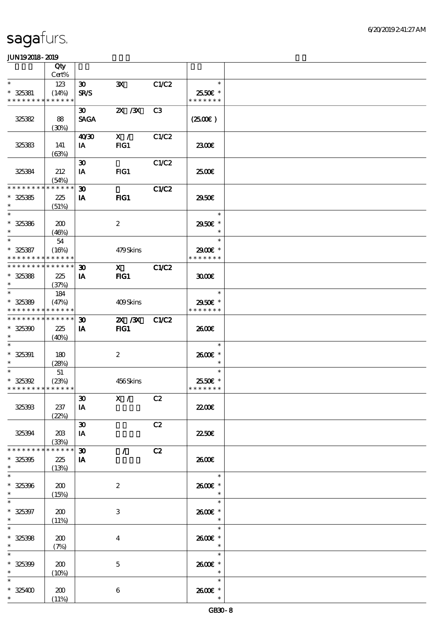|                                           | Qty                  |                             |                                                                                                                                                                                                                                                                                                                                 |                |                           |  |
|-------------------------------------------|----------------------|-----------------------------|---------------------------------------------------------------------------------------------------------------------------------------------------------------------------------------------------------------------------------------------------------------------------------------------------------------------------------|----------------|---------------------------|--|
|                                           | Cert%                |                             |                                                                                                                                                                                                                                                                                                                                 |                |                           |  |
| $\ast$                                    | 123                  | $\boldsymbol{\mathfrak{D}}$ | $\mathbf{x}$                                                                                                                                                                                                                                                                                                                    | C1/C2          | $\ast$                    |  |
| $* 325381$<br>* * * * * * * * * * * * * * | (14%)                | <b>SR/S</b>                 |                                                                                                                                                                                                                                                                                                                                 |                | 25.50€ *<br>* * * * * * * |  |
|                                           |                      | $\boldsymbol{\mathfrak{D}}$ | $X \, X$                                                                                                                                                                                                                                                                                                                        | C <sub>3</sub> |                           |  |
| 325382                                    | 88                   | <b>SAGA</b>                 |                                                                                                                                                                                                                                                                                                                                 |                | $(2500\varepsilon)$       |  |
|                                           | (30%)                |                             |                                                                                                                                                                                                                                                                                                                                 |                |                           |  |
|                                           |                      | 40'30                       | X /                                                                                                                                                                                                                                                                                                                             | C1/C2          |                           |  |
| 325383                                    | 141                  | IA                          | FG1                                                                                                                                                                                                                                                                                                                             |                | 2300€                     |  |
|                                           | (63%)                |                             |                                                                                                                                                                                                                                                                                                                                 |                |                           |  |
|                                           |                      | $\boldsymbol{\mathfrak{D}}$ |                                                                                                                                                                                                                                                                                                                                 | C1/C2          |                           |  |
| 325384                                    | 212                  | IA                          | FG1                                                                                                                                                                                                                                                                                                                             |                | 2500E                     |  |
| * * * * * * * *                           | (54%)<br>* * * * * * | $\boldsymbol{\mathfrak{D}}$ |                                                                                                                                                                                                                                                                                                                                 | C1/C2          |                           |  |
| $* 325385$                                | 225                  | IA                          | FIG1                                                                                                                                                                                                                                                                                                                            |                | 2950E                     |  |
| $\ast$                                    | (51%)                |                             |                                                                                                                                                                                                                                                                                                                                 |                |                           |  |
| $\ast$                                    |                      |                             |                                                                                                                                                                                                                                                                                                                                 |                | $\ast$                    |  |
| $* 325386$                                | 200                  |                             | $\boldsymbol{2}$                                                                                                                                                                                                                                                                                                                |                | 2950€ *                   |  |
| $\ast$                                    | (46%)                |                             |                                                                                                                                                                                                                                                                                                                                 |                | $\ast$                    |  |
| $\ast$                                    | 54                   |                             |                                                                                                                                                                                                                                                                                                                                 |                | $\ast$                    |  |
| $* 325387$                                | (16%)                |                             | 479Skins                                                                                                                                                                                                                                                                                                                        |                | 2900€ *                   |  |
| * * * * * * * * <mark>* * * * * *</mark>  |                      |                             |                                                                                                                                                                                                                                                                                                                                 |                | * * * * * * *             |  |
| * * * * * * * * * * * * * *               |                      | $\boldsymbol{\mathfrak{D}}$ | $\mathbf X$ and $\mathbf X$ and $\mathbf X$ and $\mathbf X$ and $\mathbf X$ and $\mathbf X$ and $\mathbf X$ and $\mathbf X$ and $\mathbf X$ and $\mathbf X$ and $\mathbf X$ and $\mathbf X$ and $\mathbf X$ and $\mathbf X$ and $\mathbf X$ and $\mathbf X$ and $\mathbf X$ and $\mathbf X$ and $\mathbf X$ and $\mathbf X$ and | <b>C1/C2</b>   |                           |  |
| $* 325388$<br>$\ast$                      | 225                  | IA                          | $HG1$                                                                                                                                                                                                                                                                                                                           |                | 3000                      |  |
| $\ast$                                    | (37%)                |                             |                                                                                                                                                                                                                                                                                                                                 |                | $\ast$                    |  |
| $* 325389$                                | 184<br>(47%)         |                             | 409Skins                                                                                                                                                                                                                                                                                                                        |                | 2950€ *                   |  |
| * * * * * * * * * * * * * *               |                      |                             |                                                                                                                                                                                                                                                                                                                                 |                | * * * * * * *             |  |
| * * * * * * * * * * * * * *               |                      | $\boldsymbol{\mathfrak{D}}$ | 2X / 3X                                                                                                                                                                                                                                                                                                                         | CLC2           |                           |  |
| $* 325300$                                | 225                  | <b>IA</b>                   | FIG1                                                                                                                                                                                                                                                                                                                            |                | 2600E                     |  |
| $\ast$                                    | (40%)                |                             |                                                                                                                                                                                                                                                                                                                                 |                |                           |  |
| $\ast$                                    |                      |                             |                                                                                                                                                                                                                                                                                                                                 |                | $\ast$                    |  |
| $* 325391$                                | 180                  |                             | $\boldsymbol{2}$                                                                                                                                                                                                                                                                                                                |                | 2600€ *                   |  |
| $\ast$                                    | (28%)                |                             |                                                                                                                                                                                                                                                                                                                                 |                | $\ast$                    |  |
| $\overline{\ast}$                         | 51                   |                             |                                                                                                                                                                                                                                                                                                                                 |                | $\ast$                    |  |
| $* 325392$                                | (23%)                |                             | 456Skins                                                                                                                                                                                                                                                                                                                        |                | 25.50€ *<br>* * * * * * * |  |
| * * * * * * * * * * * * * *               |                      |                             |                                                                                                                                                                                                                                                                                                                                 |                |                           |  |
| 325393                                    | 237                  | $\pmb{\mathfrak{D}}$<br>IA  | X / C2                                                                                                                                                                                                                                                                                                                          |                | 2200E                     |  |
|                                           | (22%)                |                             |                                                                                                                                                                                                                                                                                                                                 |                |                           |  |
|                                           |                      | $\pmb{\mathfrak{D}}$        |                                                                                                                                                                                                                                                                                                                                 | C2             |                           |  |
| 325394                                    | 203                  | IA                          |                                                                                                                                                                                                                                                                                                                                 |                | 2250E                     |  |
|                                           | (33%)                |                             |                                                                                                                                                                                                                                                                                                                                 |                |                           |  |
| * * * * * * * *                           | * * * * * *          | $\boldsymbol{\mathfrak{D}}$ | $\mathcal{L}$                                                                                                                                                                                                                                                                                                                   | C2             |                           |  |
| $* 325305$                                | 225                  | IA                          |                                                                                                                                                                                                                                                                                                                                 |                | 2600E                     |  |
| $\ast$                                    | (13%)                |                             |                                                                                                                                                                                                                                                                                                                                 |                |                           |  |
| $\overline{\ast}$                         |                      |                             |                                                                                                                                                                                                                                                                                                                                 |                | $\ast$                    |  |
| $* 325396$                                | 200                  |                             | $\boldsymbol{2}$                                                                                                                                                                                                                                                                                                                |                | 2600€ *                   |  |
| $\ast$<br>$\ast$                          | (15%)                |                             |                                                                                                                                                                                                                                                                                                                                 |                | $\ast$<br>$\ast$          |  |
| $* 325397$                                | 200                  |                             | 3                                                                                                                                                                                                                                                                                                                               |                | 2600E *                   |  |
| $\ast$                                    | (11%)                |                             |                                                                                                                                                                                                                                                                                                                                 |                | $\ast$                    |  |
| $\ast$                                    |                      |                             |                                                                                                                                                                                                                                                                                                                                 |                | $\ast$                    |  |
| $* 325398$                                | 200                  |                             | $\boldsymbol{4}$                                                                                                                                                                                                                                                                                                                |                | 2600E *                   |  |
| $\ast$                                    | (7%)                 |                             |                                                                                                                                                                                                                                                                                                                                 |                | $\ast$                    |  |
| $\ast$                                    |                      |                             |                                                                                                                                                                                                                                                                                                                                 |                | $\ast$                    |  |
| $* 325399$                                | 200                  |                             | $\mathbf 5$                                                                                                                                                                                                                                                                                                                     |                | 2600€ *                   |  |
| $\ast$                                    | (10%)                |                             |                                                                                                                                                                                                                                                                                                                                 |                | $\ast$                    |  |
| $\ast$                                    |                      |                             |                                                                                                                                                                                                                                                                                                                                 |                | $\ast$                    |  |
| $*$ 325400                                | 200                  |                             | $\boldsymbol{6}$                                                                                                                                                                                                                                                                                                                |                | 2600E *                   |  |
|                                           | (11%)                |                             |                                                                                                                                                                                                                                                                                                                                 |                | $\ast$                    |  |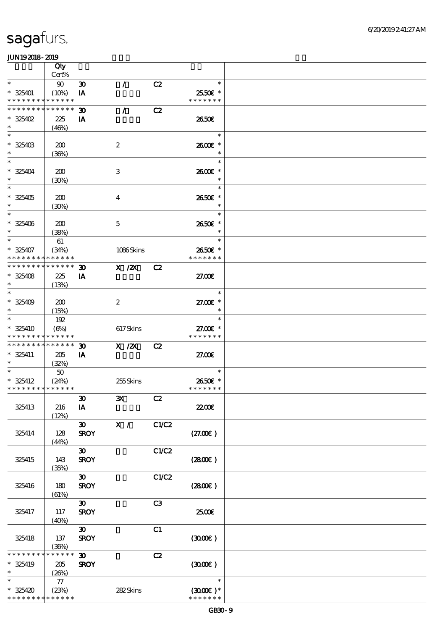|                                             | Qty                  |                                            |                  |                |                            |  |
|---------------------------------------------|----------------------|--------------------------------------------|------------------|----------------|----------------------------|--|
| $\ast$                                      | Cert%                |                                            |                  |                | $\ast$                     |  |
| $* 325401$                                  | 90<br>(10%)          | $\boldsymbol{\mathfrak{D}}$<br>IA          | $\mathcal{L}$    | C2             | 25.50€ *                   |  |
| * * * * * * * * * * * * * *                 |                      |                                            |                  |                | * * * * * * *              |  |
| * * * * * * * *                             | * * * * * *          | $\boldsymbol{\mathfrak{D}}$                | $\mathcal{L}$    | C2             |                            |  |
| $*325402$                                   | 225                  | IA                                         |                  |                | 2650E                      |  |
| $\ast$                                      | (46%)                |                                            |                  |                |                            |  |
| $\ast$<br>$* 325403$                        |                      |                                            |                  |                | $\ast$<br>2600€ *          |  |
| $\ast$                                      | 200<br>(36%)         |                                            | $\boldsymbol{z}$ |                | $\ast$                     |  |
| $\ast$                                      |                      |                                            |                  |                | $\ast$                     |  |
| $* 325404$                                  | 200                  |                                            | 3                |                | 2600E *                    |  |
| $\ast$                                      | (30%)                |                                            |                  |                | $\ast$                     |  |
| $\ast$                                      |                      |                                            |                  |                | $\ast$                     |  |
| $* 325405$<br>$\ast$                        | 200<br>(30%)         |                                            | $\overline{4}$   |                | 2650€ *<br>$\ast$          |  |
| $\ast$                                      |                      |                                            |                  |                | $\ast$                     |  |
| $* 325406$                                  | 200                  |                                            | $\mathbf{5}$     |                | 2650€ *                    |  |
| $\ast$                                      | (38%)                |                                            |                  |                | $\ast$                     |  |
| $\overline{\ast}$                           | 61                   |                                            |                  |                | $\ast$                     |  |
| $* 325407$<br>* * * * * * * * * * * * * *   | (34%)                |                                            | 1086Skins        |                | 2650€ *<br>* * * * * * *   |  |
| * * * * * * * *                             | * * * * * *          | $\boldsymbol{\mathfrak{D}}$                | $X$ / $ZX$       | C2             |                            |  |
| $* 325408$                                  | 225                  | IA                                         |                  |                | 27.00E                     |  |
| $\ast$                                      | (13%)                |                                            |                  |                |                            |  |
| $\ast$                                      |                      |                                            |                  |                | $\ast$                     |  |
| $* 325409$<br>$\ast$                        | 200<br>(15%)         |                                            | $\boldsymbol{2}$ |                | 27.00 £*<br>$\ast$         |  |
| $\ast$                                      | 192                  |                                            |                  |                | $\ast$                     |  |
| * 325410                                    | (6%)                 |                                            | 617Skins         |                | 27.00€ *                   |  |
| * * * * * * * * * * * * * *                 |                      |                                            |                  |                | * * * * * * *              |  |
| * * * * * * * * * * * * * * *<br>$* 325411$ | 205                  | $\boldsymbol{\mathfrak{D}}$                | $X$ / $ZX$       | C2             | 27.00E                     |  |
| $\ast$                                      | (32%)                | IA                                         |                  |                |                            |  |
|                                             | 50                   |                                            |                  |                | $\ast$                     |  |
| $* 325412$                                  | (24%)                |                                            | 255Skins         |                | 2650€ *                    |  |
| * * * * * * * * <mark>* * * * * * *</mark>  |                      |                                            |                  |                | * * * * * * *              |  |
| 325413                                      | 216                  | $\pmb{\mathfrak{D}}$<br>IA                 | $\mathbf{x}$     | C2             | <b>2200</b> €              |  |
|                                             | (12%)                |                                            |                  |                |                            |  |
|                                             |                      | $\boldsymbol{\mathfrak{D}}$                | $\mathbf{X}$ /   | C1/C2          |                            |  |
| 325414                                      | 128                  | <b>SROY</b>                                |                  |                | (27.00)                    |  |
|                                             | (44%)                |                                            |                  |                |                            |  |
| 325415                                      | 143                  | $\boldsymbol{\mathfrak{D}}$<br><b>SROY</b> |                  | C1/C2          | (2800)                     |  |
|                                             | (35%)                |                                            |                  |                |                            |  |
|                                             |                      | $\boldsymbol{\mathfrak{D}}$                |                  | C1/C2          |                            |  |
| 325416                                      | 180                  | <b>SROY</b>                                |                  |                | (2800)                     |  |
|                                             | (61%)                |                                            |                  |                |                            |  |
| 325417                                      | 117                  | $\boldsymbol{\mathfrak{D}}$<br><b>SROY</b> |                  | C <sub>3</sub> | 2500€                      |  |
|                                             | (40%)                |                                            |                  |                |                            |  |
|                                             |                      | $\boldsymbol{\mathfrak{D}}$                |                  | C1             |                            |  |
| 325418                                      | 137                  | <b>SROY</b>                                |                  |                | (300)                      |  |
| * * * * * * * *                             | (36%)<br>* * * * * * | $\boldsymbol{\mathfrak{D}}$                |                  | C2             |                            |  |
| * 325419                                    | 205                  | <b>SROY</b>                                |                  |                | (300)                      |  |
| $\ast$                                      | (20%)                |                                            |                  |                |                            |  |
| $\ast$                                      | 77                   |                                            |                  |                | $\ast$                     |  |
| $*325420$                                   | (23%)                |                                            | 282Skins         |                | $(300E)*$<br>* * * * * * * |  |
| * * * * * * * * * * * * * *                 |                      |                                            |                  |                |                            |  |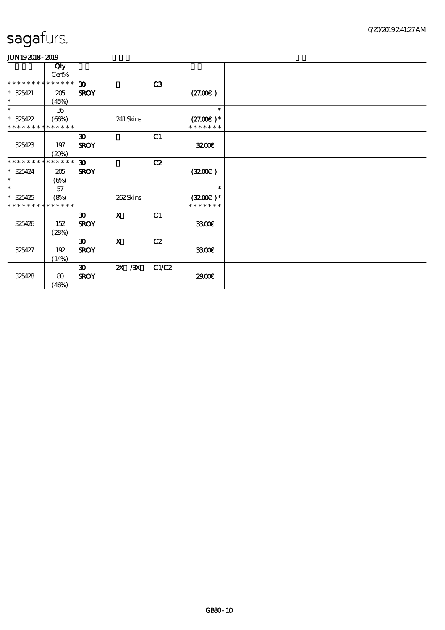|                                | Qty           |                             |              |       |               |  |
|--------------------------------|---------------|-----------------------------|--------------|-------|---------------|--|
|                                | Cert%         |                             |              |       |               |  |
| * * * * * * * *                | * * * * * *   | $\boldsymbol{\mathfrak{D}}$ |              | C3    |               |  |
| $* 325421$                     | 205           | <b>SROY</b>                 |              |       | (27.00)       |  |
| $\ast$                         | (45%)         |                             |              |       |               |  |
| $\ast$                         | 36            |                             |              |       | $\ast$        |  |
| $*325422$                      | (66%)         |                             | 241 Skins    |       | $(27.00)$ *   |  |
| * * * * * * * *<br>* * * * * * |               |                             |              |       | * * * * * * * |  |
|                                |               | $\boldsymbol{\mathfrak{D}}$ |              | C1    |               |  |
| 325423                         | 197           | <b>SROY</b>                 |              |       | 3200          |  |
|                                | (20%)         |                             |              |       |               |  |
| * * * * * * * *                | * * * * * *   | 30 <sup>2</sup>             |              | C2    |               |  |
| $* 325424$                     | 205           | <b>SROY</b>                 |              |       | (3200)        |  |
| $*$                            | $(\Theta\% )$ |                             |              |       |               |  |
| $\ast$                         | 57            |                             |              |       | $\ast$        |  |
| $* 325425$                     | (8%)          |                             | 262Skins     |       | $(3200)$ *    |  |
| * * * * * * * *                | * * * * * *   |                             |              |       | * * * * * * * |  |
|                                |               | $\boldsymbol{\mathfrak{D}}$ | $\mathbf{X}$ | C1    |               |  |
| 325426                         | 152           | <b>SROY</b>                 |              |       | 3300          |  |
|                                | (28%)         |                             |              |       |               |  |
|                                |               | $\boldsymbol{\mathfrak{D}}$ | $\mathbf{x}$ | C2    |               |  |
| 325427                         | 192           | <b>SROY</b>                 |              |       | 3300          |  |
|                                | (14%)         |                             |              |       |               |  |
|                                |               | 30 <sup>2</sup>             | $X \, X$     | C1/C2 |               |  |
| 325428                         | 80            | <b>SROY</b>                 |              |       | 2900€         |  |
|                                | (46%)         |                             |              |       |               |  |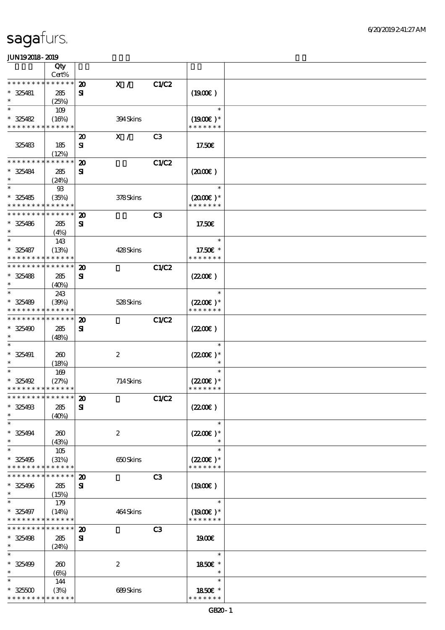|                                            | Qty         |                             |          |                |                      |  |
|--------------------------------------------|-------------|-----------------------------|----------|----------------|----------------------|--|
|                                            | Cert%       |                             |          |                |                      |  |
| * * * * * * *                              | * * * * * * | $\boldsymbol{\mathbf{z}}$   | X /      | <b>C1/C2</b>   |                      |  |
| $*$ 325481                                 | 285         | $\mathbf{S}$                |          |                | (1900)               |  |
| $\ast$                                     | (25%)       |                             |          |                |                      |  |
| $\ast$                                     | 109         |                             |          |                | $\ast$               |  |
| $* 325482$                                 | (16%)       |                             | 394Skins |                | $(1900E)*$           |  |
| * * * * * * * * * * * * * *                |             |                             |          |                | * * * * * * *        |  |
|                                            |             | $\boldsymbol{\mathfrak{D}}$ | X /      | C <sub>3</sub> |                      |  |
| 325483                                     | 185         | ${\bf s}$                   |          |                | 17.50€               |  |
|                                            | (12%)       |                             |          |                |                      |  |
| * * * * * * * *                            | * * * * * * | $\boldsymbol{\mathfrak{D}}$ |          | <b>C1/C2</b>   |                      |  |
| $* 325484$                                 | 285         | ${\bf s}$                   |          |                | (2000)               |  |
|                                            | (24%)       |                             |          |                |                      |  |
| $\ast$                                     | $93$        |                             |          |                | $\ast$               |  |
| $* 325485$                                 | (35%)       |                             | 378Skins |                | $(2000\varepsilon)*$ |  |
| * * * * * * * *                            | * * * * * * |                             |          |                | * * * * * * *        |  |
| * * * * * * * * * * * * * *                |             | $\boldsymbol{\mathsf{20}}$  |          | C <sub>3</sub> |                      |  |
| $* 325486$                                 | 285         | ${\bf s}$                   |          |                | 17.50€               |  |
| $\ast$                                     | (4%)        |                             |          |                |                      |  |
| $\ast$                                     | 143         |                             |          |                | $\ast$               |  |
| $* 325487$                                 | (13%)       |                             | 428Skins |                | 17.50€ *             |  |
| * * * * * * * *                            | * * * * * * |                             |          |                | * * * * * * *        |  |
| * * * * * * * * * * * * * *                |             | $\boldsymbol{\mathbf{z}}$   |          | <b>C1/C2</b>   |                      |  |
| * 325488                                   | 285         | ${\bf s}$                   |          |                | (220E)               |  |
| $\ast$                                     | (40%)       |                             |          |                |                      |  |
| $\ast$                                     | 243         |                             |          |                | $\ast$               |  |
| $* 325489$                                 | (30%)       |                             | 528Skins |                | $(2200\varepsilon)*$ |  |
| * * * * * * * * * * * * * *                |             |                             |          |                | * * * * * * *        |  |
| * * * * * * * * <mark>* * * * * * *</mark> |             | $\boldsymbol{\mathbf{z}}$   |          | <b>C1/C2</b>   |                      |  |
| $* 325490$                                 | 285         | ${\bf s}$                   |          |                | (220E)               |  |
|                                            | (48%)       |                             |          |                |                      |  |
|                                            |             |                             |          |                | $\ast$               |  |
| $* 325491$                                 | 260         | $\boldsymbol{2}$            |          |                | $(2200\varepsilon)*$ |  |
| $\ast$                                     | (18%)       |                             |          |                | $\ast$               |  |
| $\ast$                                     | 169         |                             |          |                | $\ast$               |  |
| $*325492$                                  | (27%)       |                             | 714Skins |                | $(2200)$ *           |  |
| * * * * * * * * * * * * * *                |             |                             |          |                | * * * * * * *        |  |
| *************** 20                         |             |                             |          | <b>C1/C2</b>   |                      |  |
| $* 325493$                                 | 285         | ${\bf s}$                   |          |                | (220)                |  |
| $\ast$                                     | (40%)       |                             |          |                |                      |  |
| $\ast$                                     |             |                             |          |                | $\ast$               |  |
| $* 325494$                                 | 260         | $\boldsymbol{z}$            |          |                | $(2200\varepsilon)*$ |  |
| $\ast$                                     | (43%)       |                             |          |                | $\ast$               |  |
| $\ast$                                     | 105         |                             |          |                | $\ast$               |  |
| $* 325495$                                 | (31%)       |                             | 650Skins |                | $(2200\varepsilon)*$ |  |
| * * * * * * * *                            | ******      |                             |          |                | * * * * * * *        |  |
| * * * * * * * *                            | * * * * * * | $\boldsymbol{\mathbf{z}}$   |          | C <sub>3</sub> |                      |  |
| $* 325496$                                 | 285         | ${\bf s}$                   |          |                | $(1900\epsilon)$     |  |
| $\ast$                                     | (15%)       |                             |          |                |                      |  |
| $\ast$                                     | 179         |                             |          |                | $\ast$               |  |
| $* 325497$                                 | (14%)       |                             | 464Skins |                | $(1900E)*$           |  |
| * * * * * * * * * * * * * *                |             |                             |          |                | * * * * * * *        |  |
| * * * * * * * *                            | * * * * * * | $\boldsymbol{\mathfrak{D}}$ |          | C <sub>3</sub> |                      |  |
| $* 325498$                                 | 285         | $\mathbf{S}$                |          |                | 1900E                |  |
| $\ast$                                     | (24%)       |                             |          |                |                      |  |
| $\ast$                                     |             |                             |          |                | $\ast$               |  |
| $* 325499$                                 | 260         | $\boldsymbol{2}$            |          |                | 1850€ *              |  |
| $\ast$                                     | $(\Theta)$  |                             |          |                | $\ast$               |  |
| $\ast$                                     | 144         |                             |          |                | $\ast$               |  |
| $* 32500$                                  | (3%)        |                             | 689Skins |                | 1850E *              |  |
| * * * * * * * *                            | * * * * * * |                             |          |                | * * * * * * *        |  |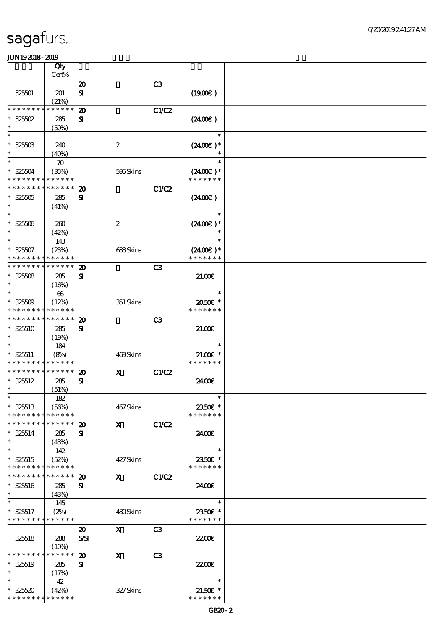|                                                | Qty                  |                                          |                           |                |                             |  |
|------------------------------------------------|----------------------|------------------------------------------|---------------------------|----------------|-----------------------------|--|
|                                                | Cert%                |                                          |                           |                |                             |  |
|                                                |                      | $\boldsymbol{\mathsf{20}}$               |                           | C <sub>3</sub> |                             |  |
| 325501                                         | 201<br>(21%)         | $\mathbf{S}$                             |                           |                | (1900)                      |  |
| * * * * * * * *                                | * * * * * *          | $\boldsymbol{\mathbf{z}}$                |                           | C1/C2          |                             |  |
| $*32502$                                       | 285                  | ${\bf s}$                                |                           |                | (2400)                      |  |
| $\ast$                                         | (50%)                |                                          |                           |                |                             |  |
| $\ast$                                         |                      |                                          |                           |                | $\ast$                      |  |
| $* 32500$                                      | 240                  |                                          | $\boldsymbol{2}$          |                | $(2400)$ *                  |  |
| $\ast$                                         | (40%)                |                                          |                           |                |                             |  |
| $\ast$                                         | $\boldsymbol{\pi}$   |                                          |                           |                | $\ast$                      |  |
| $* 32504$<br>* * * * * * * * * * * * * *       | (35%)                |                                          | 595Skins                  |                | $(2400)$ *<br>* * * * * * * |  |
| * * * * * * * *                                | * * * * * *          | $\boldsymbol{\mathbf{z}}$                |                           | <b>C1/C2</b>   |                             |  |
| $* 32500$                                      | 285                  | ${\bf s}$                                |                           |                | (2400)                      |  |
| $\ast$                                         | (41%)                |                                          |                           |                |                             |  |
| $\ast$                                         |                      |                                          |                           |                | $\ast$                      |  |
| $^\ast$ 325506                                 | 260                  |                                          | $\boldsymbol{2}$          |                | $(2400\varepsilon)*$        |  |
| $\ast$<br>$\ast$                               | (42%)                |                                          |                           |                | $\ast$<br>$\ast$            |  |
| $* 32507$                                      | 143<br>(25%)         |                                          | 688Skins                  |                | $(2400)$ *                  |  |
| * * * * * * * *                                | * * * * * *          |                                          |                           |                | * * * * * * *               |  |
| * * * * * * * *                                | * * * * * *          | $\boldsymbol{\mathbf{z}}$                |                           | C <sub>3</sub> |                             |  |
| $* 32508$                                      | 285                  | ${\bf s}$                                |                           |                | 21.00                       |  |
| $\ast$                                         | (16%)                |                                          |                           |                |                             |  |
| $\ast$                                         | 66                   |                                          |                           |                | $\ast$                      |  |
| $* 32509$                                      | (12%)                |                                          | 351 Skins                 |                | 2050E *                     |  |
| * * * * * * * *<br>* * * * * * * * * * * * * * | * * * * * *          |                                          |                           |                | * * * * * * *               |  |
| $* 325510$                                     | 285                  | $\boldsymbol{\mathbf{z}}$<br>${\bf s}$   |                           | C <sub>3</sub> | 2100                        |  |
| $\ast$                                         | (19%)                |                                          |                           |                |                             |  |
| $\ast$                                         | 184                  |                                          |                           |                | $\ast$                      |  |
| $* 325511$                                     | (8%)                 |                                          | 469Skins                  |                | $21.005*$                   |  |
| * * * * * * * * <mark>* * * * * *</mark>       |                      |                                          |                           |                | * * * * * * *               |  |
| * * * * * * * * * * * * * *                    |                      | $\boldsymbol{\mathbf{z}}$                | $\mathbf x$               | C1/C2          |                             |  |
| $* 325512$<br>$\ast$                           | 285                  | ${\bf s}$                                |                           |                | 2400€                       |  |
| $\ast$                                         | (51%)<br>182         |                                          |                           |                | $\ast$                      |  |
| $* 325513$                                     | (56%)                |                                          | 467Skins                  |                | 2350€ *                     |  |
| * * * * * * * *                                | * * * * * *          |                                          |                           |                | * * * * * * *               |  |
| * * * * * * * * <mark>* * * * * * *</mark>     |                      | $\boldsymbol{\mathbf{z}}$                | $\mathbf{x}$              | C1/C2          |                             |  |
| $* 325514$                                     | 285                  | ${\bf s}$                                |                           |                | 2400€                       |  |
| $\ast$                                         | (43%)                |                                          |                           |                |                             |  |
| $\ast$<br>$* 325515$                           | 142                  |                                          |                           |                | $\ast$                      |  |
| * * * * * * * *                                | (52%)<br>* * * * * * |                                          | 427Skins                  |                | 2350€ *<br>* * * * * * *    |  |
| * * * * * * * *                                | * * * * * *          | $\boldsymbol{\mathfrak{D}}$              | $\mathbf{x}$              | <b>C1/C2</b>   |                             |  |
| $* 325516$                                     | 285                  | ${\bf s}$                                |                           |                | 2400€                       |  |
| $\ast$                                         | (43%)                |                                          |                           |                |                             |  |
| $\ast$                                         | 145                  |                                          |                           |                | $\ast$                      |  |
| $* 325517$                                     | (2%)                 |                                          | 430Skins                  |                | 2350€ *                     |  |
| * * * * * * * * <mark>* * * * * *</mark>       |                      |                                          | $\mathbf{x}$              |                | * * * * * * *               |  |
| 325518                                         | 288                  | $\boldsymbol{\mathfrak{D}}$<br>$S\!S\!I$ |                           | C <sub>3</sub> | 2200                        |  |
|                                                | (10%)                |                                          |                           |                |                             |  |
| * * * * * * * *                                | * * * * * *          | $\boldsymbol{\mathfrak{D}}$              | $\boldsymbol{\mathsf{X}}$ | C <sub>3</sub> |                             |  |
| $* 325519$                                     | 285                  | ${\bf s}$                                |                           |                | 2200                        |  |
| $\ast$                                         | (17%)                |                                          |                           |                |                             |  |
| $\ast$                                         | 42                   |                                          |                           |                | $\ast$                      |  |
| $* 325520$<br>* * * * * * * * * * * * * *      | (42%)                |                                          | 327Skins                  |                | $21.50E$ *<br>* * * * * * * |  |
|                                                |                      |                                          |                           |                |                             |  |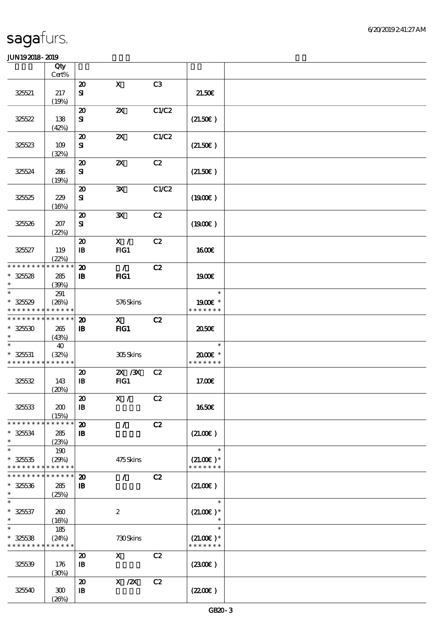|                                           | Qty              |                                        |                           |       |                         |  |
|-------------------------------------------|------------------|----------------------------------------|---------------------------|-------|-------------------------|--|
|                                           | Cert%            |                                        | $\mathbf x$               |       |                         |  |
| 325521                                    | $217\,$          | $\boldsymbol{\mathbf{z}}$<br>${\bf s}$ |                           | C3    | 21.50E                  |  |
|                                           | (19%)            |                                        |                           |       |                         |  |
|                                           |                  | $\boldsymbol{\mathfrak{D}}$            | $\boldsymbol{\mathsf{Z}}$ | C1/C2 |                         |  |
| 325522                                    | 138              | ${\bf s}$                              |                           |       | (21.50)                 |  |
|                                           | (42%)            |                                        |                           |       |                         |  |
|                                           |                  | $\boldsymbol{\mathfrak{D}}$            | $\boldsymbol{\mathsf{X}}$ | C1/C2 |                         |  |
| 325523                                    | 109              | ${\bf s}$                              |                           |       | (21.50)                 |  |
|                                           | (32%)            | $\boldsymbol{\mathsf{20}}$             | $\boldsymbol{\mathsf{z}}$ | C2    |                         |  |
| 325524                                    | 286              | ${\bf s}$                              |                           |       | (21.50)                 |  |
|                                           | (19%)            |                                        |                           |       |                         |  |
|                                           |                  | $\boldsymbol{\mathfrak{D}}$            | $\mathbf{x}$              | C1/C2 |                         |  |
| 325525                                    | 229              | ${\bf s}$                              |                           |       | (1900)                  |  |
|                                           | (16%)            |                                        |                           |       |                         |  |
|                                           |                  | $\boldsymbol{\mathbf{z}}$              | $\mathbf{x}$              | C2    |                         |  |
| 325526                                    | $207\,$<br>(22%) | ${\bf s}$                              |                           |       | (1900E)                 |  |
|                                           |                  | $\boldsymbol{\mathsf{20}}$             | X /                       | C2    |                         |  |
| 325527                                    | 119              | $\, {\bf B}$                           | FG1                       |       | <b>1600€</b>            |  |
|                                           | (22%)            |                                        |                           |       |                         |  |
| * * * * * * * *                           | * * * * * *      | $\boldsymbol{\mathbf{z}}$              | $\mathcal{L}$             | C2    |                         |  |
| $* 32528$                                 | 285              | $\, {\bf B}$                           | FIG1                      |       | 1900E                   |  |
| $\ast$<br>$\ast$                          | (39%)            |                                        |                           |       | $\ast$                  |  |
| $* 325529$                                | 291<br>(20%)     |                                        | 576Skins                  |       | 1900E *                 |  |
| * * * * *                                 | * * * * * *      |                                        |                           |       | * * * * * * *           |  |
| * * * * * * * * * * * * * *               |                  | $\boldsymbol{\mathbf{z}}$              | $\mathbf{x}$              | C2    |                         |  |
| $* 325530$                                | 265              | $\, {\bf I} \! {\bf B} \,$             | $HG1$                     |       | 2050                    |  |
| $\ast$                                    | (43%)            |                                        |                           |       |                         |  |
| $\ast$                                    | 40               |                                        |                           |       | $\ast$                  |  |
| $* 325531$<br>* * * * * * * * * * * * * * | (32%)            |                                        | 305Skins                  |       | 2000E*<br>* * * * * * * |  |
|                                           |                  | $\boldsymbol{\mathbf{z}}$              | 2X / 3X                   | C2    |                         |  |
| 325532                                    | 143              | $\mathbf{B}$                           | FG1                       |       | 17.00E                  |  |
|                                           | (20%)            |                                        |                           |       |                         |  |
|                                           |                  | $\pmb{\mathcal{Z}}$                    | X /                       | C2    |                         |  |
| 325533                                    | 200              | $\, {\bf I} \! {\bf B} \,$             |                           |       | 1650€                   |  |
|                                           | (15%)            |                                        |                           |       |                         |  |
| * * * * * * * *                           | * * * * * *      | $\boldsymbol{\mathbf{z}}$              | $\mathcal{L}$             | C2    |                         |  |
| $* 325634$<br>$\ast$                      | 285<br>(23%)     | $\mathbf{B}$                           |                           |       | (21.00)                 |  |
| $\ast$                                    | 190              |                                        |                           |       | $\ast$                  |  |
| $* 32535$                                 | (29%)            |                                        | 475Skins                  |       | $(21.00)$ *             |  |
| * * * * * * * *                           | * * * * * *      |                                        |                           |       | * * * * * * *           |  |
| * * * * * * * *                           | * * * * * *      | $\boldsymbol{\mathbf{z}}$              | $\mathcal{L}$             | C2    |                         |  |
| $* 325336$<br>$\ast$                      | 285              | $\, {\bf B}$                           |                           |       | (21.00)                 |  |
| $\ast$                                    | (25%)            |                                        |                           |       | $\ast$                  |  |
| $* 325637$                                | 260              |                                        | $\boldsymbol{2}$          |       | $(21.00)$ *             |  |
| $\ast$                                    | (16%)            |                                        |                           |       | $\ast$                  |  |
| $\ast$                                    | 185              |                                        |                           |       | $\ast$                  |  |
| $* 325538$                                | (24%)            |                                        | 730Skins                  |       | $(21.00)$ *             |  |
| * * * * * * * * * * * * * *               |                  |                                        |                           |       | * * * * * * *           |  |
|                                           |                  | $\boldsymbol{\mathfrak{D}}$            | $\mathbf{x}$              | C2    |                         |  |
| 325539                                    | 176<br>(30%)     | $\, {\bf B}$                           |                           |       | (230E)                  |  |
|                                           |                  | $\boldsymbol{\mathbf{z}}$              | $X$ / $ZX$                | C2    |                         |  |
| 325540                                    | 300              | $\, {\bf I} \! {\bf B} \,$             |                           |       | (220E)                  |  |
|                                           | (20%)            |                                        |                           |       |                         |  |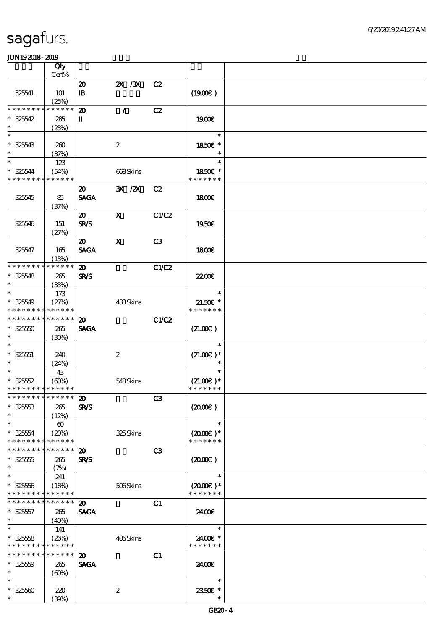|                             | Qty<br>Cert%          |                             |                  |       |                      |  |
|-----------------------------|-----------------------|-----------------------------|------------------|-------|----------------------|--|
|                             |                       |                             |                  | C2    |                      |  |
|                             |                       | $\boldsymbol{\mathfrak{D}}$ | $X \, X$         |       |                      |  |
| 325541                      | 101                   | $\mathbf{B}$                |                  |       | (1900)               |  |
| * * * * * * * *             | (25%)<br>* * * * * *  |                             |                  |       |                      |  |
|                             |                       | $\boldsymbol{\mathbf{z}}$   | $\mathcal{L}$    | C2    |                      |  |
| $* 325542$<br>$\ast$        | 285                   | $\mathbf{I}$                |                  |       | 1900E                |  |
| $\ast$                      | (25%)                 |                             |                  |       | $\ast$               |  |
|                             |                       |                             |                  |       |                      |  |
| $* 325543$                  | 260                   |                             | $\boldsymbol{2}$ |       | 1850E *              |  |
| $\ast$<br>$\ast$            | (37%)                 |                             |                  |       |                      |  |
|                             | 123                   |                             |                  |       | $\ast$               |  |
| $* 325544$                  | (54%)                 |                             | 668Skins         |       | 1850E *              |  |
| * * * * * * * *             | * * * * * *           |                             |                  |       | * * * * * * *        |  |
|                             |                       | $\boldsymbol{\mathfrak{D}}$ | 3X / 2X          | C2    |                      |  |
| 325545                      | 85                    | <b>SAGA</b>                 |                  |       | 1800E                |  |
|                             | (37%)                 |                             |                  |       |                      |  |
|                             |                       | $\boldsymbol{\mathfrak{D}}$ | $\mathbf{x}$     | C1/C2 |                      |  |
| 325546                      | 151                   | <b>SR/S</b>                 |                  |       | 1950E                |  |
|                             | (27%)                 |                             |                  |       |                      |  |
|                             |                       | $\boldsymbol{\mathfrak{D}}$ | $\mathbf{x}$     | C3    |                      |  |
| 325547                      | 165                   | <b>SAGA</b>                 |                  |       | <b>1800€</b>         |  |
|                             | (15%)                 |                             |                  |       |                      |  |
| * * * * * * * * * * * * * * |                       | $\boldsymbol{\mathfrak{D}}$ |                  | C1/C2 |                      |  |
| $* 325548$                  | 265                   | <b>SR/S</b>                 |                  |       | <b>2200E</b>         |  |
| $\ast$                      | (35%)                 |                             |                  |       |                      |  |
| $\ast$                      | 173                   |                             |                  |       | $\ast$               |  |
| $* 325549$                  | (27%)                 |                             | 438Skins         |       | $21.50E$ *           |  |
| * * * * * * * * * * * * * * |                       |                             |                  |       | * * * * * * *        |  |
| * * * * * * * * * * * * * * |                       | 20                          |                  | C1/C2 |                      |  |
| $* 32550$                   | 265                   | <b>SAGA</b>                 |                  |       | (21.00)              |  |
| $\ast$                      | (30%)                 |                             |                  |       |                      |  |
| $\ast$                      |                       |                             |                  |       | $\ast$               |  |
| $* 32551$                   | 240                   |                             | $\boldsymbol{2}$ |       | $(21.00)$ *          |  |
| $\ast$                      | (24%)                 |                             |                  |       | $\ast$               |  |
| $\ast$                      | 43                    |                             |                  |       | $\ast$               |  |
| $* 325552$                  | (60%)                 |                             | 548Skins         |       | $(21.00)$ *          |  |
| * * * * * * * * * * * * * * |                       |                             |                  |       | * * * * * * *        |  |
| *************** 20          |                       |                             |                  | C3    |                      |  |
| $^*$ 32553 $\,$             | 265                   | <b>SR/S</b>                 |                  |       | (200E)               |  |
| $\ast$                      | (12%)                 |                             |                  |       |                      |  |
| $\ast$                      | $\boldsymbol{\omega}$ |                             |                  |       | $\ast$               |  |
| $* 325554$                  | (20%)                 |                             | 325Skins         |       | $(2000\varepsilon)*$ |  |
| * * * * * * * *             | * * * * * *           |                             |                  |       | * * * * * * *        |  |
| * * * * * * * *             | * * * * * *           | $\boldsymbol{\mathfrak{D}}$ |                  | C3    |                      |  |
| $* 325555$                  | 265                   | <b>SR/S</b>                 |                  |       | $(2000\varepsilon)$  |  |
| $\ast$                      | (7%)                  |                             |                  |       |                      |  |
| $\ast$                      | 241                   |                             |                  |       | $\ast$               |  |
| $* 325556$                  | (16%)                 |                             | 506Skins         |       | $(2000\varepsilon)*$ |  |
| * * * * * * * * * * * * * * |                       |                             |                  |       | * * * * * * *        |  |
| * * * * * * * *             | * * * * * *           | $\boldsymbol{\mathbf{z}}$   |                  | C1    |                      |  |
| $* 325557$                  | 265                   | <b>SAGA</b>                 |                  |       | 2400€                |  |
| $\ast$                      | (40%)                 |                             |                  |       |                      |  |
| $\ast$                      | 141                   |                             |                  |       | $\ast$               |  |
| $* 325558$                  | (20%)                 |                             | 406Skins         |       | 2400€ *              |  |
| * * * * * * * * * * * * * * |                       |                             |                  |       | * * * * * * *        |  |
| * * * * * * * * * * * * * * |                       | $\boldsymbol{\mathfrak{D}}$ |                  | C1    |                      |  |
| $* 32550$                   | 265                   | <b>SAGA</b>                 |                  |       | 2400E                |  |
| $\ast$                      | (60%)                 |                             |                  |       |                      |  |
| $\ast$                      |                       |                             |                  |       | $\ast$               |  |
| $* 32560$                   | 220                   |                             | $\boldsymbol{2}$ |       | 2350E *              |  |
| $\ast$                      | (30%)                 |                             |                  |       | $\ast$               |  |
|                             |                       |                             |                  |       |                      |  |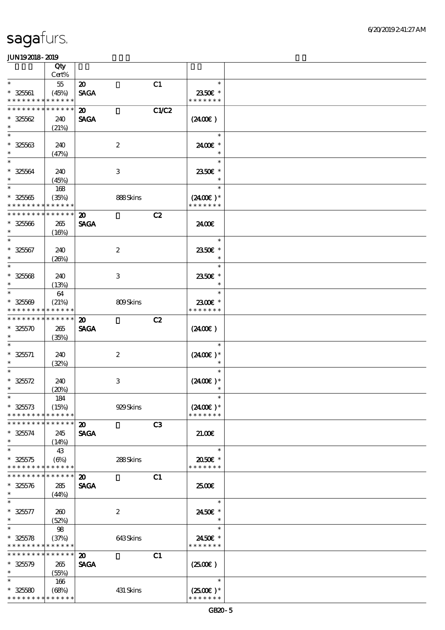|                                                         | Qty                  |                             |                           |       |                              |  |
|---------------------------------------------------------|----------------------|-----------------------------|---------------------------|-------|------------------------------|--|
|                                                         | Cert%                |                             |                           |       |                              |  |
| $\ast$                                                  | $5\!5$               | $\boldsymbol{\mathfrak{D}}$ |                           | C1    | $\ast$                       |  |
| $* 32561$<br>* * * * * * * * <mark>* * * * * *</mark> * | (45%)                | <b>SAGA</b>                 |                           |       | 2350€ *<br>* * * * * * *     |  |
| * * * * * * *                                           | * * * * * *          | $\boldsymbol{\mathfrak{D}}$ |                           | C1/C2 |                              |  |
| $* 32562$                                               | 240                  | <b>SAGA</b>                 |                           |       | (240E)                       |  |
| $\ast$                                                  | (21%)                |                             |                           |       |                              |  |
| $\ast$                                                  |                      |                             |                           |       | $\ast$                       |  |
| $* 32563$                                               | 240                  |                             | $\boldsymbol{2}$          |       | 2400€ *                      |  |
| $\ast$                                                  | (47%)                |                             |                           |       | $\ast$                       |  |
| $\ast$                                                  |                      |                             |                           |       | $\ast$                       |  |
| $* 32564$                                               | 240                  |                             | $\ensuremath{\mathbf{3}}$ |       | 2350€ *                      |  |
| $\ast$                                                  | (45%)                |                             |                           |       | $\ast$                       |  |
| $\ast$                                                  | 168                  |                             |                           |       | $\ast$                       |  |
| $* 32565$                                               | (35%)                |                             | 888Skins                  |       | $(2400\varepsilon)*$         |  |
| * * * * * * * * * * * * * *                             |                      |                             |                           |       | * * * * * * *                |  |
| * * * * * * * *                                         | * * * * * *          | $\boldsymbol{\mathfrak{D}}$ |                           | C2    |                              |  |
| $* 32566$                                               | 265                  | <b>SAGA</b>                 |                           |       | 2400E                        |  |
| $\ast$                                                  | (16%)                |                             |                           |       |                              |  |
| $\overline{\ast}$                                       |                      |                             |                           |       | $\ast$                       |  |
| $* 32567$                                               | 240                  |                             | $\boldsymbol{2}$          |       | 2350E *                      |  |
| $\ast$                                                  | (20%)                |                             |                           |       | $\ast$                       |  |
| $\ast$                                                  |                      |                             |                           |       | $\ast$                       |  |
| $* 32568$                                               | 240                  |                             | $\,3$                     |       | 2350€ *                      |  |
| $\ast$                                                  | (13%)                |                             |                           |       | $\ast$                       |  |
| $\ast$                                                  | 64                   |                             |                           |       | $\ast$                       |  |
| $* 32560$                                               | (21%)                |                             | 809Skins                  |       | 2300€ *                      |  |
| * * * * * * * *                                         | * * * * * *          |                             |                           |       | * * * * * * *                |  |
| * * * * * * * *                                         | * * * * * *          | $\boldsymbol{\mathfrak{D}}$ |                           | C2    |                              |  |
| $* 325570$                                              | 265                  | <b>SAGA</b>                 |                           |       | $(2400\varepsilon)$          |  |
| $\ast$                                                  | (35%)                |                             |                           |       |                              |  |
| $\ast$                                                  |                      |                             |                           |       | $\ast$                       |  |
| $* 325571$                                              | 240                  |                             | $\boldsymbol{2}$          |       | $(2400E)*$                   |  |
| $\ast$                                                  | (32%)                |                             |                           |       |                              |  |
| $\ast$                                                  |                      |                             |                           |       |                              |  |
| $* 325572$<br>$\ast$                                    | 240                  |                             | $\,3$                     |       | $(2400E)^*$                  |  |
| $*$                                                     | (20%)                |                             |                           |       | $\ast$                       |  |
|                                                         | 184                  |                             |                           |       |                              |  |
| $* 325573$<br>* * * * * * * *                           | (15%)<br>* * * * * * |                             | 929Skins                  |       | $(2400E)^*$<br>* * * * * * * |  |
| * * * * * * * * * * * * * *                             |                      | $\boldsymbol{\mathsf{20}}$  |                           | C3    |                              |  |
|                                                         |                      |                             |                           |       |                              |  |
| $* 325574$<br>$\ast$                                    | 245                  | <b>SAGA</b>                 |                           |       | 21.00E                       |  |
| $\ast$                                                  | (14%)<br>43          |                             |                           |       | $\ast$                       |  |
| $* 32575$                                               | $(\Theta)$           |                             | 288Skins                  |       | 2050E *                      |  |
| * * * * * * * *                                         | * * * * * *          |                             |                           |       | * * * * * * *                |  |
| * * * * * * * *                                         | * * * * * *          | $\boldsymbol{\mathfrak{D}}$ |                           | C1    |                              |  |
| $* 325576$                                              | 285                  | <b>SAGA</b>                 |                           |       | 2500€                        |  |
| $\ast$                                                  | (44%)                |                             |                           |       |                              |  |
| $\ast$                                                  |                      |                             |                           |       | $\ast$                       |  |
| $* 325577$                                              | 260                  |                             | $\boldsymbol{2}$          |       | 2450€ *                      |  |
| $\ast$                                                  | (52%)                |                             |                           |       | $\ast$                       |  |
| $\ast$                                                  | 98                   |                             |                           |       | $\ast$                       |  |
| $* 32578$                                               | (37%)                |                             | 643Skins                  |       | 2450€ *                      |  |
| * * * * * * * * <mark>* * * * * *</mark> *              |                      |                             |                           |       | * * * * * * *                |  |
| * * * * * * * * * * * * * *                             |                      | $\boldsymbol{\mathfrak{D}}$ |                           | C1    |                              |  |
| $* 325579$                                              | 265                  | <b>SAGA</b>                 |                           |       | (250)                        |  |
| $\ast$                                                  | (55%)                |                             |                           |       |                              |  |
| $\ast$                                                  | 166                  |                             |                           |       | $\ast$                       |  |
| $* 325580$                                              | (68%)                |                             | 431 Skins                 |       | $(2500)$ *                   |  |
| * * * * * * * * <mark>* * * * * *</mark> *              |                      |                             |                           |       | * * * * * * *                |  |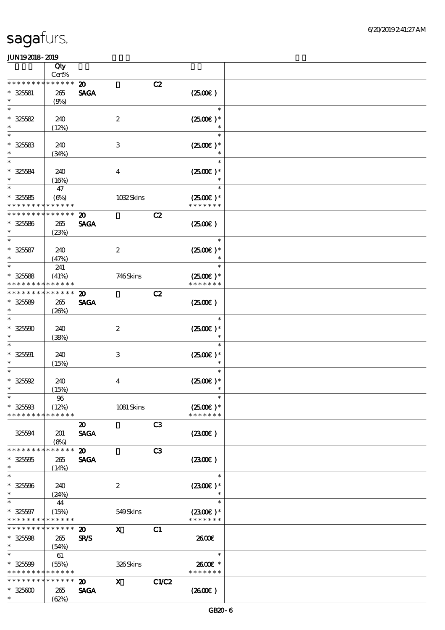|                                           | Qty<br>Cert%               |                                             |                |                                       |  |
|-------------------------------------------|----------------------------|---------------------------------------------|----------------|---------------------------------------|--|
| * * * * * * *                             | * * * * * *                | $\boldsymbol{\mathbf{z}}$                   | C2             |                                       |  |
| $* 325581$                                | 265                        | <b>SAGA</b>                                 |                | (250E)                                |  |
| $\ast$<br>$\ast$                          | (9%)                       |                                             |                | $\ast$                                |  |
| $* 325582$                                | 240                        | $\boldsymbol{2}$                            |                | $(2500E)*$                            |  |
| $\ast$                                    | (12%)                      |                                             |                | $\ast$                                |  |
| $\ast$                                    |                            |                                             |                | $\ast$                                |  |
| $* 325583$<br>$\ast$                      | 240                        | $\mathbf{3}$                                |                | $(2500\varepsilon)*$                  |  |
| $\ast$                                    | (34%)                      |                                             |                | $\ast$                                |  |
| $* 325584$                                | 240                        | $\boldsymbol{4}$                            |                | $(2500)$ *                            |  |
| $\ast$                                    | (16%)                      |                                             |                |                                       |  |
| $\ast$                                    | 47                         |                                             |                | $\ast$                                |  |
| $* 325585$<br>* * * * * * * *             | $(\Theta)$<br>* * * * * *  |                                             | 1032Skins      | $(2500\varepsilon)*$<br>* * * * * * * |  |
| * * * * * * * *                           | * * * * * *                | $\boldsymbol{\mathbf{z}}$                   | C2             |                                       |  |
| $* 325586$                                | 265                        | <b>SAGA</b>                                 |                | (250E)                                |  |
| $\ast$<br>$\ast$                          | (23%)                      |                                             |                |                                       |  |
| $* 325587$                                | 240                        | $\boldsymbol{2}$                            |                | $\ast$<br>$(2500E)*$                  |  |
| $\ast$                                    | (47%)                      |                                             |                | $\ast$                                |  |
| $\ast$                                    | 241                        |                                             |                | $\ast$                                |  |
| $* 325588$                                | (41%)                      |                                             | 746Skins       | $(2500E)*$                            |  |
| * * * * * * * *<br>* * * * * * *          | * * * * * *<br>* * * * * * | $\boldsymbol{\mathfrak{D}}$                 | C2             | * * * * * * *                         |  |
| $* 325589$                                | 265                        | <b>SAGA</b>                                 |                | (250)                                 |  |
| $\ast$                                    | (20%)                      |                                             |                |                                       |  |
| $\ast$                                    |                            |                                             |                | $\ast$                                |  |
| $* 325500$<br>$\ast$                      | 240                        | $\boldsymbol{2}$                            |                | $(2500)$ *                            |  |
|                                           | (38%)                      |                                             |                | $\ast$                                |  |
| $* 32501$                                 | 240                        | 3                                           |                | $(2500E)*$                            |  |
| $\ast$                                    | (15%)                      |                                             |                | $\ast$                                |  |
|                                           |                            |                                             |                | $\ast$                                |  |
| $* 325592$<br>$\ast$                      | 240<br>(15%)               | $\boldsymbol{4}$                            |                | $(2500)$ *                            |  |
| $\ast$                                    | $9\!6$                     |                                             |                | $\ast$                                |  |
| $* 325503$                                | (12%)                      |                                             | 1081 Skins     | $(2500E)*$                            |  |
| * * * * * * * *                           | * * * * * *                |                                             |                | * * * * * * *                         |  |
| 325594                                    | 201                        | $\boldsymbol{\mathfrak{D}}$<br><b>SAGA</b>  | C <sub>3</sub> | (230E)                                |  |
|                                           | (8%)                       |                                             |                |                                       |  |
| * * * * * * * *                           | * * * * * *                | $\boldsymbol{\mathfrak{D}}$                 | C <sub>3</sub> |                                       |  |
| $* 325005$<br>$\ast$                      | 265                        | <b>SAGA</b>                                 |                | (2300)                                |  |
| $\ast$                                    | (14%)                      |                                             |                | $\ast$                                |  |
| $* 325596$                                | 240                        | $\boldsymbol{2}$                            |                | $(2300)$ *                            |  |
| $\ast$                                    | (24%)                      |                                             |                | $\ast$                                |  |
| $\ast$                                    | 44                         |                                             |                | $\ast$                                |  |
| $* 325597$<br>* * * * * * * * * * * * * * | (15%)                      |                                             | 549Skins       | $(2300E)*$<br>* * * * * * *           |  |
| * * * * * * * * * * * * * * *             |                            | $\boldsymbol{\mathfrak{D}}$<br>$\mathbf{x}$ | C1             |                                       |  |
| $* 325508$                                | 265                        | <b>SR/S</b>                                 |                | 2600E                                 |  |
| $\ast$<br>$\ast$                          | (54%)                      |                                             |                |                                       |  |
| $* 32500$                                 | 61<br>(55%)                |                                             | 326Skins       | $\ast$<br>2600€ *                     |  |
| * * * * * * * * * * * * * *               |                            |                                             |                | * * * * * * *                         |  |
| * * * * * * * *                           | * * * * * *                | $\mathbf{x}$<br>$\boldsymbol{\mathfrak{D}}$ | C1/C2          |                                       |  |
| $* 325600$                                | 265                        | <b>SAGA</b>                                 |                | (260E)                                |  |
| $*$                                       | (62%)                      |                                             |                |                                       |  |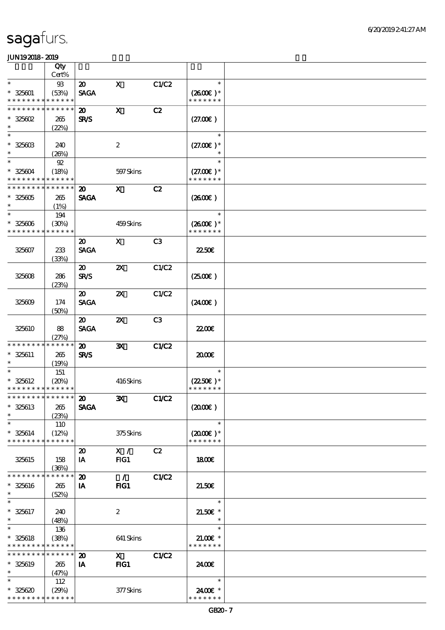|                               | Qty                  |                             |                           |              |                             |  |
|-------------------------------|----------------------|-----------------------------|---------------------------|--------------|-----------------------------|--|
|                               | Cert%                |                             |                           |              |                             |  |
| $\ast$                        | $93\,$               | $\boldsymbol{\mathfrak{D}}$ | $\mathbf x$               | C1/C2        | $\ast$                      |  |
| $* 325601$<br>* * * * * * * * | (53%)<br>* * * * * * | <b>SAGA</b>                 |                           |              | $(2600)$ *<br>* * * * * * * |  |
| * * * * * * * *               | * * * * * *          |                             |                           |              |                             |  |
|                               |                      | $\boldsymbol{\mathfrak{D}}$ | $\mathbf X$               | C2           |                             |  |
| $* 325602$<br>$\ast$          | 265                  | <b>SR/S</b>                 |                           |              | (27.00)                     |  |
| $\ast$                        | (22%)                |                             |                           |              | $\ast$                      |  |
|                               |                      |                             |                           |              |                             |  |
| $* 32560B$<br>$\ast$          | 240                  |                             | $\boldsymbol{z}$          |              | $(27.00)$ *                 |  |
| $\ast$                        | (20%)<br>$92\,$      |                             |                           |              | $\ast$                      |  |
| $* 325604$                    | (18%)                |                             | 597 Skins                 |              | $(27.00)$ *                 |  |
| * * * * * * * *               | * * * * * *          |                             |                           |              | * * * * * * *               |  |
| * * * * * * * *               | * * * * * *          | $\boldsymbol{\mathfrak{D}}$ | $\mathbf{x}$              | C2           |                             |  |
| $* 325605$                    | 265                  | <b>SAGA</b>                 |                           |              | (260E)                      |  |
| $\ast$                        | (1%)                 |                             |                           |              |                             |  |
| $\ast$                        | 194                  |                             |                           |              | $\ast$                      |  |
| $* 325606$                    | (30%)                |                             | 459Skins                  |              | $(2600E)*$                  |  |
| * * * * * * * *               | * * * * * *          |                             |                           |              | * * * * * * *               |  |
|                               |                      | $\boldsymbol{\mathfrak{D}}$ | $\mathbf{x}$              | C3           |                             |  |
| 325607                        | 233                  | <b>SAGA</b>                 |                           |              | <b>22506</b>                |  |
|                               | (33%)                |                             |                           |              |                             |  |
|                               |                      | $\boldsymbol{\mathfrak{D}}$ | $\boldsymbol{\mathsf{X}}$ | C1/C2        |                             |  |
| 325608                        | 286                  | <b>SR/S</b>                 |                           |              | (250E)                      |  |
|                               | (23%)                |                             |                           |              |                             |  |
|                               |                      | $\boldsymbol{\mathfrak{D}}$ | $\boldsymbol{\mathsf{X}}$ | C1/C2        |                             |  |
| 325609                        | 174                  | <b>SAGA</b>                 |                           |              | (2400)                      |  |
|                               | (50%)                |                             |                           |              |                             |  |
|                               |                      | $\boldsymbol{\mathfrak{D}}$ | $\boldsymbol{\mathsf{X}}$ | C3           |                             |  |
| 325610                        | 88                   | <b>SAGA</b>                 |                           |              | 2200E                       |  |
|                               | (27%)                |                             |                           |              |                             |  |
| * * * * * * * *               | * * * * * *          | $\boldsymbol{\mathfrak{D}}$ | $\mathbf{x}$              | C1/C2        |                             |  |
| $* 325611$                    | 265                  | SR/S                        |                           |              | 2000E                       |  |
| $\ast$                        | (19%)                |                             |                           |              |                             |  |
| $\ast$                        | 151                  |                             |                           |              | $\ast$                      |  |
| $* 325612$                    | (20%)                |                             | 416Skins                  |              | $(2250)$ *                  |  |
| * * * * * * * * * * * * * *   |                      |                             |                           |              | * * * * * * *               |  |
| ******** <sup>******</sup> 20 |                      |                             | $\mathbf{X}$              | C1/C2        |                             |  |
| $* 325613$                    | 265                  | <b>SAGA</b>                 |                           |              | (2000)                      |  |
| $\ast$                        | (23%)                |                             |                           |              |                             |  |
| $\ast$                        | 110                  |                             |                           |              | $\ast$                      |  |
| $* 325614$                    | (12%)                |                             | 375Skins                  |              | $(2000\varepsilon)*$        |  |
| * * * * * * * *               | * * * * * *          |                             |                           |              | * * * * * * *               |  |
|                               |                      | $\boldsymbol{\mathfrak{D}}$ | X /                       | C2           |                             |  |
| 325615                        | 158                  | IA                          | FG1                       |              | 1800E                       |  |
| * * * * * * * *               | (36%)<br>* * * * * * |                             |                           |              |                             |  |
|                               |                      | $\boldsymbol{\mathfrak{D}}$ | $\mathcal{L}$             | <b>C1/C2</b> |                             |  |
| * 325616<br>$\ast$            | 265                  | IA                          | FIG1                      |              | 21.50E                      |  |
|                               | (52%)                |                             |                           |              | $\ast$                      |  |
|                               |                      |                             |                           |              |                             |  |
| $* 325617$<br>$\ast$          | 240                  |                             | $\boldsymbol{2}$          |              | $21.50E$ *<br>$\ast$        |  |
| $\ast$                        | (48%)<br>136         |                             |                           |              | $\ast$                      |  |
| $* 325618$                    | (38%)                |                             | 641 Skins                 |              | $21.00$ $*$                 |  |
| * * * * * * * *               | * * * * * *          |                             |                           |              | * * * * * * *               |  |
| * * * * * * * *               | * * * * * *          | $\boldsymbol{\mathbf{z}}$   | $\mathbf X$               | C1/C2        |                             |  |
| $* 325619$                    | 265                  | IA                          | $HG1$                     |              | 2400E                       |  |
| $\ast$                        | (47%)                |                             |                           |              |                             |  |
| $\ast$                        | 112                  |                             |                           |              | $\ast$                      |  |
| $* 325620$                    | (29%)                |                             | 377Skins                  |              | 2400€ *                     |  |
| * * * * * * * *               | * * * * * *          |                             |                           |              | * * * * * * *               |  |
|                               |                      |                             |                           |              |                             |  |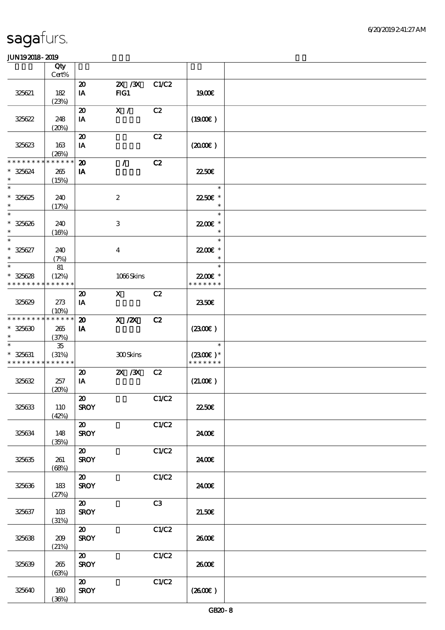|                                                     | Qty<br>Cert%                |                                            |                                                                                             |       |                                       |  |
|-----------------------------------------------------|-----------------------------|--------------------------------------------|---------------------------------------------------------------------------------------------|-------|---------------------------------------|--|
|                                                     |                             | $\boldsymbol{\mathfrak{D}}$                | 2X / 3X                                                                                     | C1/C2 |                                       |  |
| 325621                                              | 182<br>(23%)                | IA                                         | FG1                                                                                         |       | 1900E                                 |  |
| 325622                                              | 248                         | $\boldsymbol{\mathfrak{D}}$<br>IA          | $\mathbf{X}$ /                                                                              | C2    | (1900E)                               |  |
|                                                     | (20%)                       |                                            |                                                                                             |       |                                       |  |
| 325623                                              | 163<br>(20%)                | $\boldsymbol{\mathsf{20}}$<br>IA           |                                                                                             | C2    | (200)                                 |  |
| * * * * * * * *<br>$* 325624$<br>$\ast$             | * * * * * *<br>265<br>(15%) | $\boldsymbol{\mathfrak{D}}$<br>IA          | $\mathcal{L}$                                                                               | C2    | <b>22506</b>                          |  |
| $\overline{\ast}$<br>$* 325625$<br>$\ast$           | 240<br>(17%)                |                                            | $\boldsymbol{2}$                                                                            |       | $\ast$<br>2250E *<br>$\ast$           |  |
| $\ast$<br>$* 325626$<br>$\ast$                      | 240<br>(16%)                |                                            | 3                                                                                           |       | $\ast$<br>22.00 £*<br>$\ast$          |  |
| $\ast$<br>$* 325627$<br>$\ast$                      | 240<br>(7%)                 |                                            | $\bf{4}$                                                                                    |       | $\ast$<br>2200E *<br>$\ast$           |  |
| $\ast$                                              | 81                          |                                            |                                                                                             |       | $\ast$                                |  |
| $* 325628$<br>* * * * * * * *                       | (12%)<br>* * * * * *        |                                            | 1066Skins                                                                                   |       | 22.00€ *<br>* * * * * * *             |  |
| 325629                                              | 273<br>(10%)                | $\boldsymbol{\mathfrak{D}}$<br>IA          | $\mathbf X$ and $\mathbf X$ and $\mathbf X$ and $\mathbf X$ and $\mathbf X$ and $\mathbf X$ | C2    | 2350E                                 |  |
| * * * * * * * * * * * * * *<br>$* 325630$<br>$\ast$ | 265<br>(37%)                | $\boldsymbol{\mathfrak{D}}$<br><b>IA</b>   | $X$ / $ZX$                                                                                  | C2    | (230)                                 |  |
| $* 325631$<br>* * * * * * * * * * * * * *           | 35<br>(31%)                 |                                            | 300Skins                                                                                    |       | $\ast$<br>$(2300E)*$<br>* * * * * * * |  |
| 325632                                              | 257<br>(20%)                | $\boldsymbol{\mathfrak{D}}$<br>IA          | 2X / 3X                                                                                     | C2    | (21.00)                               |  |
| 325633                                              | 110<br>(42%)                | $\boldsymbol{\mathfrak{D}}$<br><b>SROY</b> |                                                                                             | C1/C2 | <b>2250€</b>                          |  |
| 325634                                              | 148<br>(35%)                | $\boldsymbol{\mathfrak{D}}$<br><b>SROY</b> |                                                                                             | C1/C2 | 2400€                                 |  |
| 325635                                              | 261<br>(68%)                | $\boldsymbol{\mathfrak{D}}$<br><b>SROY</b> |                                                                                             | C1/C2 | 2400E                                 |  |
| 325636                                              | 183<br>(27%)                | $\boldsymbol{\mathfrak{D}}$<br><b>SROY</b> |                                                                                             | C1/C2 | 2400€                                 |  |
| 325637                                              | 10B<br>(31%)                | $\boldsymbol{\mathfrak{D}}$<br><b>SROY</b> |                                                                                             | C3    | 21.50E                                |  |
| 325638                                              | 209<br>(21%)                | $\boldsymbol{\mathfrak{D}}$<br><b>SROY</b> |                                                                                             | C1/C2 | 2600E                                 |  |
| 325639                                              | 265<br>(63%)                | $\boldsymbol{\mathfrak{D}}$<br><b>SROY</b> |                                                                                             | C1/C2 | 2600E                                 |  |
| 325640                                              | 160<br>(36%)                | $\boldsymbol{\mathfrak{D}}$<br><b>SROY</b> |                                                                                             | C1/C2 | (260E)                                |  |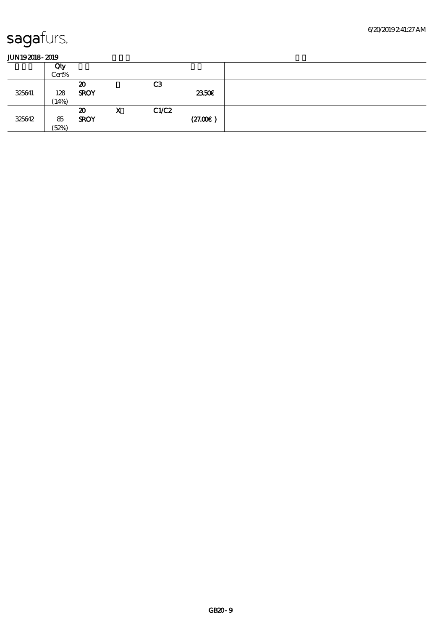|        | Qty<br>Cert% |                                            |   |                |         |  |
|--------|--------------|--------------------------------------------|---|----------------|---------|--|
| 325641 | 128<br>(14%) | 20<br><b>SROY</b>                          |   | C <sub>3</sub> | 2350E   |  |
| 325642 | 85<br>(52%)  | $\boldsymbol{\mathfrak{D}}$<br><b>SROY</b> | X | C1/C2          | (27.00) |  |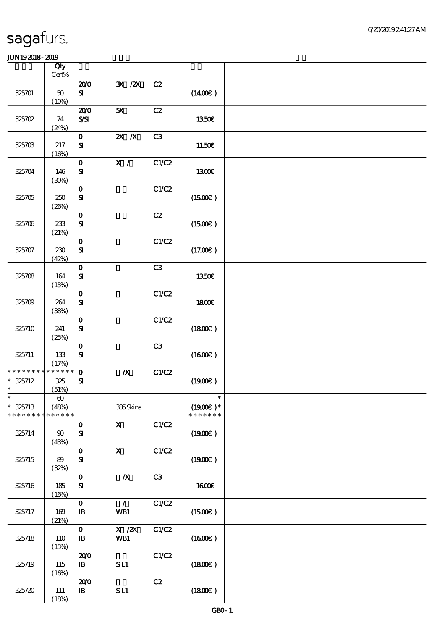|                                         | Qty<br>Cert%                                  |                                            |                                                            |       |                                       |  |
|-----------------------------------------|-----------------------------------------------|--------------------------------------------|------------------------------------------------------------|-------|---------------------------------------|--|
| 325701                                  | $5\!\mathrm{O}$<br>(10%)                      | 200<br>${\bf s}$                           | $\mathbf{X}$ / $\mathbf{X}$                                | C2    | $(1400\varepsilon)$                   |  |
| 325702                                  | 74<br>(24%)                                   | 200<br>$S\!S\!I$                           | 5X                                                         | C2    | 1350€                                 |  |
| 325703                                  | 217<br>(16%)                                  | $\mathbf{o}$<br>$\mathbf{S}$               | $X$ $N$                                                    | C3    | 11.50€                                |  |
| 325704                                  | 146<br>(30%)                                  | $\mathbf O$<br>${\bf s}$                   | X /                                                        | C1/C2 | 1300E                                 |  |
| 325705                                  | 250<br>(20%)                                  | $\mathbf 0$<br>${\bf S}$                   |                                                            | C1/C2 | (1500E)                               |  |
| 325706                                  | $233\,$<br>(21%)                              | $\mathbf{o}$<br>${\bf S}$                  |                                                            | C2    | (1500E)                               |  |
| 325707                                  | $230\,$<br>(42%)                              | $\mathbf O$<br>$\mathbf{S}$                |                                                            | C1/C2 | (17.00)                               |  |
| 325708                                  | 164<br>(15%)                                  | $\mathbf 0$<br>${\bf s}$                   |                                                            | C3    | 1350€                                 |  |
| 325709                                  | 264<br>(38%)                                  | $\mathbf 0$<br>$\mathbf{S}$                |                                                            | C1/C2 | 1800E                                 |  |
| 325710                                  | 241<br>(25%)                                  | $\mathbf O$<br>$\mathbf{S}$                |                                                            | C1/C2 | (1800)                                |  |
| 325711                                  | 133<br>(17%)                                  | $\mathbf O$<br>$\mathbf{S}$                |                                                            | C3    | (1600)                                |  |
| * * * * * * * *<br>$* 325712$<br>$\ast$ | * * * * * *<br>$325\,$<br>(51%)               | $\mathbf{o}$<br>$\mathbf{S}$               | $\boldsymbol{X}$                                           | C1/C2 | (1900)                                |  |
| $\ast$<br>$* 325713$<br>* * * * * * * * | $\boldsymbol{\omega}$<br>(48%)<br>* * * * * * |                                            | 385Skins                                                   |       | $\ast$<br>$(1900E)*$<br>* * * * * * * |  |
| 325714                                  | $90^{\circ}$<br>(43%)                         | $\mathbf 0$<br>${\bf s}$                   | $\mathbf{x}$                                               | C1/C2 | (1900E)                               |  |
| 325715                                  | 89<br>(32%)                                   | $\mathbf O$<br>$\mathbf{S}$                | $\mathbf{x}$                                               | C1/C2 | (1900)                                |  |
| 325716                                  | 185<br>(16%)                                  | $\mathbf 0$<br>${\bf s}$                   | $\boldsymbol{X}$                                           | C3    | 1600E                                 |  |
| 325717                                  | 169<br>(21%)                                  | $\mathbf{o}$<br>$\, {\bf I} \! {\bf B} \,$ | $\mathcal{L}$<br>WB1                                       | C1/C2 | $(1500\varepsilon)$                   |  |
| 325718                                  | 110<br>(15%)                                  | $\mathbf{O}$<br>${\bf I\!B}$               | $\boldsymbol{X}$ / $\boldsymbol{Z}\!\boldsymbol{X}$<br>WB1 | C1/C2 | (1600)                                |  |
| 325719                                  | 115<br>(16%)                                  | 200<br>$\mathbf{B}$                        | SL1                                                        | C1/C2 | (1800)                                |  |
| 325720                                  | 111<br>(18%)                                  | 200<br>$\, {\bf I} \! {\bf B} \,$          | SL1                                                        | C2    | (1800)                                |  |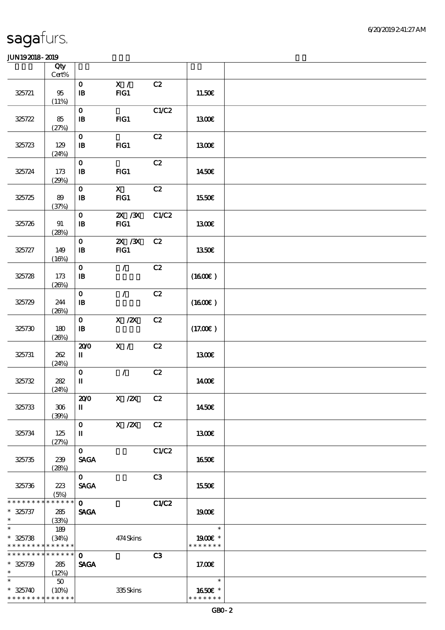|                             | Qty<br>Cert%          |                                            |                                    |                |               |  |
|-----------------------------|-----------------------|--------------------------------------------|------------------------------------|----------------|---------------|--|
|                             |                       | $\mathbf{O}$                               | X /                                | C2             |               |  |
| 325721                      | $95\,$<br>(11%)       | $\mathbf{B}$                               | FG1                                |                | 11.50€        |  |
| 325722                      | 85                    | $\mathbf{o}$<br>$\, {\bf I} \! {\bf B} \,$ | $HG1$                              | C1/C2          | <b>1300€</b>  |  |
| 325723                      | (27%)<br>129          | $\mathbf{o}$<br>$\mathbf{B}$               | FIG1                               | C2             | 1300E         |  |
| 325724                      | (24%)<br>173<br>(29%) | $\mathbf 0$<br>$\mathbf{B}$                | FG1                                | C2             | 1450€         |  |
| 325725                      | 89<br>(37%)           | $\mathbf{o}$<br>$\mathbf{B}$               | $\mathbf{x}$<br>FG1                | C2             | 1550€         |  |
| 325726                      | 91<br>(28%)           | $\mathbf{o}$<br>$\mathbf{B}$               | $\mathbf{X}$ / $\mathbf{X}$<br>FG1 | C1/C2          | 1300E         |  |
| 325727                      | 149<br>(16%)          | $\mathbf{o}$<br>$\bf I\bf B$               | $X \, X$<br>FG1                    | C2             | 1350€         |  |
| 325728                      | 173<br>(20%)          | $\mathbf{o}$<br>$\mathbf{B}$               | $\mathcal{L}$                      | C2             | (1600E)       |  |
| 325729                      | 244<br>(20%)          | $\mathbf O$<br>$\mathbf{B}$                | $\mathcal{L}$                      | C2             | (1600E)       |  |
| 325730                      | 180<br>(20%)          | $\mathbf 0$<br>$\mathbf{B}$                | $X \, /ZX$                         | C2             | (17.00)       |  |
| 325731                      | 262<br>(24%)          | 200<br>П                                   | X /                                | C2             | 1300E         |  |
| 325732                      | 282<br>(24%)          | $\mathbf O$<br>$\mathbf I$                 | $\mathcal{L}$                      | C2             | 1400E         |  |
| 325733                      | 306<br>(30%)          | 200<br>п                                   | X / ZX C2                          |                | 1450€         |  |
| 325734                      | 125<br>(27%)          | $\mathbf{O}$<br>П                          | $X \, /ZX$                         | C2             | 1300E         |  |
| 325735                      | 239<br>(28%)          | $\mathbf{O}$<br><b>SAGA</b>                |                                    | C1/C2          | 1650€         |  |
| 325736                      | 223<br>(5%)           | $\mathbf{O}$<br><b>SAGA</b>                |                                    | C <sub>3</sub> | 1550€         |  |
| * * * * * * * * * * * * * * |                       | $\mathbf{O}$                               |                                    | C1/C2          |               |  |
| $* 325737$<br>$\ast$        | 285                   | <b>SAGA</b>                                |                                    |                | 1900E         |  |
| $\ast$                      | (33%)                 |                                            |                                    |                | $\ast$        |  |
| $* 325738$                  | 189<br>(34%)          |                                            | 474Skins                           |                | 1900E *       |  |
| * * * * * * * * * * * * * * |                       |                                            |                                    |                | * * * * * * * |  |
| * * * * * * * * * * * * * * |                       | $\mathbf{o}$                               |                                    | C3             |               |  |
| $* 325739$                  | 285                   | <b>SAGA</b>                                |                                    |                | 17.00€        |  |
| $\ast$                      | (12%)                 |                                            |                                    |                |               |  |
| $\ast$                      | 50                    |                                            |                                    |                | $\ast$        |  |
| $* 325740$                  | (10%)                 |                                            | 335Skins                           |                | 1650E *       |  |
| * * * * * * * * * * * * * * |                       |                                            |                                    |                | * * * * * * * |  |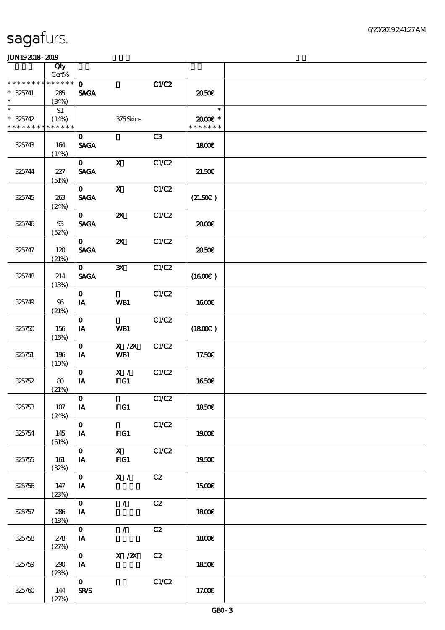|                                                     | Qty<br>Cert%      |                               |                           |       |                                   |  |
|-----------------------------------------------------|-------------------|-------------------------------|---------------------------|-------|-----------------------------------|--|
| * * * * * * * * * * * * * *                         |                   | $\mathbf{O}$                  |                           | C1/C2 |                                   |  |
| $* 325741$<br>$\ast$                                | 285<br>(34%)      | <b>SAGA</b>                   |                           |       | ææ                                |  |
| $\ast$<br>$* 325742$<br>* * * * * * * * * * * * * * | 91<br>(14%)       |                               | 376Skins                  |       | $\ast$<br>2000E*<br>* * * * * * * |  |
| 325743                                              | 164<br>(14%)      | $\mathbf{O}$<br><b>SAGA</b>   |                           | C3    | 1800E                             |  |
| 325744                                              | 227<br>(51%)      | $\mathbf{O}$<br><b>SAGA</b>   | $\mathbf{x}$              | C1/C2 | 21.50E                            |  |
| 325745                                              | 263<br>(24%)      | $\mathbf{O}$<br><b>SAGA</b>   | $\mathbf{X}$              | C1/C2 | (21.50)                           |  |
| 325746                                              | $9\!\!3$<br>(52%) | $\mathbf{O}$<br><b>SAGA</b>   | $\boldsymbol{\mathsf{Z}}$ | C1/C2 | æœ                                |  |
| 325747                                              | 120<br>(21%)      | $\mathbf{O}$<br><b>SAGA</b>   | $\boldsymbol{\mathsf{z}}$ | C1/C2 | ææ                                |  |
| 325748                                              | 214<br>(13%)      | $\mathbf{O}$<br><b>SAGA</b>   | $\mathbf{x}$              | C1/C2 | (1600)                            |  |
| 325749                                              | 96<br>(21%)       | $\mathbf{O}$<br>IA            | WB1                       | C1/C2 | <b>1600€</b>                      |  |
| 325750                                              | 156<br>(16%)      | $\mathbf 0$<br>IA             | WB1                       | C1/C2 | (1800)                            |  |
| 325751                                              | 196<br>(10%)      | $\mathbf{o}$<br>IA            | $X$ / $ZX$<br>WB1         | C1/C2 | 17.50€                            |  |
| 325752                                              | 80<br>(21%)       | $\mathbf{O}$<br>IA            | X /<br>FG1                | C1/C2 | 1650€                             |  |
| 325753                                              | 107<br>(24%)      | $\mathbf{O}$<br>IA            | FIG1                      | C1/C2 | <b>1850€</b>                      |  |
| 325754                                              | 145<br>(51%)      | $\mathbf{O}$<br>IA            | $HG1$                     | C1/C2 | 1900E                             |  |
| 325755                                              | 161<br>(32%)      | $\mathbf{O}$<br>IA            | $\mathbf{X}$<br>FG1       | C1/C2 | 1950€                             |  |
| 325756                                              | 147<br>(23%)      | $\mathbf{O}$<br>IA            | $\mathbf{X}$ /            | C2    | <b>1500€</b>                      |  |
| 325757                                              | 286<br>(18%)      | $\mathbf{O}$<br>IA            | $\mathcal{L}$             | C2    | 1800E                             |  |
| 325758                                              | 278<br>(27%)      | $\mathbf{O}$<br>$\mathbf{IA}$ | $\mathcal{L}$             | C2    | <b>1800€</b>                      |  |
| 325759                                              | 290<br>(23%)      | $\overline{\mathbf{0}}$<br>IA | X / ZX                    | C2    | 1850E                             |  |
| 325760                                              | 144<br>(27%)      | $\mathbf{O}$<br>$S\!R\!S$     |                           | C1/C2 | 17.00E                            |  |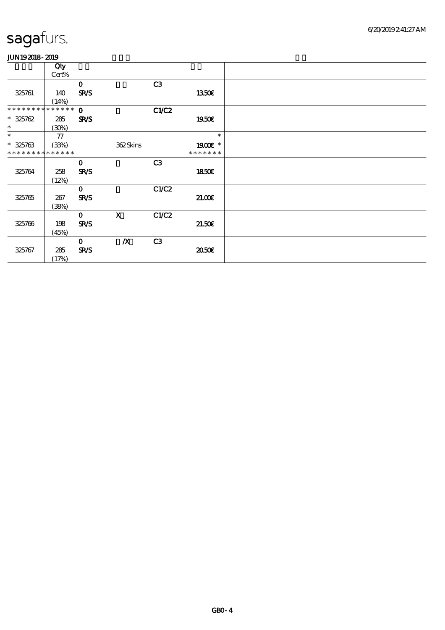|                 | Qty         |              |                  |       |               |  |
|-----------------|-------------|--------------|------------------|-------|---------------|--|
|                 | Cert%       |              |                  |       |               |  |
|                 |             | $\mathbf 0$  |                  | C3    |               |  |
| 325761          | 140         | <b>SR/S</b>  |                  |       | 1350E         |  |
|                 | (14%)       |              |                  |       |               |  |
| ********        | * * * * * * | $\mathbf 0$  |                  | C1/C2 |               |  |
| $* 325762$      | 285         | <b>SR/S</b>  |                  |       | 1950E         |  |
| $\ast$          | (30%)       |              |                  |       |               |  |
| $\ast$          | ${\bf 77}$  |              |                  |       | $\ast$        |  |
| $* 325763$      | (33%)       |              | 362Skins         |       | 1900 *        |  |
| * * * * * * * * | * * * * * * |              |                  |       | * * * * * * * |  |
|                 |             | $\mathbf 0$  |                  | C3    |               |  |
| 325764          | 258         | <b>SR/S</b>  |                  |       | 1850E         |  |
|                 | (12%)       |              |                  |       |               |  |
|                 |             | $\mathbf 0$  |                  | C1/C2 |               |  |
| 325765          | 267         | <b>SR/S</b>  |                  |       | 21.00E        |  |
|                 | (38%)       |              |                  |       |               |  |
|                 |             | $\mathbf{o}$ | $\mathbf{x}$     | C1/C2 |               |  |
| 325766          | 198         | <b>SR/S</b>  |                  |       | 21.50E        |  |
|                 | (45%)       |              |                  |       |               |  |
|                 |             | $\mathbf 0$  | $\boldsymbol{X}$ | C3    |               |  |
| 325767          | 285         | <b>SR/S</b>  |                  |       | ææ            |  |
|                 | (17%)       |              |                  |       |               |  |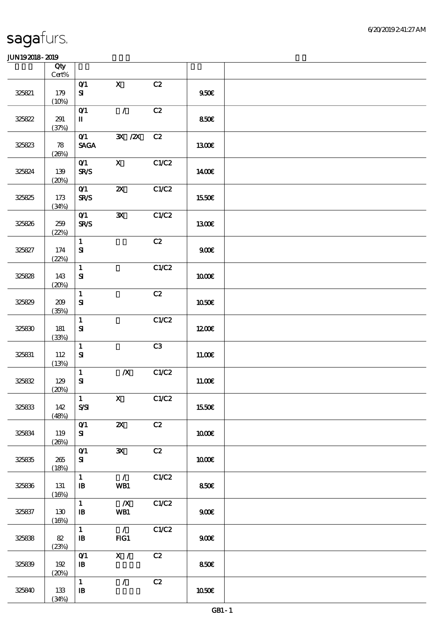|        | Qty<br>$Cert\%$  |                                                |                                 |       |        |  |
|--------|------------------|------------------------------------------------|---------------------------------|-------|--------|--|
| 325821 | 179<br>(10%)     | O(1)<br>$\mathbf{S}$                           | $\mathbf{x}$                    | C2    | 950E   |  |
| 325822 | 291<br>(37%)     | O(1)<br>$\mathbf I$                            | $\mathcal{T}$                   | C2    | 850E   |  |
| 325823 | 78<br>(20%)      | $O$ <sup>1</sup><br><b>SAGA</b>                | $\mathbf{X}$ / $\mathbf{X}$     | C2    | 1300E  |  |
| 325824 | 139<br>(20%)     | O(1)<br>$S\!R\!S$                              | $\mathbf{x}$                    | C1/C2 | 1400E  |  |
| 325825 | $173\,$<br>(34%) | O(1)<br>$S\!R\!S$                              | $\boldsymbol{\mathsf{X}}$       | C1/C2 | 1550€  |  |
| 325826 | 259<br>(22%)     | O(1)<br><b>SR/S</b>                            | $\mathbf{x}$                    | C1/C2 | 1300E  |  |
| 325827 | 174<br>(22%)     | $\mathbf{1}$<br>$\mathbf{S}$                   |                                 | C2    | 900E   |  |
| 325828 | 143<br>(20%)     | $\mathbf{1}$<br>${\bf S}$                      |                                 | C1/C2 | 1000E  |  |
| 325829 | 209<br>(35%)     | $\mathbf{1}$<br>${\bf S}$                      |                                 | C2    | 1050E  |  |
| 325830 | 181<br>(33%)     | $\mathbf{1}$<br>${\bf S}$                      |                                 | C1/C2 | 1200E  |  |
| 325831 | 112<br>(13%)     | $\mathbf{1}$<br>${\bf S}$                      |                                 | C3    | 11.00E |  |
| 325832 | 129<br>(20%)     | $\mathbf{1}$<br>$\mathbf{S}$                   | $\boldsymbol{X}$                | C1/C2 | 11.00E |  |
| 325833 | 142<br>(48%)     | $\begin{bmatrix} 1 \end{bmatrix}$<br>$S\!S\!I$ | $\mathbf{x}$                    | C1/C2 | 1550€  |  |
| 325834 | 119<br>(20%)     | $O$ <sup>1</sup><br>${\bf s}$                  | $\boldsymbol{\mathsf{X}}$       | C2    | 1000E  |  |
| 325835 | 265<br>(18%)     | O(1)<br>${\bf s}$                              | $\mathbf{x}$                    | C2    | 1000E  |  |
| 325836 | 131<br>(16%)     | $\mathbf{1}$<br>$\mathbf{B}$                   | $\mathcal{L}$<br>WB1            | C1/C2 | 850E   |  |
| 325837 | 130<br>(16%)     | $\mathbf{1}$<br>$\mathbf{B}$                   | $\boldsymbol{X}$<br>WB1         | C1/C2 | 900E   |  |
| 325838 | 82<br>(23%)      | $\mathbf{1}$<br>$\mathbf{B}$                   | $\overline{\phantom{a}}$<br>FG1 | C1/C2 | 900    |  |
| 325839 | 192<br>(20%)     | O(1)<br>$\, {\bf I} \! {\bf B} \,$             | $\overline{\mathbf{x}}$ /       | C2    | 850E   |  |
| 325840 | 133<br>(34%)     | $\mathbf{1}$<br>$\, {\bf I} \! {\bf B} \,$     | $\mathcal{L}$                   | C2    | 1050E  |  |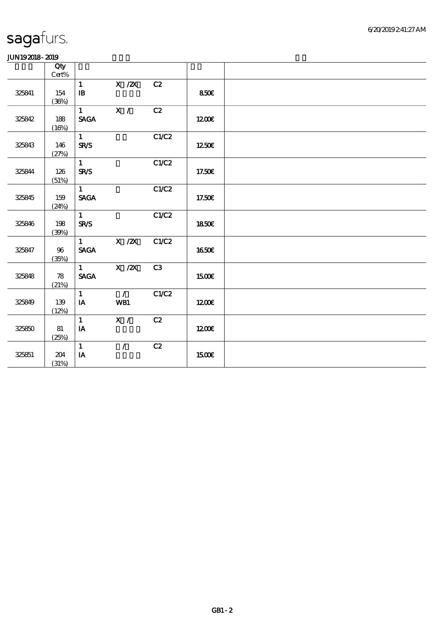|        | Qty    |                            |               |                |              |  |
|--------|--------|----------------------------|---------------|----------------|--------------|--|
|        | Cert%  |                            |               |                |              |  |
|        |        | $\mathbf{1}$               | $X$ / $ZX$    | C2             |              |  |
| 325841 | 154    | $\, {\bf I} \! {\bf B} \,$ |               |                | 850€         |  |
|        | (36%)  |                            |               |                |              |  |
|        |        | $\mathbf{1}$               | X /           | C2             |              |  |
| 325842 | 188    | <b>SAGA</b>                |               |                | 1200         |  |
|        | (16%)  |                            |               |                |              |  |
|        |        | $\mathbf{1}$               |               | C1/C2          |              |  |
| 325843 | 146    | <b>SR/S</b>                |               |                | 1250€        |  |
|        | (27%)  |                            |               |                |              |  |
|        |        | $\mathbf{1}$               |               | C1/C2          |              |  |
| 325844 | 126    | <b>SR/S</b>                |               |                | 17.50€       |  |
|        | (51%)  |                            |               |                |              |  |
|        |        | $\mathbf{1}$               |               | C1/C2          |              |  |
| 325845 | 159    | <b>SAGA</b>                |               |                | 17.50€       |  |
|        | (24%)  |                            |               |                |              |  |
|        |        | $\mathbf{1}$               |               | C1/C2          |              |  |
|        |        | <b>SR/S</b>                |               |                |              |  |
| 325846 | 198    |                            |               |                | 1850€        |  |
|        | (30%)  |                            |               |                |              |  |
|        |        | 1                          | X / ZX        | C1/C2          |              |  |
| 325847 | $96\,$ | <b>SAGA</b>                |               |                | <b>1650€</b> |  |
|        | (35%)  |                            |               |                |              |  |
|        |        | $\mathbf{1}$               | $X$ / $ZX$    | C <sub>3</sub> |              |  |
| 325848 | $78$   | <b>SAGA</b>                |               |                | 1500€        |  |
|        | (21%)  |                            |               |                |              |  |
|        |        | $\mathbf{1}$               | $\mathcal{L}$ | C1/C2          |              |  |
| 325849 | 139    | IA                         | WB1           |                | 1200E        |  |
|        | (12%)  |                            |               |                |              |  |
|        |        | $\mathbf{1}$               | X /           | C2             |              |  |
| 325850 | 81     | IA                         |               |                | 1200         |  |
|        | (25%)  |                            |               |                |              |  |
|        |        | $\mathbf{1}$               | $\mathcal{L}$ | C2             |              |  |
| 325851 | 204    | ${\bf I} {\bf A}$          |               |                | 1500E        |  |
|        | (31%)  |                            |               |                |              |  |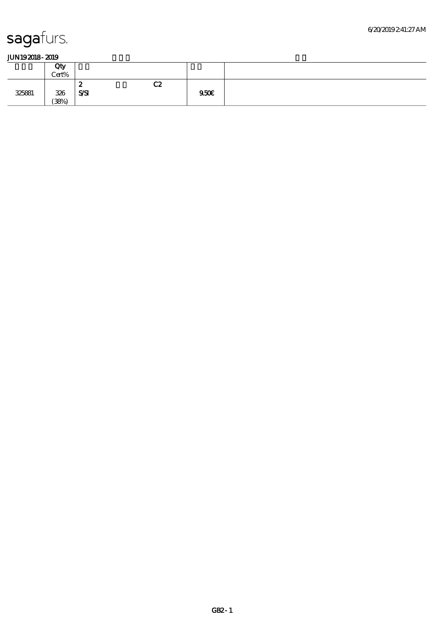|        | Qty<br>Cert% |                |    |      |  |
|--------|--------------|----------------|----|------|--|
|        |              | ∼              | C2 |      |  |
| 325881 | 326<br>(38%) | $S\mathcal{S}$ |    | 950€ |  |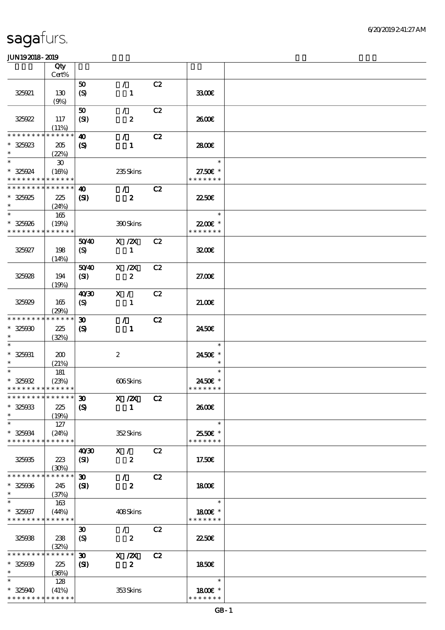|                                          | Qty                         |                             |                                 |    |               |  |
|------------------------------------------|-----------------------------|-----------------------------|---------------------------------|----|---------------|--|
|                                          | Cert%                       |                             |                                 |    |               |  |
|                                          |                             | 50                          | $\mathcal{L}$                   | C2 |               |  |
| 325921                                   | 130                         | (S)                         | $\mathbf{1}$                    |    | 3300E         |  |
|                                          | (9%)                        |                             |                                 |    |               |  |
|                                          |                             | 50                          | $\mathcal{L}$                   | C2 |               |  |
| 325922                                   | 117                         | (SI)                        | $\boldsymbol{z}$                |    | 2600E         |  |
|                                          | (11%)                       |                             |                                 |    |               |  |
| * * * * * * *                            | * * * * * *                 | $\boldsymbol{\omega}$       | $\mathcal{L}$                   | C2 |               |  |
| $* 325923$                               | 205                         | $\mathbf{S}$                | $\mathbf{1}$                    |    | 2800E         |  |
| $\ast$                                   | (22%)                       |                             |                                 |    |               |  |
| $\ast$                                   | $\boldsymbol{\mathfrak{D}}$ |                             |                                 |    | $\ast$        |  |
| * 325924                                 | (16%)                       |                             | 235Skins                        |    | 27.50€ *      |  |
| * * * * * * * * * * * * * *              |                             |                             |                                 |    | * * * * * * * |  |
| * * * * * * * *                          | * * * * * *                 | $\boldsymbol{\Phi}$         | $\mathcal{F}$ and $\mathcal{F}$ | C2 |               |  |
| $* 325925$                               | 225                         | $\mathbf{S}$                | $\boldsymbol{z}$                |    | 2250E         |  |
| $\ast$                                   | (24%)                       |                             |                                 |    |               |  |
| $\ast$                                   | 165                         |                             |                                 |    | $\ast$        |  |
| $* 325026$                               | (19%)                       |                             | 390Skins                        |    | 22.00€ *      |  |
| * * * * * * * *                          | * * * * * *                 |                             |                                 |    | * * * * * * * |  |
|                                          |                             | 5040                        | $X$ / $ZX$                      | C2 |               |  |
| 325927                                   | 198                         | (S)                         | $\mathbf{1}$                    |    | 3200          |  |
|                                          | (14%)                       |                             |                                 |    |               |  |
|                                          |                             | 5040                        | $X$ / $ZX$                      | C2 |               |  |
| 325928                                   | 194                         | (SI)                        | $\boldsymbol{z}$                |    | 27.00E        |  |
|                                          |                             |                             |                                 |    |               |  |
|                                          | (19%)                       |                             |                                 |    |               |  |
|                                          |                             | 40 <sup>2</sup>             | X /                             | C2 |               |  |
| 325929                                   | 165                         | $\boldsymbol{S}$            | 1                               |    | 21.006        |  |
| * * * * * * * *                          | (29%)                       |                             |                                 |    |               |  |
|                                          | * * * * * *                 | $\boldsymbol{\mathfrak{D}}$ | $\mathcal{F}$                   | C2 |               |  |
| $* 32500$                                | 225                         | $\boldsymbol{\mathrm{(S)}}$ | $\mathbf{1}$                    |    | 2450E         |  |
| $\ast$                                   | (32%)                       |                             |                                 |    |               |  |
|                                          |                             |                             |                                 |    | $\ast$        |  |
| $* 325031$                               | 200                         |                             | $\boldsymbol{z}$                |    | 2450€ *       |  |
| $\ast$                                   | (21%)                       |                             |                                 |    | $\ast$        |  |
| $\ast$                                   | 181                         |                             |                                 |    | $\ast$        |  |
| $* 325032$                               | (23%)                       |                             | 606Skins                        |    | 2450€ *       |  |
| * * * * * * * * * * * * * *              |                             |                             |                                 |    | * * * * * * * |  |
| **************** 30                      |                             |                             | $X$ / $ZX$                      | C2 |               |  |
| $* 325033$                               | 225                         | $\boldsymbol{\mathrm{(S)}}$ | -1                              |    | 2600E         |  |
| $\ast$                                   | (19%)                       |                             |                                 |    |               |  |
| $\ast$                                   | 127                         |                             |                                 |    | $\ast$        |  |
| $* 325034$                               | (24%)                       |                             | 352Skins                        |    | 2550€ *       |  |
| * * * * * * * *                          | * * * * * *                 |                             |                                 |    | * * * * * * * |  |
|                                          |                             | 40 <sup>30</sup>            | X /                             | C2 |               |  |
| 325035                                   | 223                         | (SI)                        | $\boldsymbol{z}$                |    | 17.50€        |  |
|                                          | (30%)                       |                             |                                 |    |               |  |
| * * * * * * * *                          | * * * * * *                 | $\boldsymbol{\mathfrak{D}}$ | $\mathcal{L}$                   | C2 |               |  |
| $* 325006$                               | 245                         | $\mathbf{S}$                | $\boldsymbol{z}$                |    | 1800E         |  |
| $\ast$                                   | (37%)                       |                             |                                 |    |               |  |
|                                          | 163                         |                             |                                 |    | $\ast$        |  |
| $* 325037$                               | (44%)                       |                             | 408Skins                        |    | 1800 £*       |  |
| * * * * * * * * <mark>* * * * * *</mark> |                             |                             |                                 |    | * * * * * * * |  |
|                                          |                             | $\boldsymbol{\mathfrak{D}}$ | $\mathcal{L}$                   | C2 |               |  |
| 325038                                   | 238                         | $\boldsymbol{\mathrm{(S)}}$ | $\boldsymbol{z}$                |    | 2250E         |  |
|                                          | (32%)                       |                             |                                 |    |               |  |
| * * * * * * * *                          | * * * * * *                 | $\boldsymbol{\mathfrak{D}}$ | X / ZX                          | C2 |               |  |
| $* 32500$                                | 225                         | (S)                         | $\boldsymbol{z}$                |    | 1850E         |  |
| $\ast$                                   | (36%)                       |                             |                                 |    |               |  |
| $\ast$                                   | 128                         |                             |                                 |    | $\ast$        |  |
| $* 325040$                               | (41%)                       |                             | 353Skins                        |    | 1800E *       |  |
| * * * * * * * *                          | * * * * * *                 |                             |                                 |    | * * * * * * * |  |
|                                          |                             |                             |                                 |    |               |  |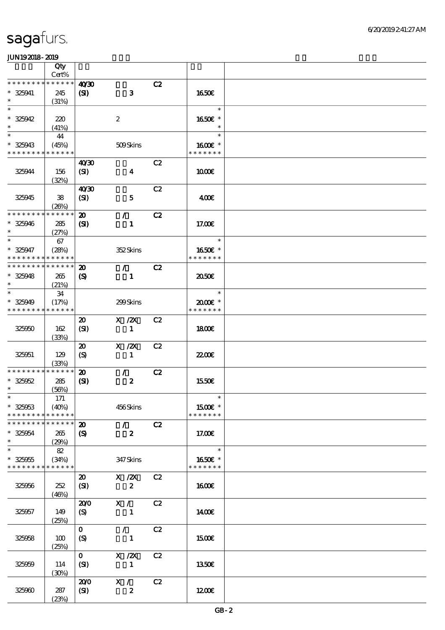|                                         | Qty                           |                                                           |                                            |    |                                    |  |
|-----------------------------------------|-------------------------------|-----------------------------------------------------------|--------------------------------------------|----|------------------------------------|--|
| * * * * * * * *                         | Cert%<br>* * * * * *          |                                                           |                                            |    |                                    |  |
| $* 325941$<br>$\ast$                    | 245<br>(31%)                  | 40'30<br>$\mathbf{E}$                                     | $\mathbf{3}$                               | C2 | 1650E                              |  |
| $\ast$<br>$* 325942$                    | 220                           |                                                           | $\boldsymbol{2}$                           |    | $\ast$<br>1650€ *                  |  |
| $\ast$<br>$\ast$<br>$* 325943$          | (41%)<br>44<br>(45%)          |                                                           | 509Skins                                   |    | $\ast$<br>$\ast$<br>1600 £*        |  |
| * * * * * * * *                         | * * * * * *                   | 40'30                                                     |                                            | C2 | * * * * * * *                      |  |
| 325944                                  | 156<br>(32%)                  | (SI)                                                      | $\boldsymbol{4}$                           |    | 1000E                              |  |
| 325945                                  | ${\bf 38}$<br>(20%)           | 40'30<br>(SI)                                             | $\mathbf{5}$                               | C2 | 400€                               |  |
| * * * * * * * *<br>$* 325946$<br>$\ast$ | * * * * * *<br>285<br>(27%)   | $\boldsymbol{\mathsf{20}}$<br>$\mathbf{C}$                | $\mathcal{L}$<br>$\mathbf{1}$              | C2 | 17.00E                             |  |
| $\ast$<br>$* 325947$                    | 67<br>(28%)                   |                                                           | 352Skins                                   |    | $\ast$<br>1650€ *                  |  |
| * * * * * * * *<br>* * * * * * * *      | * * * * * *<br>* * * * * *    | $\boldsymbol{\mathbf{z}}$                                 | $\mathcal{L}$                              | C2 | * * * * * * *                      |  |
| $* 325948$<br>$\ast$                    | 265<br>(21%)                  | $\boldsymbol{\mathrm{(S)}}$                               | $\mathbf{1}$                               |    | 2050                               |  |
| $\ast$<br>$* 325949$<br>* * * * * * * * | 34<br>(17%)<br>* * * * * *    |                                                           | 299Skins                                   |    | $\ast$<br>2000E *<br>* * * * * * * |  |
| 325050                                  | 162<br>(33%)                  | $\boldsymbol{\mathfrak{D}}$<br>(SI)                       | $X$ / $ZX$<br>$\mathbf{1}$                 | C2 | 1800                               |  |
| 325051                                  | 129<br>(33%)                  | $\boldsymbol{\mathsf{20}}$<br>$\boldsymbol{\mathrm{(S)}}$ | $X$ / $ZX$<br>$\mathbf{1}$                 | C2 | 22.00E                             |  |
| * * * * * * * *<br>$* 325052$<br>$\ast$ | * * * * * *<br>285<br>(56%)   | $\boldsymbol{\mathbf{z}}$<br>(S)                          | $\mathcal{L}$<br>$\boldsymbol{z}$          | C2 | 1550€                              |  |
| $\ast$<br>$* 325053$<br>* * * * * * * * | $171$<br>(40%)<br>* * * * * * |                                                           | 456Skins                                   |    | $\ast$<br>1500€ *<br>* * * * * * * |  |
| * * * * * * * *<br>$* 325054$<br>$\ast$ | * * * * * *<br>265<br>(29%)   | $\boldsymbol{\mathbf{z}}$<br>$\boldsymbol{\mathcal{S}}$   | $\mathcal{F}$<br>$\boldsymbol{z}$          | C2 | 17.00E                             |  |
| $\ast$<br>$* 325055$<br>* * * * * * * * | 82<br>(34%)<br>* * * * * *    |                                                           | 347 Skins                                  |    | $\ast$<br>1650E *<br>* * * * * * * |  |
| 325956                                  | 252<br>(46%)                  | $\boldsymbol{\mathfrak{D}}$<br>(SI)                       | $X \, /ZX$<br>$\boldsymbol{z}$             | C2 | <b>160€</b>                        |  |
| 325057                                  | 149<br>(25%)                  | 200<br>(S)                                                | X /<br>$\mathbf{1}$                        | C2 | 1400E                              |  |
| 325058                                  | 100<br>(25%)                  | $\mathbf{O}$<br>(S)                                       | $\mathcal{F}^{\mathbb{R}}$<br>$\mathbf{1}$ | C2 | 1500€                              |  |
| 325059                                  | 114<br>(30%)                  | $\mathbf{O}$<br>(SI)                                      | $X \, /ZX$<br>$\sim$ 1                     | C2 | 1350E                              |  |
| 325000                                  | 287<br>(23%)                  | 200<br>(SI)                                               | X /<br>$\boldsymbol{z}$                    | C2 | 1200                               |  |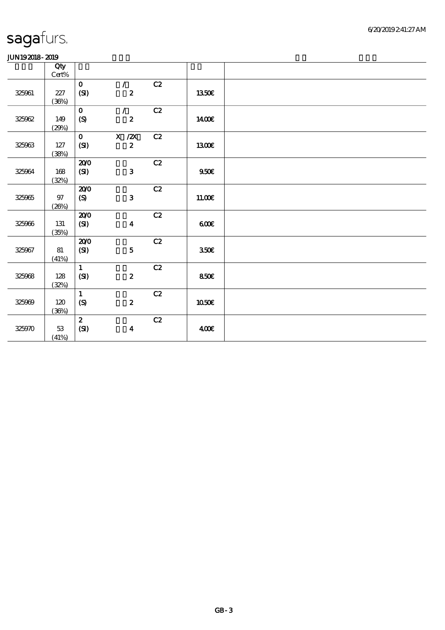|        | Qty      |                  |                                      |               |              |  |
|--------|----------|------------------|--------------------------------------|---------------|--------------|--|
|        | $Cert\%$ |                  |                                      |               |              |  |
|        |          | $\mathbf O$      | $\mathcal{L}$                        | $\mathbf{C2}$ |              |  |
| 325061 | 227      | (SI)             | $\boldsymbol{z}$                     |               | 1350€        |  |
|        | (36%)    |                  |                                      |               |              |  |
|        |          | $\mathbf{o}$     | $\mathcal{L}$                        | C2            |              |  |
| 325062 | 149      | $\boldsymbol{S}$ | $\boldsymbol{z}$                     |               | <b>140€</b>  |  |
|        | (29%)    |                  |                                      |               |              |  |
|        |          | $\mathbf{o}$     | $\boldsymbol{\mathrm{X}}$ / <b>Z</b> | C2            |              |  |
| 325063 | $127$    | (SI)             | $\boldsymbol{z}$                     |               | <b>1300€</b> |  |
|        | (38%)    |                  |                                      |               |              |  |
|        |          | 200              |                                      | C2            |              |  |
| 325064 | 168      | (SI)             | $\mathbf{3}$                         |               | 950E         |  |
|        | (32%)    | 200              |                                      | C2            |              |  |
| 325065 | $97\,$   | (S)              | $\mathbf{3}$                         |               | 11.00E       |  |
|        | (20%)    |                  |                                      |               |              |  |
|        |          | 200              |                                      | C2            |              |  |
| 325066 | 131      | (SI)             | $\boldsymbol{4}$                     |               | 600          |  |
|        | (35%)    |                  |                                      |               |              |  |
|        |          | 200              |                                      | C2            |              |  |
| 325967 | 81       | (SI)             | $\mathbf{5}$                         |               | 350E         |  |
|        | (41%)    |                  |                                      |               |              |  |
|        |          | $\mathbf{1}$     |                                      | C2            |              |  |
| 325068 | 128      | (SI)             | $\pmb{2}$                            |               | 850E         |  |
|        | (32%)    |                  |                                      |               |              |  |
|        |          | $\mathbf{1}$     |                                      | C2            |              |  |
| 325009 | 120      | $\boldsymbol{S}$ | $\boldsymbol{z}$                     |               | 1050E        |  |
|        | (36%)    |                  |                                      |               |              |  |
|        |          | $\boldsymbol{z}$ |                                      | $\mathbf{C2}$ |              |  |
| 325970 | $5\!3$   | (SI)             | $\boldsymbol{4}$                     |               | 400E         |  |
|        | (41%)    |                  |                                      |               |              |  |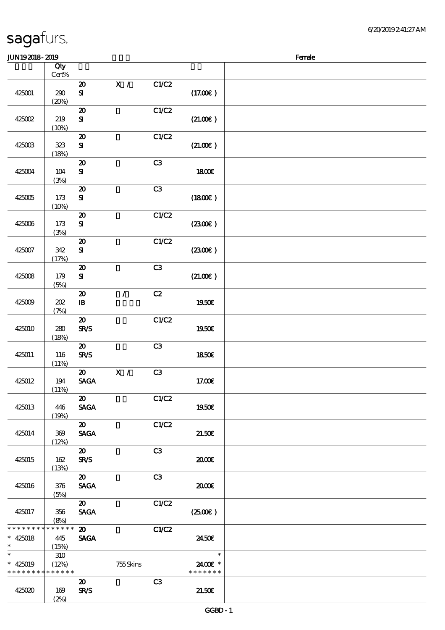| <b>JUN192018-2019</b>                      |                |                                            |               |                |               | Female |
|--------------------------------------------|----------------|--------------------------------------------|---------------|----------------|---------------|--------|
|                                            | Qty            |                                            |               |                |               |        |
|                                            | $Cert\%$       |                                            |               |                |               |        |
| 425001                                     |                | $\boldsymbol{\mathsf{20}}$                 | X /           | C1/C2          | (17.00)       |        |
|                                            | $200$<br>(20%) | $\bf S\!I$                                 |               |                |               |        |
|                                            |                | $\boldsymbol{\mathfrak{D}}$                |               | C1/C2          |               |        |
| 425002                                     | 219            | $\bf S\!I$                                 |               |                | (21.00)       |        |
|                                            | (10%)          |                                            |               |                |               |        |
|                                            |                | $\boldsymbol{\mathbf{z}}$                  |               | C1/C2          |               |        |
| 425003                                     | 323            | ${\bf S}$                                  |               |                | (21.00)       |        |
|                                            | (18%)          |                                            |               |                |               |        |
| 425004                                     | 104            | $\boldsymbol{\mathsf{20}}$<br>$\mathbf{S}$ |               | C3             | <b>1800€</b>  |        |
|                                            | (3%)           |                                            |               |                |               |        |
|                                            |                | $\boldsymbol{\mathfrak{D}}$                |               | C3             |               |        |
| 425005                                     | 173            | ${\bf S}$                                  |               |                | (1800)        |        |
|                                            | (10%)          |                                            |               |                |               |        |
|                                            |                | $\boldsymbol{\mathsf{20}}$                 |               | C1/C2          |               |        |
| 425006                                     | 173<br>(3%)    | ${\bf S\!I}$                               |               |                | (230E)        |        |
|                                            |                | $\boldsymbol{\mathsf{20}}$                 |               | C1/C2          |               |        |
| 425007                                     | 342            | $\bf S\bf I$                               |               |                | (230E)        |        |
|                                            | (17%)          |                                            |               |                |               |        |
|                                            |                | $\boldsymbol{\mathfrak{D}}$                |               | C3             |               |        |
| 425008                                     | 179            | ${\bf s}$                                  |               |                | (21.00)       |        |
|                                            | (5%)           |                                            |               |                |               |        |
| 425009                                     | 202            | $\boldsymbol{\mathsf{20}}$<br>$\mathbf{I}$ | $\mathcal{L}$ | C2             | 1950€         |        |
|                                            | (7%)           |                                            |               |                |               |        |
|                                            |                | $\boldsymbol{\mathsf{20}}$                 |               | C1/C2          |               |        |
| 425010                                     | 280            | <b>SR/S</b>                                |               |                | 1950€         |        |
|                                            | (18%)          |                                            |               |                |               |        |
| 425011                                     | 116            | $\boldsymbol{\mathfrak{D}}$<br><b>SR/S</b> |               | C3             | 1850€         |        |
|                                            | (11%)          |                                            |               |                |               |        |
|                                            |                | $\boldsymbol{\mathfrak{D}}$                | X /           | C <sub>3</sub> |               |        |
| 425012                                     | 194            | <b>SAGA</b>                                |               |                | 17.00€        |        |
|                                            | (11%)          |                                            |               |                |               |        |
|                                            |                | 20                                         |               | C1/C2          |               |        |
| 425013                                     | 446<br>(19%)   | <b>SAGA</b>                                |               |                | 1950€         |        |
|                                            |                | $\boldsymbol{\mathfrak{D}}$                |               | C1/C2          |               |        |
| 425014                                     | 369            | <b>SAGA</b>                                |               |                | 21.50E        |        |
|                                            | (12%)          |                                            |               |                |               |        |
|                                            |                | $\boldsymbol{\mathfrak{D}}$                |               | C3             |               |        |
| 425015                                     | 162            | <b>SR/S</b>                                |               |                | 2000          |        |
|                                            | (13%)          | $\boldsymbol{\mathfrak{D}}$                |               | C3             |               |        |
| 425016                                     | 376            | <b>SAGA</b>                                |               |                | æœ            |        |
|                                            | (5%)           |                                            |               |                |               |        |
|                                            |                | $\boldsymbol{\mathfrak{D}}$                |               | C1/C2          |               |        |
| 425017                                     | 356            | <b>SAGA</b>                                |               |                | (250)         |        |
| * * * * * * * * <mark>* * * * * * *</mark> | (8%)           | $\boldsymbol{\mathfrak{D}}$                |               |                |               |        |
| $* 425018$                                 | 445            | <b>SAGA</b>                                |               | C1/C2          | 2450E         |        |
| $\ast$                                     | (15%)          |                                            |               |                |               |        |
| $\ast$                                     | 310            |                                            |               |                | $\ast$        |        |
| $* 425019$                                 | (12%)          |                                            | 755Skins      |                | 2400€ *       |        |
| * * * * * * * * * * * * * *                |                |                                            |               |                | * * * * * * * |        |
| 425020                                     | 169            | $\boldsymbol{\mathfrak{D}}$<br><b>SR/S</b> |               | C3             | 21.50E        |        |
|                                            | (2%)           |                                            |               |                |               |        |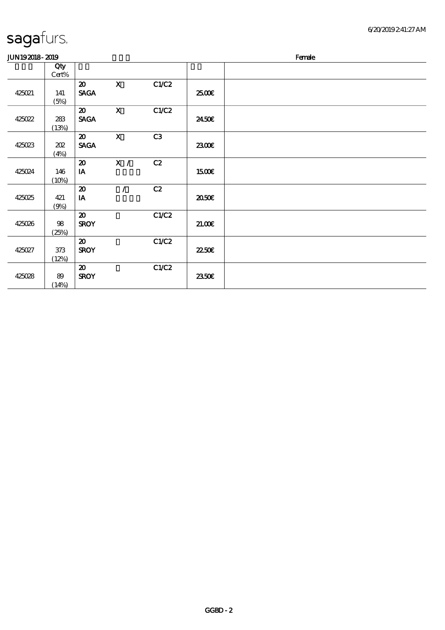| sagafurs. |
|-----------|
|           |

| JUN192018-2019 |       |                             |                           |                |              | Female |
|----------------|-------|-----------------------------|---------------------------|----------------|--------------|--------|
|                | Qty   |                             |                           |                |              |        |
|                | Cert% |                             |                           |                |              |        |
|                |       | $\boldsymbol{\mathfrak{D}}$ | $\mathbf{x}$              | C1/C2          |              |        |
| 425021         | 141   | <b>SAGA</b>                 |                           |                | 2500E        |        |
|                | (5%)  |                             |                           |                |              |        |
|                |       | $\boldsymbol{\mathfrak{D}}$ | $\boldsymbol{\mathrm{X}}$ | C1/C2          |              |        |
| 425022         | 283   | <b>SAGA</b>                 |                           |                | 2450E        |        |
|                | (13%) |                             |                           |                |              |        |
|                |       | $\boldsymbol{\mathfrak{D}}$ | $\mathbf{x}$              | C <sub>3</sub> |              |        |
| 425023         | 202   | <b>SAGA</b>                 |                           |                | 2300E        |        |
|                | (4%)  |                             |                           |                |              |        |
|                |       | $\boldsymbol{\mathfrak{D}}$ | $\mathbf{X}$ /            | C2             |              |        |
| 425024         | 146   | IA                          |                           |                | <b>1500€</b> |        |
|                | (10%) |                             |                           |                |              |        |
|                |       | $\boldsymbol{\mathfrak{D}}$ | $\prime$                  | C2             |              |        |
| 425025         | 421   | IA                          |                           |                | 2050E        |        |
|                | (9%)  |                             |                           |                |              |        |
|                |       | $\boldsymbol{\mathfrak{D}}$ |                           | C1/C2          |              |        |
| 425026         | 98    | <b>SROY</b>                 |                           |                | 21.00        |        |
|                | (25%) |                             |                           |                |              |        |
|                |       | $\boldsymbol{\mathfrak{D}}$ |                           | C1/C2          |              |        |
| 425027         | 373   | <b>SROY</b>                 |                           |                | 22.50E       |        |
|                | (12%) |                             |                           |                |              |        |
|                |       | $\boldsymbol{\mathfrak{D}}$ |                           | C1/C2          |              |        |
| 425028         | 89    | <b>SROY</b>                 |                           |                | 2350E        |        |
|                | (14%) |                             |                           |                |              |        |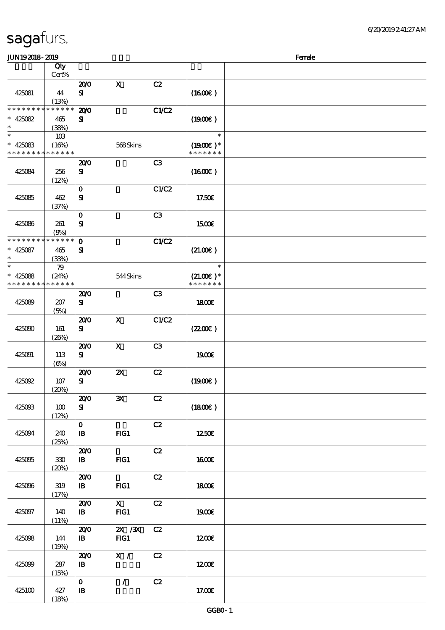| sagafurs. |  |
|-----------|--|
|           |  |

#### JUN192018-2019 Benefits and the state of the state of the state of the state of the state of the state of the state of the state of the state of the state of the state of the state of the state of the state of the state of

|                             |                      |                            |                           |       |               | $\sim$ |
|-----------------------------|----------------------|----------------------------|---------------------------|-------|---------------|--------|
|                             | Qty<br>Cert%         |                            |                           |       |               |        |
|                             |                      | 200                        | $\mathbf x$               | C2    |               |        |
|                             |                      | ${\bf s}$                  |                           |       |               |        |
| 425081                      | 44                   |                            |                           |       | (1600)        |        |
| * * * * * * * *             | (13%)<br>* * * * * * |                            |                           |       |               |        |
|                             |                      | 200                        |                           | C1/C2 |               |        |
| $* 425082$                  | 465                  | ${\bf s}$                  |                           |       | (1900)        |        |
| $\ast$                      | (38%)                |                            |                           |       |               |        |
| $\ast$                      | 10B                  |                            |                           |       | $\ast$        |        |
| $* 425083$                  | (16%)                |                            | 568Skins                  |       | $(1900E)*$    |        |
| * * * * * * * * * * * * * * |                      |                            |                           |       | * * * * * * * |        |
|                             |                      | 200                        |                           | C3    |               |        |
| 425084                      | 256                  | ${\bf s}$                  |                           |       | (1600)        |        |
|                             | (12%)                |                            |                           |       |               |        |
|                             |                      | $\mathbf 0$                |                           | C1/C2 |               |        |
| 425085                      | 462                  | ${\bf S}$                  |                           |       | 17.50€        |        |
|                             | (37%)                |                            |                           |       |               |        |
|                             |                      | $\mathbf{o}$               |                           | C3    |               |        |
| 425086                      | 261                  | ${\bf s}$                  |                           |       | 1500€         |        |
|                             |                      |                            |                           |       |               |        |
| * * * * * * * *             | (9%)<br>* * * * * *  | $\mathbf 0$                |                           | C1/C2 |               |        |
|                             |                      |                            |                           |       |               |        |
| $* 425087$                  | 465                  | ${\bf s}$                  |                           |       | (21.00)       |        |
| $\ast$                      | (33%)                |                            |                           |       |               |        |
| $\ast$                      | 79                   |                            |                           |       | $\ast$        |        |
| $* 425088$                  | (24%)                |                            | 544Skins                  |       | $(21.00)$ *   |        |
| * * * * * * * * * * * * * * |                      |                            |                           |       | * * * * * * * |        |
|                             |                      | 200                        |                           | C3    |               |        |
| 425089                      | 207                  | ${\bf s}$                  |                           |       | 1800E         |        |
|                             | (5%)                 |                            |                           |       |               |        |
|                             |                      | 200                        | $\mathbf X$               | C1/C2 |               |        |
| 425090                      | 161                  | ${\bf s}$                  |                           |       | (220E)        |        |
|                             | (20%)                |                            |                           |       |               |        |
|                             |                      | 200                        | $\boldsymbol{\mathsf{X}}$ | C3    |               |        |
| 425091                      | 113                  | ${\bf s}$                  |                           |       | 1900E         |        |
|                             | $(\Theta)$           |                            |                           |       |               |        |
|                             |                      | 200                        | $\boldsymbol{\mathsf{z}}$ | C2    |               |        |
|                             |                      |                            |                           |       |               |        |
| 425092                      | 107                  | ${\bf s}$                  |                           |       | (1900E)       |        |
|                             | (20%)                |                            |                           |       |               |        |
|                             |                      | 200                        | ${\bf X}$                 | C2    |               |        |
| 425003                      | 100                  | ${\bf s}$                  |                           |       | (1800)        |        |
|                             | (12%)                |                            |                           |       |               |        |
|                             |                      | $\mathbf O$                |                           | C2    |               |        |
| 425094                      | 240                  | $\, {\bf I} \! {\bf B} \,$ | $HG1$                     |       | 1250€         |        |
|                             | (25%)                |                            |                           |       |               |        |
|                             |                      | 200                        |                           | C2    |               |        |
| 425095                      | $30\,$               | $\mathbf{B}$               | FIG1                      |       | <b>1600€</b>  |        |
|                             | (20%)                |                            |                           |       |               |        |
|                             |                      | 200                        |                           | C2    |               |        |
| 425096                      | 319                  | $\mathbf{B}$               | $HG1$                     |       | <b>1800€</b>  |        |
|                             | (17%)                |                            |                           |       |               |        |
|                             |                      | 200                        | $\mathbf{X}$              | C2    |               |        |
| 425097                      | 140                  | $\, {\bf I} \! {\bf B} \,$ | FG1                       |       | 1900€         |        |
|                             | (11%)                |                            |                           |       |               |        |
|                             |                      | 200                        | $ZX$ / $ZX$               | C2    |               |        |
|                             |                      |                            |                           |       |               |        |
| 425098                      | 144                  | $\mathbf{B}$               | FG1                       |       | 1200E         |        |
|                             | (19%)                |                            |                           |       |               |        |
|                             |                      | 200                        | X /                       | C2    |               |        |
| 425099                      | 287                  | $\, {\bf B}$               |                           |       | 1200E         |        |
|                             | (15%)                |                            |                           |       |               |        |
|                             |                      | $\mathbf 0$                | $\mathcal{L}$             | C2    |               |        |
| 425100                      | 427                  | ${\bf I\!B}$               |                           |       | 17.00E        |        |
|                             | (18%)                |                            |                           |       |               |        |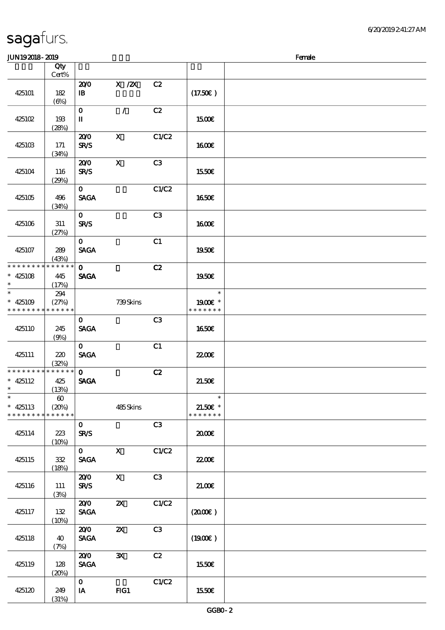|                 | Qty<br>Cert%          |                        |                           |       |                     |  |
|-----------------|-----------------------|------------------------|---------------------------|-------|---------------------|--|
|                 |                       |                        |                           |       |                     |  |
|                 |                       | 200                    | $X$ / $ZX$                | C2    |                     |  |
| 425101          | 182                   | $\mathbf{B}$           |                           |       | (17.50)             |  |
|                 | $(\Theta)$            |                        |                           |       |                     |  |
|                 |                       | $\mathbf O$            | $\mathcal{L}$             | C2    |                     |  |
| 425102          | 193                   | $\rm I\hspace{-.1em}I$ |                           |       | 1500€               |  |
|                 | (28%)                 |                        |                           |       |                     |  |
|                 |                       |                        |                           |       |                     |  |
|                 |                       | 200                    | $\boldsymbol{\mathsf{X}}$ | C1/C2 |                     |  |
| 425103          | 171                   | <b>SR/S</b>            |                           |       | <b>160€</b>         |  |
|                 | (34%)                 |                        |                           |       |                     |  |
|                 |                       | 200                    | $\mathbf X$               | C3    |                     |  |
| 425104          | 116                   | <b>SR/S</b>            |                           |       | 1550€               |  |
|                 | (29%)                 |                        |                           |       |                     |  |
|                 |                       |                        |                           |       |                     |  |
|                 |                       | $\mathbf{O}$           |                           | C1/C2 |                     |  |
| 425105          | 496                   | <b>SAGA</b>            |                           |       | 1650€               |  |
|                 | (34%)                 |                        |                           |       |                     |  |
|                 |                       | $\mathbf{O}$           |                           | C3    |                     |  |
| 425106          | 311                   | <b>SR/S</b>            |                           |       | 1600E               |  |
|                 | (27%)                 |                        |                           |       |                     |  |
|                 |                       | $\mathbf{O}$           |                           |       |                     |  |
|                 |                       |                        |                           | C1    |                     |  |
| 425107          | 289                   | <b>SAGA</b>            |                           |       | 1950€               |  |
|                 | (43%)                 |                        |                           |       |                     |  |
| * * * * * * * * | * * * * * *           | $\mathbf{O}$           |                           | C2    |                     |  |
| $* 425108$      | 445                   | <b>SAGA</b>            |                           |       | 1950E               |  |
| $\ast$          | (17%)                 |                        |                           |       |                     |  |
| $*$             |                       |                        |                           |       | $\ast$              |  |
|                 | 294                   |                        |                           |       |                     |  |
| * $425109$      | (27%)                 |                        | 739Skins                  |       | 1900 *              |  |
| * * * * * * * * | * * * * * *           |                        |                           |       | * * * * * * *       |  |
|                 |                       | $\mathbf{O}$           |                           | C3    |                     |  |
| 425110          | 245                   | <b>SAGA</b>            |                           |       | <b>1650€</b>        |  |
|                 | (9%)                  |                        |                           |       |                     |  |
|                 |                       | $\mathbf{O}$           |                           |       |                     |  |
|                 |                       |                        |                           | C1    |                     |  |
| 425111          | 220                   | <b>SAGA</b>            |                           |       | <b>2200E</b>        |  |
|                 | (32%)                 |                        |                           |       |                     |  |
| * * * * * * * * | * * * * * *           | $\mathbf{O}$           |                           | C2    |                     |  |
| $* 425112$      | 425                   | <b>SAGA</b>            |                           |       | 21.50E              |  |
| $\ast$          | (13%)                 |                        |                           |       |                     |  |
| $\ast$          | $\boldsymbol{\omega}$ |                        |                           |       | $\ast$              |  |
| $* 425113$      |                       |                        |                           |       |                     |  |
|                 | (20%)                 |                        | 485Skins                  |       | $21.50E$ *          |  |
| * * * * * * * * | * * * * * *           |                        |                           |       | * * * * * * *       |  |
|                 |                       | $\mathbf{O}$           |                           | C3    |                     |  |
| 425114          | 223                   | <b>SR/S</b>            |                           |       | 2000€               |  |
|                 | (10%)                 |                        |                           |       |                     |  |
|                 |                       | $\mathbf{O}$           | $\mathbf X$               | C1/C2 |                     |  |
| 425115          | 332                   | <b>SAGA</b>            |                           |       | 2200                |  |
|                 |                       |                        |                           |       |                     |  |
|                 | (18%)                 |                        |                           |       |                     |  |
|                 |                       | 200                    | $\boldsymbol{\mathrm{X}}$ | C3    |                     |  |
| 425116          | 111                   | <b>SR/S</b>            |                           |       | 21.00E              |  |
|                 | (3%)                  |                        |                           |       |                     |  |
|                 |                       | 200                    | $\boldsymbol{\mathsf{z}}$ | C1/C2 |                     |  |
| 425117          | 132                   | <b>SAGA</b>            |                           |       | $(2000\varepsilon)$ |  |
|                 |                       |                        |                           |       |                     |  |
|                 | (10%)                 |                        |                           |       |                     |  |
|                 |                       | 200                    | $\boldsymbol{\mathsf{z}}$ | C3    |                     |  |
| 425118          | 40                    | <b>SAGA</b>            |                           |       | (1900)              |  |
|                 | (7%)                  |                        |                           |       |                     |  |
|                 |                       | 200                    | $\mathbf{x}$              | C2    |                     |  |
| 425119          | 128                   | <b>SAGA</b>            |                           |       | 1550€               |  |
|                 |                       |                        |                           |       |                     |  |
|                 | (20%)                 |                        |                           |       |                     |  |
|                 |                       | $\mathbf{O}$           |                           | C1/C2 |                     |  |
| 425120          | 249                   | IA                     | FG1                       |       | 1550€               |  |
|                 | (31%)                 |                        |                           |       |                     |  |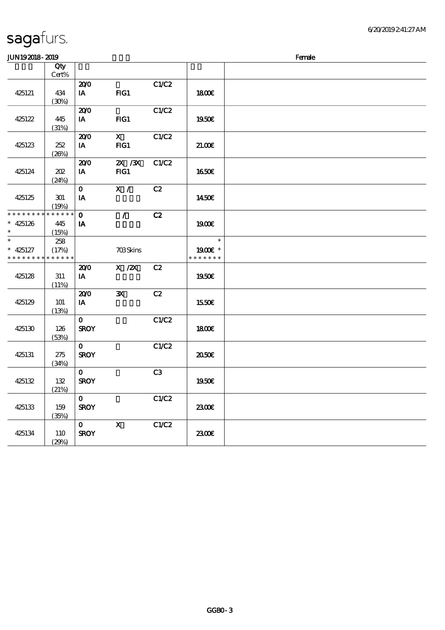| JUN192018-2019                |                      |              |                           |       |                          | Female |
|-------------------------------|----------------------|--------------|---------------------------|-------|--------------------------|--------|
|                               | Qty                  |              |                           |       |                          |        |
|                               | Cert%                |              |                           |       |                          |        |
|                               |                      | 200          |                           | C1/C2 |                          |        |
| 425121                        | 434                  | IA           | FG1                       |       | <b>1800€</b>             |        |
|                               | (30%)                |              |                           |       |                          |        |
|                               |                      | 200          |                           | C1/C2 |                          |        |
| 425122                        | 445                  | IA           | $HG1$                     |       | 1950€                    |        |
|                               | (31%)                |              |                           |       |                          |        |
|                               |                      | 200          | $\mathbf{X}$              | C1/C2 |                          |        |
| 425123                        | 252                  | IA           | $HG1$                     |       | 21.006                   |        |
|                               | (20%)                |              |                           |       |                          |        |
|                               |                      | 200          | $X \, X$                  | C1/C2 |                          |        |
| 425124                        | 202                  | IA           | FG1                       |       | <b>1650€</b>             |        |
|                               | (24%)                |              |                           |       |                          |        |
|                               |                      | $\mathbf{O}$ | X /                       | C2    |                          |        |
| 425125                        | 301                  | IA           |                           |       | 1450€                    |        |
|                               | (19%)                |              |                           |       |                          |        |
| * * * * * * * *               | $* * * * * * *$      | $\mathbf{o}$ | $\mathcal{L}$             | C2    |                          |        |
|                               |                      |              |                           |       |                          |        |
| $* 425126$<br>$\ast$          | 445                  | IA           |                           |       | 1900E                    |        |
| $\ast$                        | (15%)                |              |                           |       | $\ast$                   |        |
|                               | 258                  |              |                           |       |                          |        |
| $* 425127$<br>* * * * * * * * | (17%)<br>* * * * * * |              | <b>703Skins</b>           |       | 1900E *<br>* * * * * * * |        |
|                               |                      |              |                           |       |                          |        |
|                               |                      | 200          | $X$ / $ZX$                | C2    |                          |        |
| 425128                        | 311                  | IA           |                           |       | 1950€                    |        |
|                               | (11%)                |              |                           |       |                          |        |
|                               |                      | 200          | $\mathbf{x}$              | C2    |                          |        |
| 425129                        | <b>101</b>           | IA           |                           |       | 1550€                    |        |
|                               | (13%)                |              |                           |       |                          |        |
|                               |                      | $\mathbf{o}$ |                           | C1/C2 |                          |        |
| 425130                        | 126                  | <b>SROY</b>  |                           |       | <b>1800€</b>             |        |
|                               | (53%)                |              |                           |       |                          |        |
|                               |                      | $\mathbf{o}$ |                           | C1/C2 |                          |        |
| 425131                        | 275                  | <b>SROY</b>  |                           |       | 2050E                    |        |
|                               | (34%)                |              |                           |       |                          |        |
|                               |                      | $\mathbf{O}$ |                           | C3    |                          |        |
| 425132                        | 132                  | <b>SROY</b>  |                           |       | 1950€                    |        |
|                               | (21%)                |              |                           |       |                          |        |
|                               |                      | $\mathbf{O}$ |                           | C1/C2 |                          |        |
| 425133                        | 159                  | <b>SROY</b>  |                           |       | 2300                     |        |
|                               | (35%)                |              |                           |       |                          |        |
|                               |                      | $\mathbf{O}$ | $\boldsymbol{\mathsf{X}}$ | C1/C2 |                          |        |
| 425134                        | 110                  | <b>SROY</b>  |                           |       | 2300E                    |        |
|                               | (29%)                |              |                           |       |                          |        |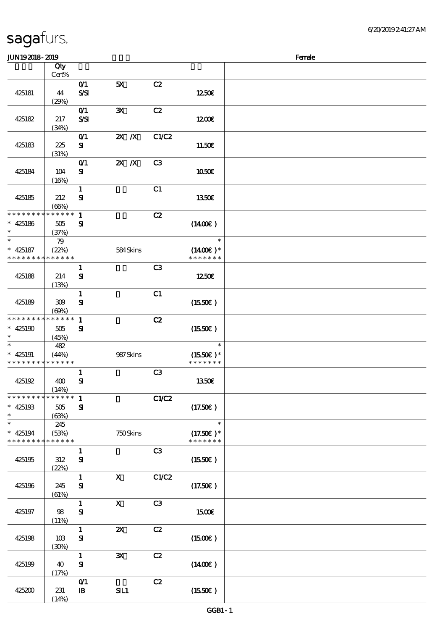### $J/N192018 - 2019$

| ມມາ ເວລມດ- ລມວ                                      |                              |                                                 |                           |       |                                        | ra ac |
|-----------------------------------------------------|------------------------------|-------------------------------------------------|---------------------------|-------|----------------------------------------|-------|
|                                                     | Qty<br>Cert%                 |                                                 |                           |       |                                        |       |
| 425181                                              | 44<br>(29%)                  | O(1)<br>$S\mathcal{S}$                          | 5X                        | C2    | 1250€                                  |       |
| 425182                                              | 217<br>(34%)                 | O(1)<br>$S\!S\!I$                               | $\mathbf{x}$              | C2    | 1200E                                  |       |
| 425183                                              | 225<br>(31%)                 | $O$ <sup><math>\prime</math></sup><br>${\bf s}$ | $X$ $X$                   | C1/C2 | 11.50€                                 |       |
| 425184                                              | 104<br>(16%)                 | $O$ <sup><math>\prime</math></sup><br>${\bf s}$ | $X$ $N$                   | C3    | <b>1050€</b>                           |       |
| 425185                                              | 212<br>(66%)                 | $\mathbf{1}$<br>${\bf s}$                       |                           | C1    | 1350€                                  |       |
| * * * * * * * *<br>$* 425186$<br>$\ast$             | $******$<br>$505\,$<br>(37%) | $\mathbf{1}$<br>$\mathbf{S}$                    |                           | C2    | $(1400\varepsilon)$                    |       |
| $\ast$<br>$* 425187$<br>* * * * * * * *             | 79<br>(22%)<br>* * * * * *   |                                                 | 584Skins                  |       | $\ast$<br>$(1400E)*$<br>* * * * * * *  |       |
| 425188                                              | 214<br>(13%)                 | $\mathbf{1}$<br>${\bf s}$                       |                           | C3    | 1250E                                  |       |
| 425189                                              | 309<br>(60%)                 | $\mathbf{1}$<br>${\bf S}$                       |                           | C1    | (1550E)                                |       |
| * * * * * * * *<br>$* 425190$<br>$\ast$             | $******$<br>$505\,$<br>(45%) | $\mathbf{1}$<br>${\bf s}$                       |                           | C2    | (1550E)                                |       |
| $\ast$<br>$* 425191$<br>* * * * * * * * * * * * * * | 482<br>(44%)                 |                                                 | 987Skins                  |       | $\ast$<br>$(1550E)*$<br>* * * * * * *  |       |
| 425192                                              | 400<br>(14%)                 | $\mathbf{1}$<br>$\mathbf{S}$                    |                           | C3    | 1350€                                  |       |
| ************** 1<br>$* 425193$<br>$\ast$            | $505\,$<br>(63%)             | ${\bf S}$                                       |                           | C1/C2 | (17.50)                                |       |
| $\ast$<br>$* 425194$<br>* * * * * * * *             | 245<br>(53%)<br>* * * * * *  |                                                 | 750Skins                  |       | $\ast$<br>$(17.50)$ *<br>* * * * * * * |       |
| 425195                                              | 312<br>(22%)                 | $\mathbf{1}$<br>$\mathbf{S}$                    |                           | C3    | (1550E)                                |       |
| 425196                                              | 245<br>(61%)                 | $\mathbf{1}$<br>${\bf s}$                       | $\boldsymbol{\mathrm{X}}$ | C1/C2 | (17.50E)                               |       |
| 425197                                              | $98$<br>(11%)                | $\mathbf{1}$<br>$\mathbf{S}$                    | $\mathbf{X}$              | C3    | 1500€                                  |       |
| 425198                                              | 10B<br>(30%)                 | $\mathbf{1}$<br>$\mathbf{S}$                    | $\pmb{\mathsf{zx}}$       | C2    | (1500E)                                |       |
| 425199                                              | 40<br>(17%)                  | $\mathbf{1}$<br>$\mathbf{S}$                    | $\mathbf{x}$              | C2    | (1400E)                                |       |
| 425200                                              | 231<br>(14%)                 | $O$ $1$<br>$\, {\bf I} \! {\bf B} \,$           | SL1                       | C2    | (1550E)                                |       |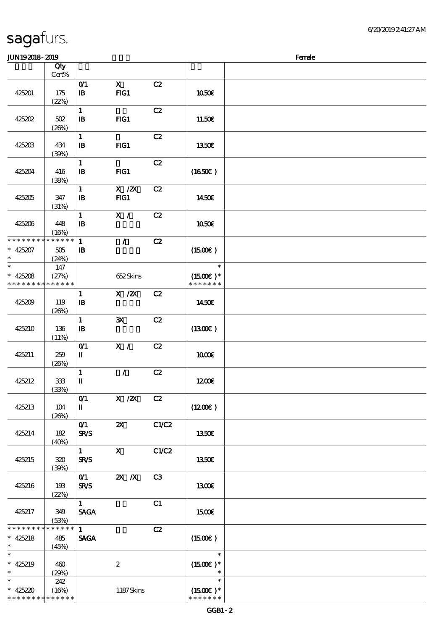### $J/N192018 - 2019$

| www.craw                                            |                                 |                                            |                           |                |                                       | <b>TOTAL</b> |
|-----------------------------------------------------|---------------------------------|--------------------------------------------|---------------------------|----------------|---------------------------------------|--------------|
|                                                     | Qty<br>Cert%                    |                                            |                           |                |                                       |              |
| 425201                                              | 175<br>(22%)                    | $O$ $1$<br>$\, {\bf I} \! {\bf B} \,$      | $\mathbf{X}$<br>FG1       | C2             | 1050€                                 |              |
| 425202                                              | $502\,$<br>(20%)                | $\mathbf{1}$<br>$\, {\bf I} \! {\bf B} \,$ | $HG1$                     | C2             | 11.50€                                |              |
| 425203                                              | 434<br>(30%)                    | $\mathbf{1}$<br>$\, {\bf I} \! {\bf B} \,$ | FG1                       | C2             | 1350E                                 |              |
| 425204                                              | 416<br>(38%)                    | $\mathbf{1}$<br>${\bf I\!B}$               | FG1                       | C2             | (1650)                                |              |
| 425205                                              | 347<br>(31%)                    | $\mathbf{1}$<br>$\, {\bf I} \! {\bf B} \,$ | $X \, /ZX$<br>FG1         | C2             | 1450€                                 |              |
| 425206                                              | 448<br>(16%)                    | $\mathbf{1}$<br>$\mathbf{B}$               | X /                       | C2             | 1050€                                 |              |
| * * * * * * * *<br>$* 425207$<br>$\ast$             | * * * * * *<br>$505\,$<br>(24%) | $\mathbf{1}$<br>${\bf I\!B}$               | $\mathcal{L}$             | C2             | $(1500\varepsilon)$                   |              |
| $\ast$<br>$* 425208$<br>* * * * * * * * * * * * * * | 147<br>(27%)                    |                                            | 652Skins                  |                | $\ast$<br>$(1500E)*$<br>* * * * * * * |              |
| 425209                                              | 119<br>(20%)                    | $\mathbf{1}$<br>$\mathbf{B}$               | $X$ / $ZX$                | C2             | 1450E                                 |              |
| 425210                                              | 136<br>(11%)                    | $\mathbf{1}$<br>$\, {\bf I} \! {\bf B} \,$ | $\mathbf{x}$              | C2             | (1300)                                |              |
| 425211                                              | 259<br>(20%)                    | $O$ <sup><math>\prime</math></sup><br>П    | X /                       | C2             | 1000                                  |              |
| 425212                                              | $33\!\!3$<br>(33%)              | $\mathbf{1}$<br>$\mathbf I$                | $\mathcal{L}$             | C2             | 1200E                                 |              |
| 425213                                              | 104<br>(20%)                    | O(1)<br>$\mathbf I$                        | $X$ / $ZX$                | C2             | (1200E)                               |              |
| 425214                                              | 182<br>(40%)                    | O(1)<br><b>SR/S</b>                        | $\boldsymbol{\mathsf{X}}$ | C1/C2          | 1350E                                 |              |
| 425215                                              | 320<br>(30%)                    | $\mathbf{1}$<br><b>SR/S</b>                | $\mathbf{x}$              | C1/C2          | 1350€                                 |              |
| 425216                                              | 193<br>(22%)                    | O(1)<br><b>SR/S</b>                        | $X$ $N$                   | C <sub>3</sub> | 1300E                                 |              |
| 425217                                              | 349<br>(53%)                    | $\mathbf{1}$<br><b>SAGA</b>                |                           | C1             | <b>1500€</b>                          |              |
| * * * * * * * *<br>$* 425218$<br>$\ast$             | * * * * * *<br>485<br>(45%)     | $\mathbf{1}$<br><b>SAGA</b>                |                           | C2             | $(1500\varepsilon)$                   |              |
| $\ast$<br>$* 425219$<br>$\ast$                      | 460<br>(29%)                    |                                            | $\boldsymbol{2}$          |                | $\ast$<br>$(1500E)*$<br>$\ast$        |              |
| $\ast$<br>$* 425220$<br>* * * * * * * *             | 242<br>(16%)<br>* * * * * *     |                                            | 1187Skins                 |                | $\ast$<br>$(1500E)*$<br>* * * * * * * |              |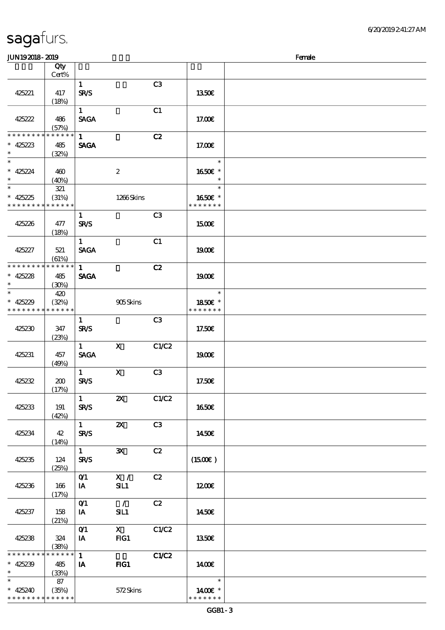\* \* \* \* \* \*

# sagafurs.

\* \* \* \* \* \* \* \* \* \* \* \*

| <b>JUN192018-2019</b>                     |                             |                                  |                                 |       |                                    | Female |
|-------------------------------------------|-----------------------------|----------------------------------|---------------------------------|-------|------------------------------------|--------|
|                                           | Qty                         |                                  |                                 |       |                                    |        |
|                                           | Cert%                       |                                  |                                 |       |                                    |        |
| 425221                                    | 417                         | $\mathbf{1}$<br>SR/S             |                                 | C3    | 1350E                              |        |
| 425222                                    | (18%)<br>486                | $\mathbf{1}$<br><b>SAGA</b>      |                                 | C1    | 17.00E                             |        |
| * * * * * * * *                           | (57%)<br>* * * * * *        |                                  |                                 |       |                                    |        |
| $* 425223$<br>$\ast$                      | 485<br>(32%)                | $\mathbf{1}$<br><b>SAGA</b>      |                                 | C2    | 17.00E                             |        |
| $\ast$<br>$* 425224$<br>$\ast$            | 460<br>(40%)                |                                  | $\boldsymbol{2}$                |       | $\ast$<br>1650€ *<br>$\ast$        |        |
| $\overline{\ast}$                         | 321                         |                                  |                                 |       | $\ast$                             |        |
| $* 425225$<br>* * * * * * * *             | (31%)<br>* * * * * *        |                                  | 1266Skins                       |       | 1650E *<br>* * * * * * *           |        |
| 425226                                    | 477<br>(18%)                | $\mathbf{1}$<br><b>SR/S</b>      |                                 | C3    | 1500E                              |        |
| 425227                                    | 521<br>(61%)                | $\mathbf{1}$<br><b>SACA</b>      |                                 | C1    | <b>1900€</b>                       |        |
| * * * * * * * * * * * * * *               |                             | $\mathbf{1}$                     |                                 | C2    |                                    |        |
| $* 425228$<br>$\ast$                      | 485<br>(30%)                | <b>SAGA</b>                      |                                 |       | 1900E                              |        |
| $\ast$                                    | 420                         |                                  |                                 |       | $\ast$                             |        |
| $* 425229$<br>* * * * * * * * * * * * * * | (32%)                       |                                  | 905Skins                        |       | 1850€ *<br>* * * * * * *           |        |
|                                           |                             | $\mathbf{1}$                     |                                 | C3    |                                    |        |
| 425230                                    | 347<br>(23%)                | <b>SR/S</b>                      |                                 |       | 17.50€                             |        |
| 425231                                    | 457<br>(49%)                | $\mathbf{1}$<br><b>SAGA</b>      | $\mathbf{x}$                    | C1/C2 | 1900E                              |        |
| 425232                                    | 200<br>(17%)                | $\mathbf{1}$<br><b>SR/S</b>      | $\mathbf X$                     | C3    | 17.50E                             |        |
| 425233                                    | 191<br>(42%)                | 1<br><b>SR/S</b>                 | $\boldsymbol{\mathsf{Z}}$       | C1/C2 | <b>1650€</b>                       |        |
| 425234                                    | 42<br>(14%)                 | $1 \qquad \qquad$<br><b>SR/S</b> | $\boldsymbol{\alpha}$           | C3    | 1450E                              |        |
| 425235                                    | 124<br>(25%)                | $\mathbf{1}$<br><b>SR/S</b>      | $\mathbf{x}$                    | C2    | (1500E)                            |        |
| 425236                                    | 166<br>(17%)                | O <sub>1</sub><br><b>IA</b>      | X /<br>SL1                      | C2    | 1200E                              |        |
| 425237                                    | 158<br>(21%)                | O(1)<br><b>IA</b>                | $\overline{\phantom{a}}$<br>SL1 | C2    | 1450E                              |        |
| 425238                                    | 324<br>(38%)                | O(1)<br>$I$ A                    | $\mathbf X$<br>FG1              | C1/C2 | 1350E                              |        |
| * * * * * * * *<br>$* 425239$<br>$\ast$   | * * * * * *<br>485<br>(33%) | 1<br><b>IA</b>                   | FIG1                            | C1/C2 | 1400€                              |        |
| $\ast$<br>$* 425240$                      | 87<br>(35%)                 |                                  | 572Skins                        |       | $\overline{\mathbf{r}}$<br>1400E * |        |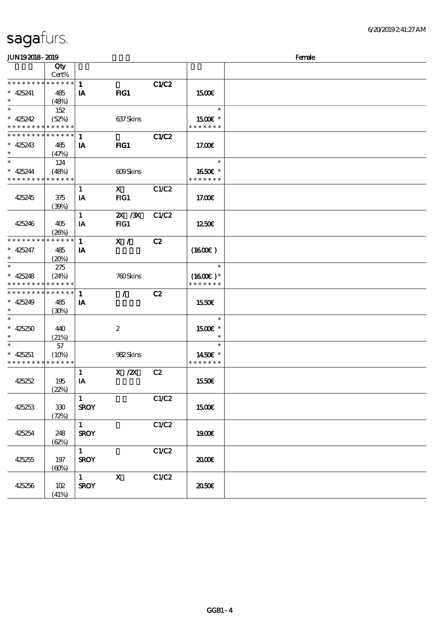| <b>JUN192018-2019</b>       |             |                        |                  |              |               | Female |  |  |
|-----------------------------|-------------|------------------------|------------------|--------------|---------------|--------|--|--|
|                             | Qty         |                        |                  |              |               |        |  |  |
|                             | Cert%       |                        |                  |              |               |        |  |  |
| * * * * * * * *             | ******      | $\mathbf{1}$           |                  | <b>C1/C2</b> |               |        |  |  |
| $* 425241$                  | 485         | IA                     | $HG1$            |              | 1500          |        |  |  |
| $\ast$                      | (48%)       |                        |                  |              |               |        |  |  |
| $\ast$                      | 152         |                        |                  |              | $\ast$        |        |  |  |
| $* 425242$                  | (52%)       |                        | 637Skins         |              | 1500€ *       |        |  |  |
| * * * * * * * *             | * * * * * * |                        |                  |              | * * * * * * * |        |  |  |
| * * * * * * * *             | * * * * * * | $\mathbf{1}$           |                  | <b>C1/C2</b> |               |        |  |  |
| $* 425243$                  | 485         | IA                     | $HG1$            |              | 17.00E        |        |  |  |
| $\ast$                      | (47%)       |                        |                  |              |               |        |  |  |
| $\ast$                      | 124         |                        |                  |              | $\ast$        |        |  |  |
| $* 425244$                  | (48%)       |                        | 609Skins         |              | 1650E *       |        |  |  |
| * * * * * * * *             | * * * * * * |                        |                  |              | * * * * * * * |        |  |  |
|                             |             | $\mathbf{1}$           | $\mathbf{x}$     | C1/C2        |               |        |  |  |
| 425245                      | 375         | IA                     | $HG1$            |              | 17.00E        |        |  |  |
|                             | (30%)       |                        |                  |              |               |        |  |  |
|                             |             | $\mathbf{1}$           | 2X / 3X          | C1/C2        |               |        |  |  |
| 425246                      | 405         | IA                     | FG1              |              | 1250E         |        |  |  |
|                             | (20%)       |                        |                  |              |               |        |  |  |
| * * * * * * * *             | * * * * * * | $\mathbf{1}$           | X /              | C2           |               |        |  |  |
| $* 425247$                  | 485         | IA                     |                  |              | (1600)        |        |  |  |
| $\ast$                      | (20%)       |                        |                  |              |               |        |  |  |
| $\ast$                      | 275         |                        |                  |              | $\ast$        |        |  |  |
| $* 425248$                  | (24%)       |                        | 760Skins         |              | $(1600E)*$    |        |  |  |
| * * * * * * * *             | * * * * * * |                        |                  |              | * * * * * * * |        |  |  |
| * * * * * * * *             | * * * * * * | $\mathbf{1}$           | $\mathcal{L}$    | C2           |               |        |  |  |
| $* 425249$                  | 485         | IA                     |                  |              | 1550E         |        |  |  |
| $\ast$                      | (30%)       |                        |                  |              |               |        |  |  |
| $\ast$                      |             |                        |                  |              | $\ast$        |        |  |  |
| $* 425250$                  | 440         |                        | $\boldsymbol{2}$ |              | 1500€ *       |        |  |  |
| $\ast$                      | (21%)       |                        |                  |              | $\ast$        |        |  |  |
| $\ast$                      | 57          |                        |                  |              | $\ast$        |        |  |  |
| $* 425251$                  | (10%)       |                        | 982Skins         |              | 1450€ *       |        |  |  |
| * * * * * * * * * * * * * * |             |                        |                  |              | * * * * * * * |        |  |  |
|                             |             | 1                      | $X$ / $ZX$       | C2           |               |        |  |  |
| 425252                      | 195         | IA                     |                  |              | 1550€         |        |  |  |
|                             | (22%)       |                        |                  |              |               |        |  |  |
|                             |             | $\mathbf{1}$           |                  | C1/C2        |               |        |  |  |
| 425253                      | $330\,$     | <b>SROY</b>            |                  |              | 1500€         |        |  |  |
|                             | (72%)       |                        |                  |              |               |        |  |  |
|                             |             | $1 -$                  |                  | C1/C2        |               |        |  |  |
| 425254                      | 248         | <b>SROY</b>            |                  |              | 1900E         |        |  |  |
|                             | (62%)       |                        |                  |              |               |        |  |  |
|                             |             | $\mathbf{1}$           |                  | C1/C2        |               |        |  |  |
| 425255                      | 197         | <b>SROY</b>            |                  |              | 2000          |        |  |  |
|                             | (60%)       |                        |                  |              |               |        |  |  |
|                             |             | $1 \quad \blacksquare$ | $\mathbf{X}$     | C1/C2        |               |        |  |  |
| 425256                      | 102         | <b>SROY</b>            |                  |              | 2050E         |        |  |  |
|                             | (41%)       |                        |                  |              |               |        |  |  |
|                             |             |                        |                  |              |               |        |  |  |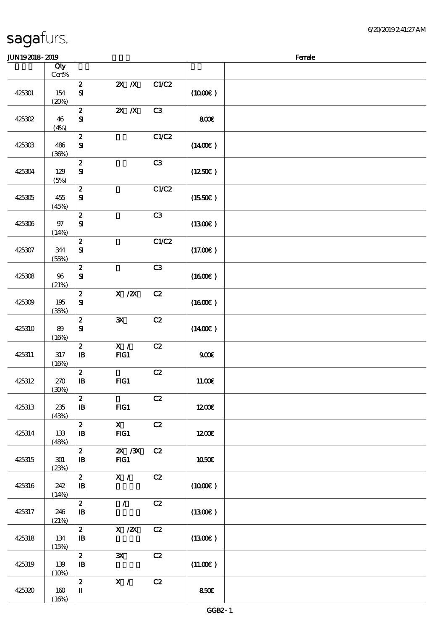$(16%)$ 

|        | Qty<br>$Cert\%$      |                                                |                                       |       |                     |  |
|--------|----------------------|------------------------------------------------|---------------------------------------|-------|---------------------|--|
| 425301 | 154<br>(20%)         | $\boldsymbol{z}$<br>$\mathbf{S}$               | $X$ $N$                               | C1/C2 | (1000E)             |  |
| 425302 | 46<br>(4%)           | $\boldsymbol{z}$<br>${\bf S}$                  | $X$ $N$                               | C3    | 800€                |  |
| 425303 | 486<br>(36%)         | $\boldsymbol{z}$<br>$\mathbf{S}$               |                                       | C1/C2 | $(1400\varepsilon)$ |  |
| 425304 | 129<br>(5%)          | $\boldsymbol{z}$<br>$\mathbf{S}$               |                                       | C3    | (1250E)             |  |
| 425305 | 455<br>(45%)         | $\boldsymbol{z}$<br>${\bf S}$                  |                                       | C1/C2 | (1550E)             |  |
| 425306 | $97\,$<br>(14%)      | $\bf{2}$<br>$\mathbf{S}$                       |                                       | C3    | (1300)              |  |
| 425307 | 344<br>(55%)         | $\boldsymbol{z}$<br>$\mathbf{S}$               |                                       | C1/C2 | (17.00)             |  |
| 425308 | 96<br>(21%)          | $\boldsymbol{2}$<br>${\bf S}$                  |                                       | C3    | (1600E)             |  |
| 425309 | 195<br>(35%)         | $\pmb{2}$<br>$\mathbf{S}$                      | $X$ / $ZX$                            | C2    | $(1600\varepsilon)$ |  |
| 425310 | $8\!\theta$<br>(16%) | $\pmb{2}$<br>$\mathbf{S}$                      | $\mathbf{x}$                          | C2    | $(1400\varepsilon)$ |  |
| 425311 | $317\,$<br>(16%)     | $\boldsymbol{2}$<br>$\, {\bf I} \! {\bf B} \,$ | $\mathbf{X}$ /<br>FG1                 | C2    | 900E                |  |
| 425312 | 270<br>(30%)         | $\boldsymbol{z}$<br>$\, {\bf I} \! {\bf B} \,$ | FG1                                   | C2    | 1100E               |  |
| 425313 | 235<br>(43%)         | $\pmb{2}$<br>$\, {\bf I} \! {\bf B} \,$        | FG1                                   | C2    | 1200E               |  |
| 425314 | 133<br>(48%)         | $\boldsymbol{z}$<br>$\, {\bf I} \! {\bf B} \,$ | $\mathbf{X}$<br>FG1                   | C2    | 1200E               |  |
| 425315 | 301<br>(23%)         | $\boldsymbol{z}$<br>$\mathbf{B}$               | $Z\!X$ / $Z\!X$<br>FG1                | C2    | 1050E               |  |
| 425316 | 242<br>(14%)         | $\boldsymbol{z}$<br>$\, {\bf I} \! {\bf B} \,$ | $\mathbf{X}$ /                        | C2    | (1000E)             |  |
| 425317 | 246<br>(21%)         | $\boldsymbol{z}$<br>$\, {\bf I} \! {\bf B} \,$ | $\mathcal{L}$                         | C2    | (1300)              |  |
| 425318 | 134<br>(15%)         | $\boldsymbol{z}$<br>$\, {\bf I} \! {\bf B} \,$ | $\boldsymbol{\mathrm{X}}$ / <b>2X</b> | C2    | (1300)              |  |
| 425319 | 139<br>(10%)         | $\boldsymbol{z}$<br>$\, {\bf I} \! {\bf B} \,$ | ${\bf x}$                             | C2    | (11.00)             |  |
| 425320 | 160                  | $\boldsymbol{z}$<br>$\mathbf{I}$               | X /                                   | C2    | 850E                |  |

 $J/N192018$ - 2019  $R$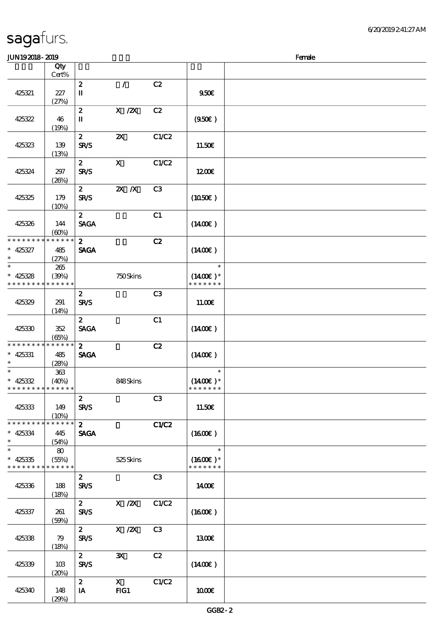### $J/N192018 - 2019$

| www.www                                    |              |                                       |                           |                |                             | $\cdots$ |
|--------------------------------------------|--------------|---------------------------------------|---------------------------|----------------|-----------------------------|----------|
|                                            | Qty<br>Cert% |                                       |                           |                |                             |          |
|                                            |              | $\boldsymbol{2}$                      | $\mathcal{L}$             | C2             |                             |          |
| 425321                                     | 227          | П                                     |                           |                | 950E                        |          |
|                                            | (27%)        |                                       |                           |                |                             |          |
|                                            |              | $\boldsymbol{z}$                      | $X \, /ZX$                | C2             |                             |          |
| 425322                                     | 46           | $\rm I\hspace{-.1em}I\hspace{-.1em}I$ |                           |                | (950)                       |          |
|                                            | (19%)        |                                       |                           |                |                             |          |
|                                            |              | $\mathbf{z}$                          | $\boldsymbol{\mathsf{X}}$ | C1/C2          |                             |          |
| 425323                                     | 139          | <b>SR/S</b>                           |                           |                | 11.50€                      |          |
|                                            | (13%)        |                                       |                           |                |                             |          |
|                                            |              | $\mathbf{z}$                          | $\mathbf{X}$              | C1/C2          |                             |          |
| 425324                                     | 297          | <b>SR/S</b>                           |                           |                | 1200                        |          |
|                                            | (20%)        |                                       |                           |                |                             |          |
|                                            |              | 2 <sup>7</sup>                        | $X$ $N$                   | C <sub>3</sub> |                             |          |
| 425325                                     | 179          | <b>SR/S</b>                           |                           |                | (1050)                      |          |
|                                            | (10%)        |                                       |                           |                |                             |          |
|                                            |              | $\mathbf{2}$                          |                           | C1             |                             |          |
| 425326                                     | 144          | <b>SAGA</b>                           |                           |                | $(1400\varepsilon)$         |          |
|                                            | (60%)        |                                       |                           |                |                             |          |
| * * * * * * * *                            | * * * * * *  | $\mathbf{2}$                          |                           | C2             |                             |          |
| $* 425327$                                 | 485          | <b>SAGA</b>                           |                           |                | $(1400\varepsilon)$         |          |
| $\ast$                                     | (27%)        |                                       |                           |                |                             |          |
| $\ast$                                     | 265          |                                       |                           |                | $\ast$                      |          |
| $* 425328$                                 | (30%)        |                                       | 750Skins                  |                | $(1400E)*$<br>* * * * * * * |          |
| * * * * * * * *                            | * * * * * *  |                                       |                           |                |                             |          |
|                                            |              | $\boldsymbol{2}$                      |                           | C3             |                             |          |
| 425329                                     | 291          | <b>SR/S</b>                           |                           |                | 11.00E                      |          |
|                                            | (14%)        | $\mathbf{z}$                          |                           | C1             |                             |          |
| 425330                                     | 352          | <b>SAGA</b>                           |                           |                | (1400E)                     |          |
|                                            | (65%)        |                                       |                           |                |                             |          |
| * * * * * * * *                            | * * * * * *  | $\mathbf{2}$                          |                           | C2             |                             |          |
| $* 425331$                                 | 485          | <b>SAGA</b>                           |                           |                | $(1400\varepsilon)$         |          |
| $\ast$                                     | (28%)        |                                       |                           |                |                             |          |
| $\ast$                                     | $363\,$      |                                       |                           |                | $\ast$                      |          |
| $* 425332$                                 | (40%)        |                                       | 848Skins                  |                | $(1400E)*$                  |          |
| * * * * * * * * <mark>* * * * * * *</mark> |              |                                       |                           |                | * * * * * * *               |          |
|                                            |              | $\boldsymbol{z}$                      |                           | C <sub>3</sub> |                             |          |
| 425333                                     | 149          | <b>SR/S</b>                           |                           |                | 11.50€                      |          |
|                                            | (10%)        |                                       |                           |                |                             |          |
| * * * * * * * *                            | * * * * * *  | $\mathbf{z}$                          |                           | C1/C2          |                             |          |
| $* 425334$<br>$\ast$                       | 445          | <b>SAGA</b>                           |                           |                | (1600E)                     |          |
| $\ast$                                     | (54%)        |                                       |                           |                | $\ast$                      |          |
| $* 425335$                                 | 80<br>(55%)  |                                       | $525$ Skins               |                | $(1600E)*$                  |          |
| * * * * * * * *                            | * * * * * *  |                                       |                           |                | * * * * * * *               |          |
|                                            |              | $\boldsymbol{z}$                      |                           | C3             |                             |          |
| 425336                                     | 188          | <b>SR/S</b>                           |                           |                | 1400€                       |          |
|                                            | (18%)        |                                       |                           |                |                             |          |
|                                            |              | $\mathbf{z}$                          | X / ZX                    | C1/C2          |                             |          |
| 425337                                     | 261          | <b>SR/S</b>                           |                           |                | (1600E)                     |          |
|                                            | (50%)        |                                       |                           |                |                             |          |
|                                            |              | $\boldsymbol{z}$                      | $X$ / $ZX$                | C3             |                             |          |
| 425338                                     | 79           | <b>SR/S</b>                           |                           |                | <b>1300€</b>                |          |
|                                            | (18%)        |                                       |                           |                |                             |          |
|                                            |              | $\mathbf{z}$                          | $\mathbf{x}$              | C2             |                             |          |
| 425339                                     | 10B<br>(20%) | <b>SR/S</b>                           |                           |                | (1400E)                     |          |
|                                            |              | $\boldsymbol{z}$                      | $\mathbf{x}$              | C1/C2          |                             |          |
| 425340                                     | 148          | IA                                    | FG1                       |                | 1000E                       |          |
|                                            | (29%)        |                                       |                           |                |                             |          |
|                                            |              |                                       |                           |                |                             |          |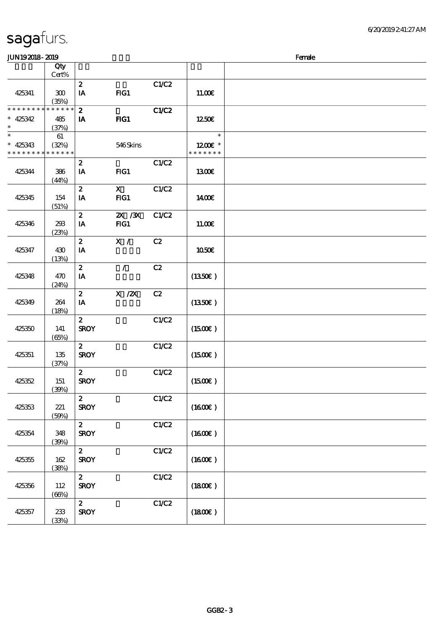| <b>JUN192018-2019</b>                                              |              |                                 |                     |              |                                    | Female |
|--------------------------------------------------------------------|--------------|---------------------------------|---------------------|--------------|------------------------------------|--------|
|                                                                    | Qty<br>Cert% |                                 |                     |              |                                    |        |
| 425341                                                             | 300<br>(35%) | $\boldsymbol{2}$<br>IA          | FIG1                | C1/C2        | 11.00E                             |        |
| * * * * * * * * <mark>* * * * * * *</mark><br>$* 425342$<br>$\ast$ | 485<br>(37%) | $\boldsymbol{2}$<br>IA          | $HG1$               | <b>C1/C2</b> | 1250€                              |        |
| $\ast$<br>$* 425343$<br>* * * * * * * * * * * * * *                | 61<br>(32%)  |                                 | 546Skins            |              | $\ast$<br>1200E *<br>* * * * * * * |        |
| 425344                                                             | 386<br>(44%) | $\boldsymbol{z}$<br>IA          | FG1                 | C1/C2        | <b>1300€</b>                       |        |
| 425345                                                             | 154<br>(51%) | $\boldsymbol{z}$<br>IA          | $\mathbf{x}$<br>FG1 | C1/C2        | 1400E                              |        |
| 425346                                                             | 293<br>(23%) | $\boldsymbol{2}$<br>IA          | $ZX$ / $X$<br>$HG1$ | C1/C2        | 11.00E                             |        |
| 425347                                                             | 430<br>(13%) | $\pmb{2}$<br>IA                 | X /                 | C2           | <b>1050€</b>                       |        |
| 425348                                                             | 470<br>(24%) | $\boldsymbol{z}$<br>IA          | $\mathcal{L}$       | C2           | (1350E)                            |        |
| 425349                                                             | 264<br>(18%) | $\boldsymbol{z}$<br>IA          | $X$ / $ZX$          | C2           | (1350E)                            |        |
| 425350                                                             | 141<br>(65%) | $\boldsymbol{z}$<br><b>SROY</b> |                     | C1/C2        | (1500E)                            |        |
| 425351                                                             | 135<br>(37%) | $\boldsymbol{z}$<br><b>SROY</b> |                     | C1/C2        | $(1500\varepsilon)$                |        |
| 425352                                                             | 151<br>(39%) | $\boldsymbol{z}$<br><b>SROY</b> |                     | C1/C2        | (1500E)                            |        |
| 425353                                                             | 221<br>(50%) | $\boldsymbol{z}$<br><b>SROY</b> |                     | C1/C2        | (1600)                             |        |
| 425354                                                             | 348<br>(30%) | $\boldsymbol{z}$<br><b>SROY</b> |                     | C1/C2        | (1600)                             |        |
| 425355                                                             | 162<br>(38%) | $\boldsymbol{z}$<br><b>SROY</b> |                     | C1/C2        | (1600)                             |        |
| 425356                                                             | 112<br>(66%) | $\boldsymbol{z}$<br><b>SROY</b> |                     | C1/C2        | (1800)                             |        |
| 425357                                                             | 233<br>(33%) | $\boldsymbol{z}$<br><b>SROY</b> |                     | C1/C2        | (1800)                             |        |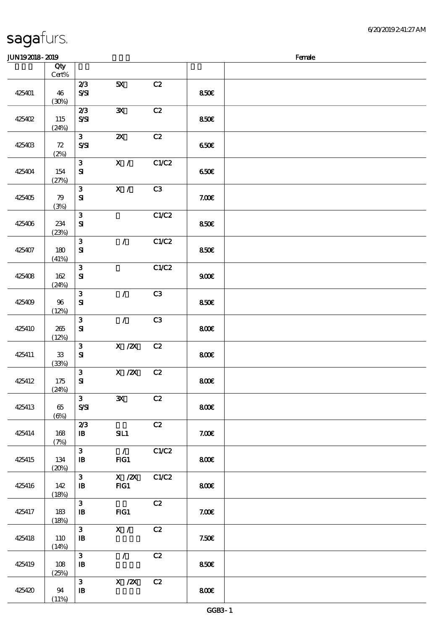### $J/N192018 - 2019$

| ມມາດຕາດ- ຕາດ |                        |                                            |                           |       |       | ra ac |
|--------------|------------------------|--------------------------------------------|---------------------------|-------|-------|-------|
|              | Qty<br>$\mbox{Cert}\%$ |                                            |                           |       |       |       |
| 425401       | 46<br>(30%)            | 2/3<br>$S\!S\!I$                           | 5X                        | C2    | 850E  |       |
| 425402       | 115<br>(24%)           | 2/3<br>S/SI                                | $\mathbf{x}$              | C2    | 850€  |       |
| 425403       | 72<br>(2%)             | 3 <sup>1</sup><br>$S\mathcal{S}$           | $\boldsymbol{\mathsf{Z}}$ | C2    | 650E  |       |
| 425404       | 154<br>(27%)           | $\mathbf{3}$<br>${\bf s}$                  | X /                       | C1/C2 | 650E  |       |
| 425405       | 79<br>(3%)             | $\mathbf{3}$<br>${\bf S}$                  | X /                       | C3    | 7.00E |       |
| 425406       | 234<br>(23%)           | $\mathbf{3}$<br>${\bf S\!I}$               |                           | C1/C2 | 850E  |       |
| 425407       | 180<br>(41%)           | $\mathbf{3}$<br>${\bf s}$                  | $\mathcal{L}$             | C1/C2 | 850€  |       |
| 425408       | 162<br>(24%)           | $\mathbf{3}$<br>${\bf S}$                  |                           | C1/C2 | 900E  |       |
| 425409       | 96<br>(12%)            | $\mathbf{3}$<br>${\bf S\hspace{-.075ex}I}$ | $\mathcal{L}$             | C3    | 850E  |       |
| 425410       | 265<br>(12%)           | $\mathbf{3}$<br>${\bf S}$                  | $\mathcal{F}$             | C3    | 800€  |       |
| 425411       | ${\bf 33}$<br>(33%)    | $\mathbf{3}$<br>${\bf s}$                  | $X$ / $ZX$                | C2    | 800   |       |
| 425412       | 175<br>(24%)           | $\mathbf{3}$<br>${\bf S\hspace{-.075ex}I}$ | X / ZX                    | C2    | 800€  |       |
| 425413       | $65\,$<br>$(\Theta)$   | $\mathbf{3}$<br>$S\!S\!S$                  | $\mathbf{x}$              | C2    | 800€  |       |
| 425414       | 168<br>(7%)            | 2/3<br>$\mathbf{B}$                        | SL1                       | C2    | 7.00E |       |
| 425415       | 134<br>(20%)           | $\mathbf{3}$<br>$\, {\bf I} \! {\bf B} \,$ | $\mathcal{L}$<br>FG1      | C1/C2 | 800€  |       |
| 425416       | 142<br>(18%)           | $\mathbf{3}$<br>$\mathbf{B}$               | X / ZX<br>FG1             | C1/C2 | 800   |       |
| 425417       | 183<br>(18%)           | $\mathbf{3}$<br>$\mathbf{B}$               | $HG1$                     | C2    | 7.00E |       |
| 425418       | <b>110</b><br>(14%)    | $\mathbf{3}$<br>$\, {\bf I} \! {\bf B} \,$ | X /                       | C2    | 7.50E |       |
| 425419       | 108<br>(25%)           | $\mathbf{3}$<br>$\, {\bf I} \! {\bf B} \,$ | $\mathcal{L}$             | C2    | 850E  |       |
| 425420       | 94<br>(11%)            | $\mathbf{3}$<br>${\bf I\!B}$               | $X$ / $ZX$                | C2    | 800   |       |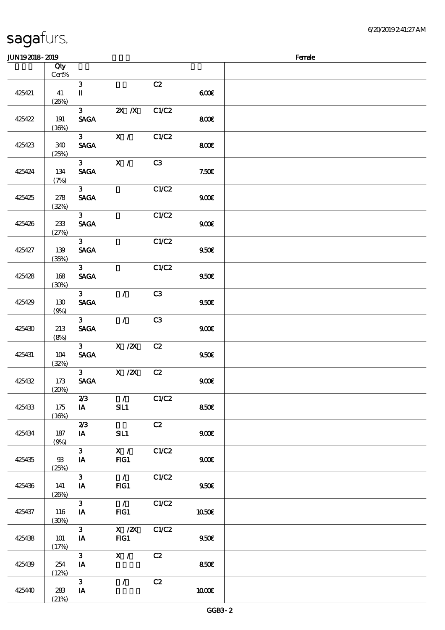|  | sagafurs. |
|--|-----------|
|  |           |

#### $JIN192018 - 2019$

|        | Qty<br>Cert% |                                |               |       |       |  |
|--------|--------------|--------------------------------|---------------|-------|-------|--|
|        |              | $\mathbf{3}$                   |               | C2    |       |  |
|        |              |                                |               |       |       |  |
| 425421 | 41           | $\mathbf I$                    |               |       | 600   |  |
|        | (20%)        |                                |               |       |       |  |
|        |              | 3 <sup>1</sup>                 | $X$ $X$       | C1/C2 |       |  |
| 425422 | 191          | <b>SAGA</b>                    |               |       | 800E  |  |
|        | (16%)        |                                |               |       |       |  |
|        |              | 3 <sup>7</sup>                 | X /           | C1/C2 |       |  |
| 425423 | 340          | $\operatorname{\mathsf{SAGA}}$ |               |       | 800   |  |
|        |              |                                |               |       |       |  |
|        | (25%)        |                                |               |       |       |  |
|        |              | 3 <sup>7</sup>                 | X /           | C3    |       |  |
| 425424 | $134\,$      | $\ensuremath{\mathsf{SAGA}}$   |               |       | 7.50E |  |
|        | (7%)         |                                |               |       |       |  |
|        |              | 3 <sup>7</sup>                 |               | C1/C2 |       |  |
| 425425 | 278          | <b>SAGA</b>                    |               |       | 900E  |  |
|        | (32%)        |                                |               |       |       |  |
|        |              | 3 <sup>1</sup>                 |               | C1/C2 |       |  |
| 425426 | 233          | <b>SAGA</b>                    |               |       | 900E  |  |
|        | (27%)        |                                |               |       |       |  |
|        |              | 3 <sup>1</sup>                 |               | C1/C2 |       |  |
| 425427 | 139          | <b>SAGA</b>                    |               |       | 950E  |  |
|        | (35%)        |                                |               |       |       |  |
|        |              | 3 <sup>1</sup>                 |               | C1/C2 |       |  |
| 425428 | $168$        | <b>SAGA</b>                    |               |       | 950E  |  |
|        | (30%)        |                                |               |       |       |  |
|        |              | 3 <sup>1</sup>                 | $\mathcal{L}$ | C3    |       |  |
| 425429 | 130          | <b>SAGA</b>                    |               |       | 950E  |  |
|        |              |                                |               |       |       |  |
|        | (9%)         | 3 <sup>1</sup>                 | $\mathcal{L}$ | C3    |       |  |
|        |              |                                |               |       |       |  |
| 425430 | 213          | <b>SAGA</b>                    |               |       | 900E  |  |
|        | (8%)         |                                |               |       |       |  |
|        |              | 3 <sup>1</sup>                 | $X \, /ZX$    | C2    |       |  |
| 425431 | $104$        | <b>SAGA</b>                    |               |       | 950E  |  |
|        | (32%)        |                                |               |       |       |  |
|        |              | 3 <sup>1</sup>                 | X / ZX        | C2    |       |  |
| 425432 | 173          | <b>SAGA</b>                    |               |       | 900E  |  |
|        | (20%)        |                                |               |       |       |  |
|        |              | 2/3                            | $\mathcal{L}$ | C1/C2 |       |  |
| 425433 | 175          | IA                             | SL1           |       | 850€  |  |
|        | (16%)        |                                |               |       |       |  |
|        |              | 2/3                            |               | C2    |       |  |
| 425434 | 187          | IA                             | SL1           |       | 900E  |  |
|        | (9%)         |                                |               |       |       |  |
|        |              | $\mathbf{3}$                   | X /           | C1/C2 |       |  |
| 425435 | $93$         | IA                             | FG1           |       | 900E  |  |
|        | (25%)        |                                |               |       |       |  |
|        |              | 3 <sup>1</sup>                 | $\mathcal{L}$ | C1/C2 |       |  |
| 425436 | 141          | IA                             | $HG1$         |       | 950E  |  |
|        | (20%)        |                                |               |       |       |  |
|        |              | $\mathbf{3}$                   | $\mathcal{L}$ | C1/C2 |       |  |
| 425437 | 116          | IA                             | $HG1$         |       | 1050E |  |
|        | (30%)        |                                |               |       |       |  |
|        |              | $\mathbf{3}$                   | $X \, /ZX$    | C1/C2 |       |  |
| 425438 | 101          | IA                             | FG1           |       | 950E  |  |
|        | (17%)        |                                |               |       |       |  |
|        |              | $\mathbf{3}$                   | X /           | C2    |       |  |
| 425439 | 254          | IA                             |               |       | 850€  |  |
|        | (12%)        |                                |               |       |       |  |
|        |              | $\mathbf{3}$                   | $\mathcal{L}$ | C2    |       |  |
| 425440 | 283          | IA                             |               |       | 1000E |  |
|        | (21%)        |                                |               |       |       |  |
|        |              |                                |               |       |       |  |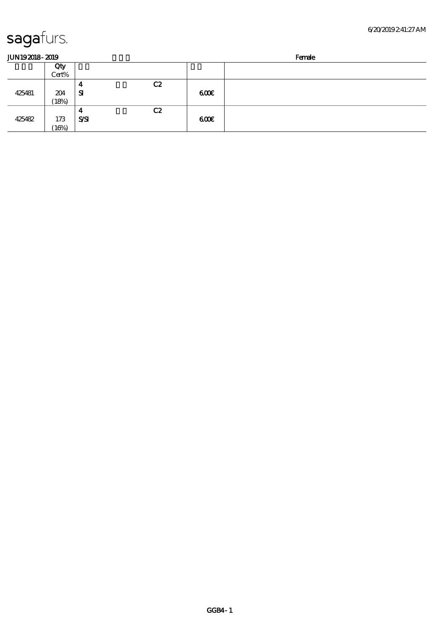| sagafurs. |
|-----------|
|-----------|

| <b>JUN192018-2019</b> |       |             |    |     | Female |
|-----------------------|-------|-------------|----|-----|--------|
|                       | Qty   |             |    |     |        |
|                       | Cert% |             |    |     |        |
|                       |       | 4           | C2 |     |        |
| 425481                | 204   | Я           |    | 600 |        |
|                       | (18%) |             |    |     |        |
|                       |       | 4           | C2 |     |        |
| 425482                | 173   | <b>S/SI</b> |    | 600 |        |
|                       | (16%) |             |    |     |        |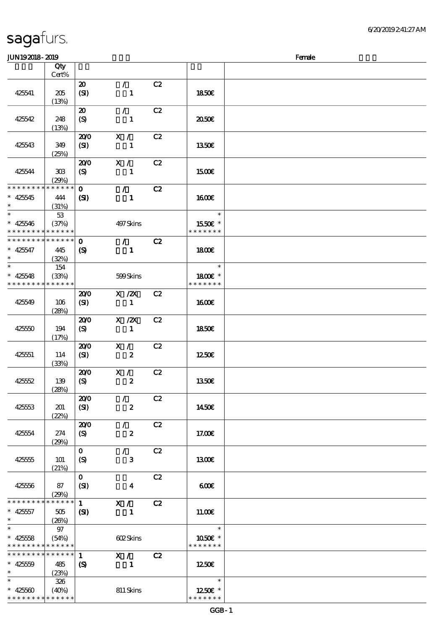| <b>JUN192018-2019</b>         |                      |                             |                  |    |                          | Female |
|-------------------------------|----------------------|-----------------------------|------------------|----|--------------------------|--------|
|                               | Qty                  |                             |                  |    |                          |        |
|                               | $Cert\%$             |                             |                  |    |                          |        |
|                               |                      | $\boldsymbol{\mathfrak{D}}$ | $\mathcal{L}$    | C2 |                          |        |
| 425541                        | 205                  | (SI)                        | $\mathbf{1}$     |    | 1850E                    |        |
|                               | (13%)                |                             |                  |    |                          |        |
|                               |                      | $\boldsymbol{\mathfrak{D}}$ | $\mathcal{L}$    | C2 |                          |        |
| 425542                        | 248                  | $\boldsymbol{S}$            | $\mathbf{1}$     |    | 2050E                    |        |
|                               | (13%)                |                             |                  |    |                          |        |
|                               |                      | 200                         | X /              | C2 |                          |        |
| 425543                        | 349                  | (SI)                        | 1                |    | 1350E                    |        |
|                               | (25%)                |                             |                  |    |                          |        |
|                               |                      | 200                         | X /              | C2 |                          |        |
| 425544                        | 308                  | (S)                         | $\mathbf{1}$     |    | 1500E                    |        |
|                               | (29%)                |                             |                  |    |                          |        |
| * * * * * * * *               | * * * * * *          | $\mathbf{O}$                | $\mathcal{L}$    | C2 |                          |        |
| $* 425545$                    | 444                  | $\mathbf{S}$                | $\mathbf{1}$     |    | <b>160€</b>              |        |
| $\ast$<br>$\ast$              | (31%)                |                             |                  |    | $\ast$                   |        |
|                               | 53                   |                             |                  |    |                          |        |
| $* 425546$<br>* * * * * * * * | (37%)<br>* * * * * * |                             | 497Skins         |    | 1550E *<br>* * * * * * * |        |
| * * * * * * * *               | * * * * * *          | $\mathbf 0$                 | $\mathcal{L}$    | C2 |                          |        |
| $* 425547$                    | 445                  | $\boldsymbol{S}$            | $\mathbf{1}$     |    | <b>1800€</b>             |        |
| $\ast$                        | (32%)                |                             |                  |    |                          |        |
| $\ast$                        | 154                  |                             |                  |    | $\ast$                   |        |
| $* 425548$                    | (33%)                |                             | 599Skins         |    | 1800 £*                  |        |
| * * * * * * * *               | * * * * * *          |                             |                  |    | * * * * * * *            |        |
|                               |                      | 200                         | $X$ / $ZX$       | C2 |                          |        |
| 425549                        | 106                  | (SI)                        | $\mathbf{1}$     |    | 1600E                    |        |
|                               | (28%)                |                             |                  |    |                          |        |
|                               |                      | 200                         | $X$ / $ZX$       | C2 |                          |        |
| 425550                        | 194                  | (S)                         | $\mathbf{1}$     |    | <b>1850€</b>             |        |
|                               | (17%)                |                             |                  |    |                          |        |
|                               |                      | 200                         | X /              | C2 |                          |        |
| 425551                        | 114                  | (SI)                        | $\boldsymbol{z}$ |    | 1250E                    |        |
|                               | (33%)                |                             |                  |    |                          |        |
|                               |                      | 200                         | X /              | C2 |                          |        |
| 425552                        | 139<br>(28%)         | (S)                         | $\pmb{2}$        |    | <b>1350€</b>             |        |
|                               |                      | 200                         | $\mathcal{L}$    | C2 |                          |        |
| 42553                         | 201                  | (SI)                        | $\boldsymbol{z}$ |    | 1450€                    |        |
|                               | (22%)                |                             |                  |    |                          |        |
|                               |                      | 200                         | $\mathcal{L}$    | C2 |                          |        |
| 425554                        | 274                  | (S)                         | $\boldsymbol{z}$ |    | 17.00E                   |        |
|                               | (29%)                |                             |                  |    |                          |        |
|                               |                      | $\mathbf{o}$                | $\mathcal{L}$    | C2 |                          |        |
| 425555                        | 101                  | (S)                         | 3                |    | 1300E                    |        |
|                               | (21%)                |                             |                  |    |                          |        |
|                               |                      | $\mathbf{o}$                |                  | C2 |                          |        |
| 425556                        | 87                   | (SI)                        | 4                |    | 600                      |        |
| * * * * * * * *               | (29%)<br>* * * * * * |                             |                  |    |                          |        |
|                               |                      | $\mathbf{1}$                | X /              | C2 |                          |        |
| $* 425557$<br>$*$             | 505<br>(20%)         | $\mathbf{C}$                | $\mathbf{1}$     |    | 11.00E                   |        |
| $\ast$                        | 97                   |                             |                  |    | $\ast$                   |        |
| $* 425558$                    | (54%)                |                             | 602Skins         |    | 1050E *                  |        |
| * * * * * * * * * * * * * *   |                      |                             |                  |    | * * * * * * *            |        |
| * * * * * * * *               | $* * * * * * *$      | $\mathbf{1}$                | X /              | C2 |                          |        |
| $* 42559$                     | 485                  | $\boldsymbol{S}$            | $\mathbf{1}$     |    | 1250E                    |        |
| $\ast$                        | (23%)                |                             |                  |    |                          |        |
| $\ast$                        | 326                  |                             |                  |    | $\ast$                   |        |
| $* 42560$                     | (40%)                |                             | 811 Skins        |    | 1250E *                  |        |
| * * * * * * * * * * * * * *   |                      |                             |                  |    | * * * * * * *            |        |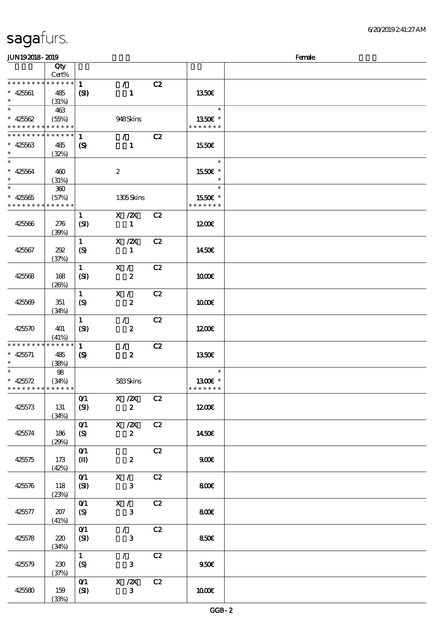| JUN192018-2019                                           |             |                            |                  |    |               | Female |
|----------------------------------------------------------|-------------|----------------------------|------------------|----|---------------|--------|
|                                                          | Qty         |                            |                  |    |               |        |
|                                                          | Cert%       |                            |                  |    |               |        |
| * * * * * * * *                                          | ******      | $\mathbf{1}$               | $\mathcal{L}$    | C2 |               |        |
| $* 425601$                                               | 485         | (S)                        | $\mathbf{1}$     |    | 1350E         |        |
| $\ast$                                                   | (31%)       |                            |                  |    |               |        |
| $\overline{\ast}$                                        | 463         |                            |                  |    | $\ast$        |        |
| $* 425562$                                               | (55%)       |                            | 948Skins         |    | 1350€ *       |        |
| * * * * * * * * <mark>* * * * * * *</mark>               |             |                            |                  |    | * * * * * * * |        |
| * * * * * * * *                                          | ******      | 1                          | $\mathcal{L}$    | C2 |               |        |
| $* 42563$                                                | 485         | $\boldsymbol{\mathcal{S}}$ | $\mathbf{1}$     |    | 1550E         |        |
| $\ast$                                                   | (32%)       |                            |                  |    |               |        |
| $\ast$                                                   |             |                            |                  |    | $\ast$        |        |
| $* 42564$                                                | 460         |                            | $\boldsymbol{2}$ |    | 1550E *       |        |
| $\ast$                                                   | (31%)       |                            |                  |    | $\ast$        |        |
| $\overline{\ast}$                                        | 300         |                            |                  |    | $\ast$        |        |
| $* 42565$                                                | (57%)       |                            | 1305Skins        |    | 1550€ *       |        |
| * * * * * * * *                                          | * * * * * * |                            |                  |    | * * * * * * * |        |
|                                                          |             | $\mathbf{1}$               | X / ZX           | C2 |               |        |
| 425566                                                   | 276         | (SI)                       | $\mathbf{1}$     |    | 1200E         |        |
|                                                          | (30%)       |                            |                  |    |               |        |
|                                                          |             | $\mathbf{1}$               | $X$ / $ZX$       | C2 |               |        |
| 425567                                                   | 292         | (S)                        | $\mathbf{1}$     |    | 1450€         |        |
|                                                          | (37%)       |                            |                  |    |               |        |
|                                                          |             | $\mathbf{1}$               | X /              | C2 |               |        |
| 425568                                                   | 168         | (SI)                       | $\boldsymbol{z}$ |    | 1000E         |        |
|                                                          | (20%)       |                            |                  |    |               |        |
|                                                          |             | $\mathbf{1}$               | X /              | C2 |               |        |
| 425569                                                   | 351         | $\boldsymbol{S}$           | $\boldsymbol{z}$ |    | 1000E         |        |
|                                                          | (34%)       |                            |                  |    |               |        |
|                                                          |             | $\mathbf{1}$               | $\mathcal{L}$    | C2 |               |        |
| 425570                                                   | 401         | (SI)                       | $\boldsymbol{z}$ |    | 1200E         |        |
|                                                          | (41%)       |                            |                  |    |               |        |
| * * * * * * * *                                          | * * * * * * | $\mathbf{1}$               | $\mathcal{T}$    | C2 |               |        |
| $* 425571$                                               | 485         | $\boldsymbol{\mathcal{S}}$ | $\boldsymbol{z}$ |    | 1350E         |        |
| $\ast$<br>$\overline{\ast}$                              | (38%)       |                            |                  |    | $\ast$        |        |
|                                                          | 98          |                            |                  |    | 1300E *       |        |
| * $425572$<br>* * * * * * * * <mark>* * * * * * *</mark> | (34%)       |                            | 583Skins         |    | * * * * * * * |        |
|                                                          |             | O(1)                       | $X \, /ZX$       | C2 |               |        |
| 425573                                                   | 131         | (SI)                       | $\boldsymbol{z}$ |    | 1200          |        |
|                                                          | (34%)       |                            |                  |    |               |        |
|                                                          |             | $O$ <sup>1</sup>           | $X \, /ZX$       | C2 |               |        |
| 425574                                                   | 186         | (S)                        | $\boldsymbol{z}$ |    | 1450€         |        |
|                                                          | (29%)       |                            |                  |    |               |        |
|                                                          |             | O(1)                       |                  | C2 |               |        |
| 425575                                                   | 173         | $\mathbf{I}$               | $\boldsymbol{z}$ |    | 900           |        |
|                                                          | (42%)       |                            |                  |    |               |        |
|                                                          |             | O(1)                       | X /              | C2 |               |        |
| 425576                                                   | 118         | (SI)                       | $\mathbf{3}$     |    | 800E          |        |
|                                                          | (23%)       |                            |                  |    |               |        |
|                                                          |             | $O$ <sup>1</sup>           | X /              | C2 |               |        |
| 425577                                                   | 207         | (S)                        | $\mathbf{3}$     |    | 800           |        |
|                                                          | (41%)       |                            |                  |    |               |        |
|                                                          |             | O(1)                       | $\mathcal{L}$    | C2 |               |        |
| 425578                                                   | 220         | (SI)                       | $\mathbf{3}$     |    | 850E          |        |
|                                                          | (34%)       |                            |                  |    |               |        |
|                                                          |             | $\mathbf{1}$               | $\mathcal{L}$    | C2 |               |        |
| 425579                                                   | 230         | (S)                        | $\mathbf{3}$     |    | 950E          |        |
|                                                          | (37%)       |                            |                  |    |               |        |
|                                                          |             | O(1)                       | $X \, /ZX$       | C2 |               |        |
| 425580                                                   | 159         | (SI)                       | $\mathbf{3}$     |    | 1000          |        |
|                                                          | (33%)       |                            |                  |    |               |        |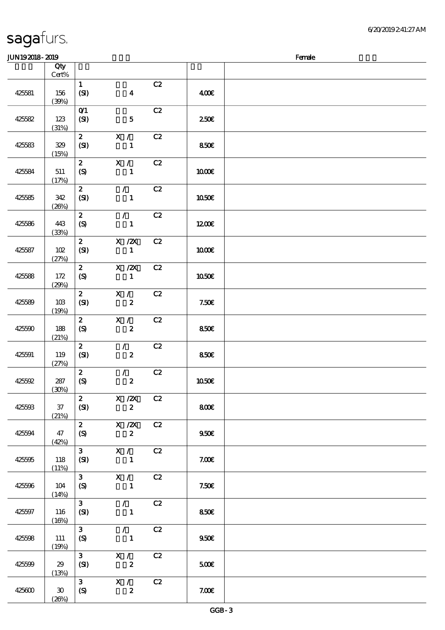### $J/N192018-2019$  Female

| ~~~~~~~~~~~~ |                                         |                    |                                                                              |               |              | ----- |
|--------------|-----------------------------------------|--------------------|------------------------------------------------------------------------------|---------------|--------------|-------|
|              | Qty<br>$Cert\%$                         |                    |                                                                              |               |              |       |
|              |                                         | $\mathbf{1}$       |                                                                              | C2            |              |       |
| 425581       | 156                                     | (SI)               | $\boldsymbol{4}$                                                             |               | 400€         |       |
|              | (30%)                                   |                    |                                                                              |               |              |       |
|              |                                         | O(1)               |                                                                              | C2            |              |       |
| 425582       | 123                                     | (SI)               | $\mathbf{5}$                                                                 |               | 250E         |       |
|              | (31%)                                   |                    |                                                                              |               |              |       |
|              |                                         | $\mathbf{z}$       | X /                                                                          | C2            |              |       |
| 425583       | 329                                     | (SI)               | $\mathbf{1}$                                                                 |               | 850€         |       |
|              | (15%)                                   |                    |                                                                              |               |              |       |
|              |                                         | $\mathbf{z}$       | X /                                                                          | C2            |              |       |
| 425584       | $511\,$                                 | $\boldsymbol{S}$   | $\mathbf{1}$                                                                 |               | <b>100€</b>  |       |
|              | (17%)                                   |                    |                                                                              |               |              |       |
|              |                                         | $\mathbf{z}$       | $\mathcal{L}$                                                                | C2            |              |       |
| 425585       | 342                                     | (SI)               | $\mathbf{1}$                                                                 |               | <b>1050€</b> |       |
|              | (20%)                                   |                    |                                                                              |               |              |       |
|              |                                         | $\mathbf{z}$       | $\mathcal{T}$                                                                | C2            |              |       |
| 425586       | 443                                     | $\boldsymbol{S}$   | $\mathbf{1}$                                                                 |               | 1200E        |       |
|              | (33%)                                   |                    |                                                                              |               |              |       |
|              |                                         | $\mathbf{z}$       | $X$ / $ZX$                                                                   | C2            |              |       |
| 425587       | $102$                                   | (SI)               | $\mathbf{1}$                                                                 |               | <b>100€</b>  |       |
|              | (27%)                                   | $\mathbf{z}$       | X / ZX                                                                       | C2            |              |       |
| 425588       | 172                                     | (S)                | $\mathbf{1}$                                                                 |               | 1050€        |       |
|              | (29%)                                   |                    |                                                                              |               |              |       |
|              |                                         | $\mathbf{z}$       | X /                                                                          | C2            |              |       |
| 425589       | $10B$                                   | (SI)               | $\boldsymbol{z}$                                                             |               | 7.50E        |       |
|              | (19%)                                   |                    |                                                                              |               |              |       |
|              |                                         | $\mathbf{z}$       | X /                                                                          | C2            |              |       |
| 425590       | 188                                     | $\boldsymbol{S}$   | $\boldsymbol{z}$                                                             |               | 850€         |       |
|              | (21%)                                   |                    |                                                                              |               |              |       |
| 425591       |                                         | $\mathbf{z}$       | $\mathcal{L}$                                                                | C2            |              |       |
|              | 119                                     | (SI)               | $\boldsymbol{z}$                                                             |               | 850€         |       |
|              | (27%)                                   | $\boldsymbol{z}$   | $\mathcal{L}$                                                                | $\mathbf{C2}$ |              |       |
| 425592       | $287$                                   | $\pmb{\text{(S)}}$ | $\boldsymbol{z}$                                                             |               | $1050E$      |       |
|              | $\left(\underline{\mathfrak{N}}\right)$ |                    |                                                                              |               |              |       |
|              |                                         | $\mathbf{z}$       | X / ZX                                                                       | C2            |              |       |
| 425593       | $37\,$                                  | (SI)               | $\boldsymbol{z}$                                                             |               | 800€         |       |
|              | (21%)                                   |                    |                                                                              |               |              |       |
|              |                                         | $\mathbf{z}$       | $\boldsymbol{\mathrm{X}}$ / $\boldsymbol{\mathrm{Z}}\boldsymbol{\mathrm{X}}$ | C2            |              |       |
| 425594       | 47                                      | $\boldsymbol{S}$   | $\boldsymbol{z}$                                                             |               | 950E         |       |
|              | (42%)                                   |                    |                                                                              |               |              |       |
|              |                                         | $\mathbf{3}$       | X /                                                                          | C2            |              |       |
| 425595       | 118                                     | (SI)               | $\mathbf{1}$                                                                 |               | 7.00E        |       |
|              | (11%)                                   | 3 <sup>1</sup>     | X /                                                                          | C2            |              |       |
| 425596       | 104                                     | $\boldsymbol{S}$   | $\mathbf{1}$                                                                 |               | 7.50E        |       |
|              | (14%)                                   |                    |                                                                              |               |              |       |
|              |                                         | $\mathbf{3}$       | $\mathcal{L}$                                                                | C2            |              |       |
| 425597       | 116                                     | (SI)               | $\mathbf{1}$                                                                 |               | 850E         |       |
|              | (16%)                                   |                    |                                                                              |               |              |       |
| 425598       |                                         | $\mathbf{3}$       | $\mathcal{L}$                                                                | C2            |              |       |
|              | 111                                     | $\boldsymbol{S}$   | $\mathbf{1}$                                                                 |               | 950E         |       |
|              | (19%)                                   |                    |                                                                              |               |              |       |
|              |                                         | $\mathbf{3}$       | X /                                                                          | C2            |              |       |
| 425599       | 29                                      | (SI)               | $\boldsymbol{z}$                                                             |               | 500E         |       |
|              | (13%)                                   | $\mathbf{3}$       | X /                                                                          | C2            |              |       |
| 425600       | $\boldsymbol{\mathfrak{D}}$             | $\boldsymbol{S}$   | $\boldsymbol{z}$                                                             |               | 7.00E        |       |
|              | (20%)                                   |                    |                                                                              |               |              |       |
|              |                                         |                    |                                                                              |               |              |       |